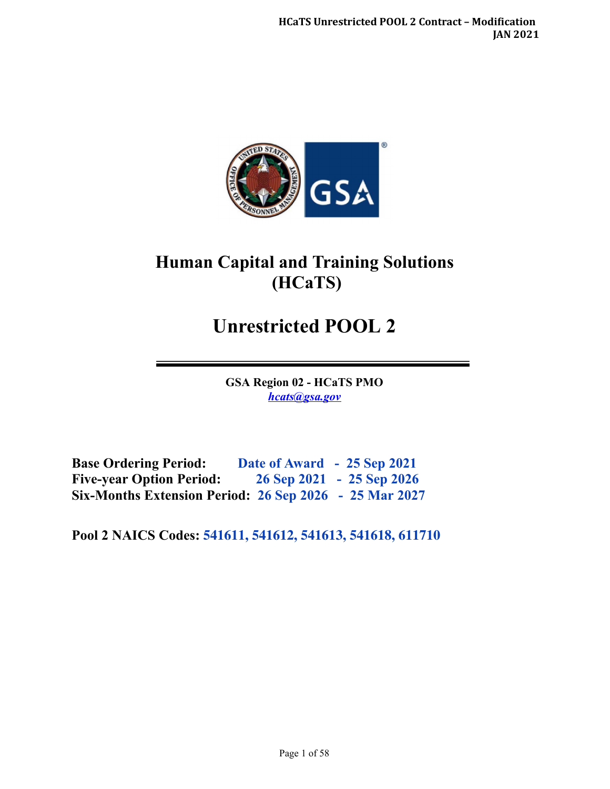

# **Human Capital and Training Solutions (HCaTS)**

# **Unrestricted POOL 2**

**GSA Region 02 - HCaTS PMO**  *[hcats@gsa.gov](mailto:hcats@gsa.gov)* 

**Base Ordering Period: Date of Award - 25 Sep 2021 Five-year Option Period: 26 Sep 2021 - 25 Sep 2026 Six-Months Extension Period: 26 Sep 2026 - 25 Mar 2027**

**Pool 2 NAICS Codes: 541611, 541612, 541613, 541618, 611710**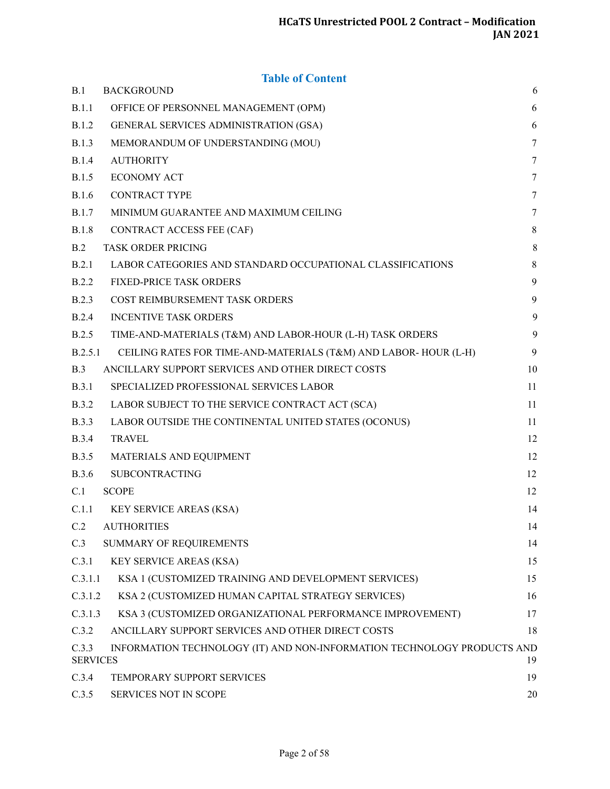# **Table of Content**

| B.1                      | <b>BACKGROUND</b>                                                       | 6      |
|--------------------------|-------------------------------------------------------------------------|--------|
| B.1.1                    | OFFICE OF PERSONNEL MANAGEMENT (OPM)                                    | 6      |
| <b>B.1.2</b>             | GENERAL SERVICES ADMINISTRATION (GSA)                                   | 6      |
| <b>B.1.3</b>             | MEMORANDUM OF UNDERSTANDING (MOU)                                       | $\tau$ |
| <b>B.1.4</b>             | <b>AUTHORITY</b>                                                        | 7      |
| <b>B.1.5</b>             | <b>ECONOMY ACT</b>                                                      | 7      |
| <b>B.1.6</b>             | <b>CONTRACT TYPE</b>                                                    | 7      |
| <b>B.1.7</b>             | MINIMUM GUARANTEE AND MAXIMUM CEILING                                   | 7      |
| <b>B.1.8</b>             | CONTRACT ACCESS FEE (CAF)                                               | 8      |
| B.2                      | <b>TASK ORDER PRICING</b>                                               | 8      |
| B.2.1                    | LABOR CATEGORIES AND STANDARD OCCUPATIONAL CLASSIFICATIONS              | 8      |
| <b>B.2.2</b>             | <b>FIXED-PRICE TASK ORDERS</b>                                          | 9      |
| <b>B.2.3</b>             | COST REIMBURSEMENT TASK ORDERS                                          | 9      |
| B.2.4                    | <b>INCENTIVE TASK ORDERS</b>                                            | 9      |
| B.2.5                    | TIME-AND-MATERIALS (T&M) AND LABOR-HOUR (L-H) TASK ORDERS               | 9      |
| B.2.5.1                  | CEILING RATES FOR TIME-AND-MATERIALS (T&M) AND LABOR-HOUR (L-H)         | 9      |
| B.3                      | ANCILLARY SUPPORT SERVICES AND OTHER DIRECT COSTS                       | 10     |
| <b>B.3.1</b>             | SPECIALIZED PROFESSIONAL SERVICES LABOR                                 | 11     |
| <b>B.3.2</b>             | LABOR SUBJECT TO THE SERVICE CONTRACT ACT (SCA)                         | 11     |
| <b>B.3.3</b>             | LABOR OUTSIDE THE CONTINENTAL UNITED STATES (OCONUS)                    | 11     |
| <b>B.3.4</b>             | <b>TRAVEL</b>                                                           | 12     |
| <b>B.3.5</b>             | MATERIALS AND EQUIPMENT                                                 | 12     |
| <b>B.3.6</b>             | SUBCONTRACTING                                                          | 12     |
| C.1                      | <b>SCOPE</b>                                                            | 12     |
| C.1.1                    | KEY SERVICE AREAS (KSA)                                                 | 14     |
| C.2                      | <b>AUTHORITIES</b>                                                      | 14     |
| C.3                      | SUMMARY OF REQUIREMENTS                                                 | 14     |
| C.3.1                    | <b>KEY SERVICE AREAS (KSA)</b>                                          | 15     |
| C.3.1.1                  | KSA 1 (CUSTOMIZED TRAINING AND DEVELOPMENT SERVICES)                    | 15     |
| C.3.1.2                  | KSA 2 (CUSTOMIZED HUMAN CAPITAL STRATEGY SERVICES)                      | 16     |
| C.3.1.3                  | KSA 3 (CUSTOMIZED ORGANIZATIONAL PERFORMANCE IMPROVEMENT)               | 17     |
| C.3.2                    | ANCILLARY SUPPORT SERVICES AND OTHER DIRECT COSTS                       | 18     |
| C.3.3<br><b>SERVICES</b> | INFORMATION TECHNOLOGY (IT) AND NON-INFORMATION TECHNOLOGY PRODUCTS AND | 19     |
| C.3.4                    | TEMPORARY SUPPORT SERVICES                                              | 19     |
| C.3.5                    | SERVICES NOT IN SCOPE                                                   | 20     |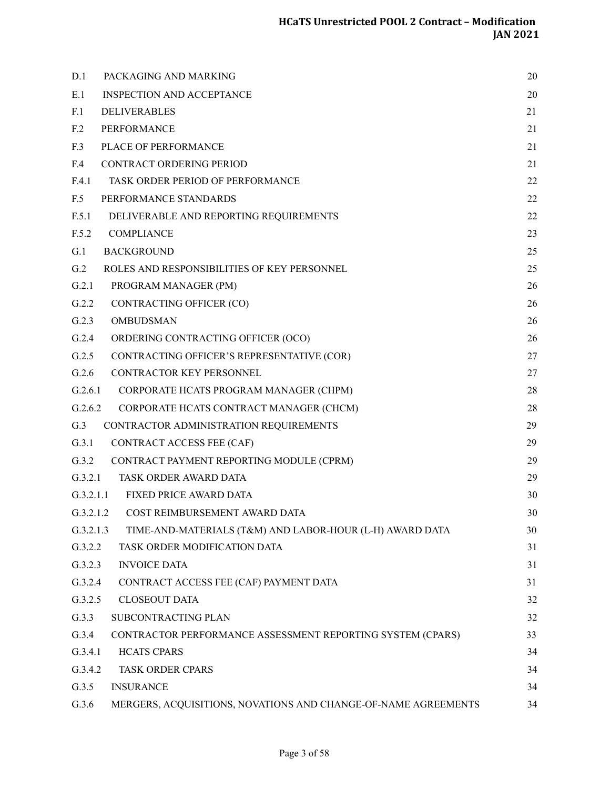| D.1             | PACKAGING AND MARKING                                          | 20 |
|-----------------|----------------------------------------------------------------|----|
| E.1             | <b>INSPECTION AND ACCEPTANCE</b>                               | 20 |
| F.1             | <b>DELIVERABLES</b>                                            | 21 |
| F <sub>12</sub> | PERFORMANCE                                                    | 21 |
| F.3             | PLACE OF PERFORMANCE                                           | 21 |
| F.4             | CONTRACT ORDERING PERIOD                                       | 21 |
| F.4.1           | TASK ORDER PERIOD OF PERFORMANCE                               | 22 |
| F.5             | PERFORMANCE STANDARDS                                          | 22 |
| F.5.1           | DELIVERABLE AND REPORTING REQUIREMENTS                         | 22 |
| F.5.2           | <b>COMPLIANCE</b>                                              | 23 |
| G.1             | <b>BACKGROUND</b>                                              | 25 |
| G.2             | ROLES AND RESPONSIBILITIES OF KEY PERSONNEL                    | 25 |
| G.2.1           | PROGRAM MANAGER (PM)                                           | 26 |
| G.2.2           | CONTRACTING OFFICER (CO)                                       | 26 |
| G.2.3           | <b>OMBUDSMAN</b>                                               | 26 |
| G.2.4           | ORDERING CONTRACTING OFFICER (OCO)                             | 26 |
| G.2.5           | CONTRACTING OFFICER'S REPRESENTATIVE (COR)                     | 27 |
| G.2.6           | CONTRACTOR KEY PERSONNEL                                       | 27 |
| G.2.6.1         | CORPORATE HCATS PROGRAM MANAGER (CHPM)                         | 28 |
| G.2.6.2         | CORPORATE HCATS CONTRACT MANAGER (CHCM)                        | 28 |
| G.3             | CONTRACTOR ADMINISTRATION REQUIREMENTS                         | 29 |
| G.3.1           | CONTRACT ACCESS FEE (CAF)                                      | 29 |
| G.3.2           | CONTRACT PAYMENT REPORTING MODULE (CPRM)                       | 29 |
| G.3.2.1         | TASK ORDER AWARD DATA                                          | 29 |
| G.3.2.1.1       | FIXED PRICE AWARD DATA                                         | 30 |
|                 | G.3.2.1.2 COST REIMBURSEMENT AWARD DATA                        | 30 |
| G.3.2.1.3       | TIME-AND-MATERIALS (T&M) AND LABOR-HOUR (L-H) AWARD DATA       | 30 |
| G.3.2.2         | TASK ORDER MODIFICATION DATA                                   | 31 |
| G.3.2.3         | <b>INVOICE DATA</b>                                            | 31 |
| G.3.2.4         | CONTRACT ACCESS FEE (CAF) PAYMENT DATA                         | 31 |
| G.3.2.5         | <b>CLOSEOUT DATA</b>                                           | 32 |
| G.3.3           | SUBCONTRACTING PLAN                                            | 32 |
| G.3.4           | CONTRACTOR PERFORMANCE ASSESSMENT REPORTING SYSTEM (CPARS)     | 33 |
| G.3.4.1         | <b>HCATS CPARS</b>                                             | 34 |
| G.3.4.2         | <b>TASK ORDER CPARS</b>                                        | 34 |
| G.3.5           | <b>INSURANCE</b>                                               | 34 |
| G.3.6           | MERGERS, ACQUISITIONS, NOVATIONS AND CHANGE-OF-NAME AGREEMENTS | 34 |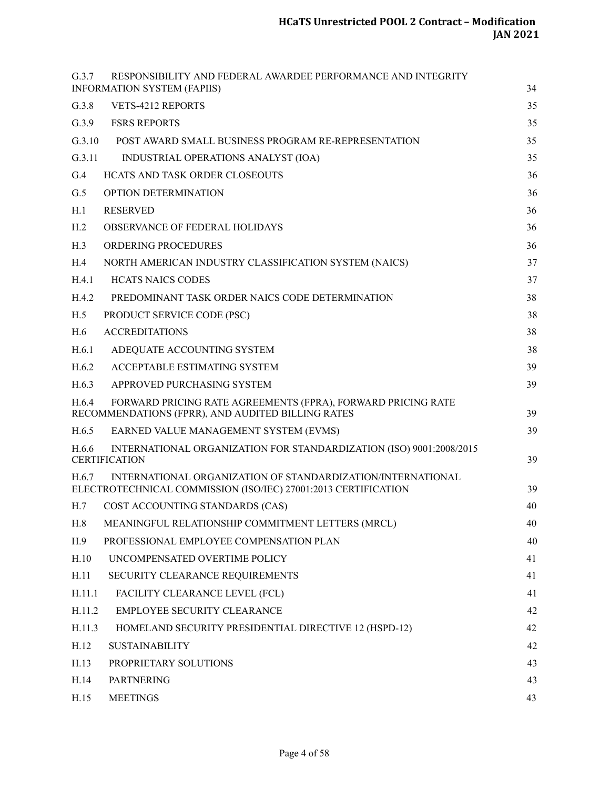| G.3.7<br>RESPONSIBILITY AND FEDERAL AWARDEE PERFORMANCE AND INTEGRITY<br><b>INFORMATION SYSTEM (FAPIIS)</b>                            | 34 |
|----------------------------------------------------------------------------------------------------------------------------------------|----|
| G.3.8<br>VETS-4212 REPORTS                                                                                                             | 35 |
| G.3.9<br><b>FSRS REPORTS</b>                                                                                                           | 35 |
| G.3.10<br>POST AWARD SMALL BUSINESS PROGRAM RE-REPRESENTATION                                                                          | 35 |
| G.3.11<br>INDUSTRIAL OPERATIONS ANALYST (IOA)                                                                                          | 35 |
| G.4<br>HCATS AND TASK ORDER CLOSEOUTS                                                                                                  | 36 |
| G.5<br><b>OPTION DETERMINATION</b>                                                                                                     | 36 |
| <b>RESERVED</b><br>H.1                                                                                                                 | 36 |
| H <sub>.2</sub><br>OBSERVANCE OF FEDERAL HOLIDAYS                                                                                      | 36 |
| H.3<br><b>ORDERING PROCEDURES</b>                                                                                                      | 36 |
| H.4<br>NORTH AMERICAN INDUSTRY CLASSIFICATION SYSTEM (NAICS)                                                                           | 37 |
| <b>HCATS NAICS CODES</b><br>H.4.1                                                                                                      | 37 |
| H.4.2<br>PREDOMINANT TASK ORDER NAICS CODE DETERMINATION                                                                               | 38 |
| H.5<br>PRODUCT SERVICE CODE (PSC)                                                                                                      | 38 |
| <b>ACCREDITATIONS</b><br>H.6                                                                                                           | 38 |
| H.6.1<br>ADEQUATE ACCOUNTING SYSTEM                                                                                                    | 38 |
| H.6.2<br>ACCEPTABLE ESTIMATING SYSTEM                                                                                                  | 39 |
| H.6.3<br>APPROVED PURCHASING SYSTEM                                                                                                    | 39 |
| FORWARD PRICING RATE AGREEMENTS (FPRA), FORWARD PRICING RATE<br>H.6.4<br>RECOMMENDATIONS (FPRR), AND AUDITED BILLING RATES             | 39 |
| H.6.5<br>EARNED VALUE MANAGEMENT SYSTEM (EVMS)                                                                                         | 39 |
| H.6.6<br>INTERNATIONAL ORGANIZATION FOR STANDARDIZATION (ISO) 9001:2008/2015<br><b>CERTIFICATION</b>                                   | 39 |
| INTERNATIONAL ORGANIZATION OF STANDARDIZATION/INTERNATIONAL<br>H.6.7<br>ELECTROTECHNICAL COMMISSION (ISO/IEC) 27001:2013 CERTIFICATION | 39 |
| H.7<br>COST ACCOUNTING STANDARDS (CAS)                                                                                                 | 40 |
| MEANINGFUL RELATIONSHIP COMMITMENT LETTERS (MRCL)<br>H.8                                                                               | 40 |
| H.9<br>PROFESSIONAL EMPLOYEE COMPENSATION PLAN                                                                                         | 40 |
| H.10<br>UNCOMPENSATED OVERTIME POLICY                                                                                                  | 41 |
| H.11<br>SECURITY CLEARANCE REQUIREMENTS                                                                                                | 41 |
| H.11.1<br>FACILITY CLEARANCE LEVEL (FCL)                                                                                               | 41 |
| H.11.2<br>EMPLOYEE SECURITY CLEARANCE                                                                                                  | 42 |
| H.11.3<br>HOMELAND SECURITY PRESIDENTIAL DIRECTIVE 12 (HSPD-12)                                                                        | 42 |
| H.12<br><b>SUSTAINABILITY</b>                                                                                                          | 42 |
| H.13<br>PROPRIETARY SOLUTIONS                                                                                                          | 43 |
| <b>PARTNERING</b><br>H.14                                                                                                              | 43 |
| <b>MEETINGS</b><br>H.15                                                                                                                | 43 |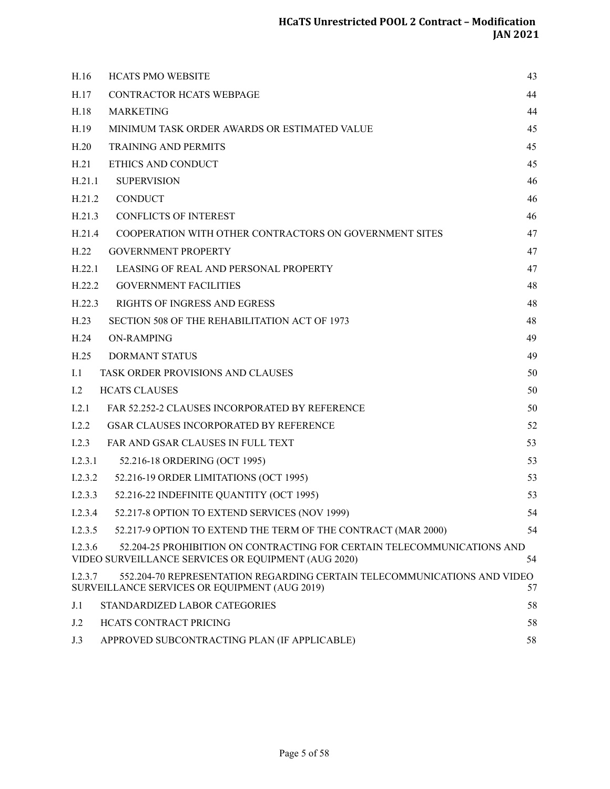| H.16    | <b>HCATS PMO WEBSITE</b>                                                                                                       | 43 |
|---------|--------------------------------------------------------------------------------------------------------------------------------|----|
| H.17    | CONTRACTOR HCATS WEBPAGE                                                                                                       | 44 |
| H.18    | <b>MARKETING</b>                                                                                                               | 44 |
| H.19    | MINIMUM TASK ORDER AWARDS OR ESTIMATED VALUE                                                                                   | 45 |
| H.20    | <b>TRAINING AND PERMITS</b>                                                                                                    | 45 |
| H.21    | ETHICS AND CONDUCT                                                                                                             | 45 |
| H.21.1  | <b>SUPERVISION</b>                                                                                                             | 46 |
| H.21.2  | <b>CONDUCT</b>                                                                                                                 | 46 |
| H.21.3  | <b>CONFLICTS OF INTEREST</b>                                                                                                   | 46 |
| H.21.4  | COOPERATION WITH OTHER CONTRACTORS ON GOVERNMENT SITES                                                                         | 47 |
| H.22    | <b>GOVERNMENT PROPERTY</b>                                                                                                     | 47 |
| H.22.1  | LEASING OF REAL AND PERSONAL PROPERTY                                                                                          | 47 |
| H.22.2  | <b>GOVERNMENT FACILITIES</b>                                                                                                   | 48 |
| H.22.3  | <b>RIGHTS OF INGRESS AND EGRESS</b>                                                                                            | 48 |
| H.23    | SECTION 508 OF THE REHABILITATION ACT OF 1973                                                                                  | 48 |
| H.24    | <b>ON-RAMPING</b>                                                                                                              | 49 |
| H.25    | <b>DORMANT STATUS</b>                                                                                                          | 49 |
| I.1     | TASK ORDER PROVISIONS AND CLAUSES                                                                                              | 50 |
| 1.2     | <b>HCATS CLAUSES</b>                                                                                                           | 50 |
| I.2.1   | FAR 52.252-2 CLAUSES INCORPORATED BY REFERENCE                                                                                 | 50 |
| I.2.2   | <b>GSAR CLAUSES INCORPORATED BY REFERENCE</b>                                                                                  | 52 |
| 1.2.3   | FAR AND GSAR CLAUSES IN FULL TEXT                                                                                              | 53 |
| 1.2.3.1 | 52.216-18 ORDERING (OCT 1995)                                                                                                  | 53 |
| 1.2.3.2 | 52.216-19 ORDER LIMITATIONS (OCT 1995)                                                                                         | 53 |
| I.2.3.3 | 52.216-22 INDEFINITE QUANTITY (OCT 1995)                                                                                       | 53 |
|         | I.2.3.4 52.217-8 OPTION TO EXTEND SERVICES (NOV 1999)                                                                          | 54 |
| 1.2.3.5 | 52.217-9 OPTION TO EXTEND THE TERM OF THE CONTRACT (MAR 2000)                                                                  | 54 |
| 1.2.3.6 | 52.204-25 PROHIBITION ON CONTRACTING FOR CERTAIN TELECOMMUNICATIONS AND<br>VIDEO SURVEILLANCE SERVICES OR EQUIPMENT (AUG 2020) | 54 |
| I.2.3.7 | 552.204-70 REPRESENTATION REGARDING CERTAIN TELECOMMUNICATIONS AND VIDEO<br>SURVEILLANCE SERVICES OR EQUIPMENT (AUG 2019)      | 57 |
| J.1     | STANDARDIZED LABOR CATEGORIES                                                                                                  | 58 |
| J.2     | <b>HCATS CONTRACT PRICING</b>                                                                                                  | 58 |
| J.3     | APPROVED SUBCONTRACTING PLAN (IF APPLICABLE)                                                                                   | 58 |
|         |                                                                                                                                |    |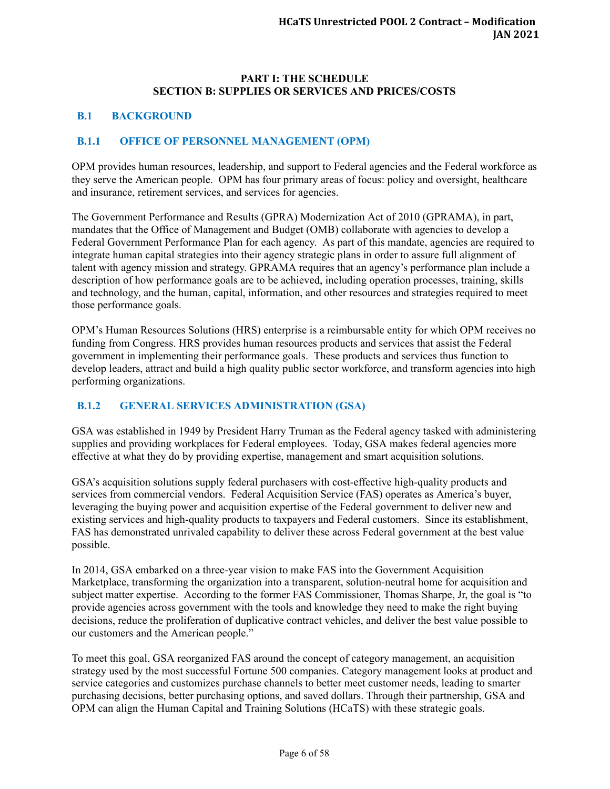#### **PART I: THE SCHEDULE SECTION B: SUPPLIES OR SERVICES AND PRICES/COSTS**

#### <span id="page-5-0"></span>**B.1 BACKGROUND**

#### <span id="page-5-1"></span>**B.1.1 OFFICE OF PERSONNEL MANAGEMENT (OPM)**

OPM provides human resources, leadership, and support to Federal agencies and the Federal workforce as they serve the American people. OPM has four primary areas of focus: policy and oversight, healthcare and insurance, retirement services, and services for agencies.

The Government Performance and Results (GPRA) Modernization Act of 2010 (GPRAMA), in part, mandates that the Office of Management and Budget (OMB) collaborate with agencies to develop a Federal Government Performance Plan for each agency. As part of this mandate, agencies are required to integrate human capital strategies into their agency strategic plans in order to assure full alignment of talent with agency mission and strategy. GPRAMA requires that an agency's performance plan include a description of how performance goals are to be achieved, including operation processes, training, skills and technology, and the human, capital, information, and other resources and strategies required to meet those performance goals.

OPM's Human Resources Solutions (HRS) enterprise is a reimbursable entity for which OPM receives no funding from Congress. HRS provides human resources products and services that assist the Federal government in implementing their performance goals. These products and services thus function to develop leaders, attract and build a high quality public sector workforce, and transform agencies into high performing organizations.

# <span id="page-5-2"></span>**B.1.2 GENERAL SERVICES ADMINISTRATION (GSA)**

GSA was established in 1949 by President Harry Truman as the Federal agency tasked with administering supplies and providing workplaces for Federal employees. Today, GSA makes federal agencies more effective at what they do by providing expertise, management and smart acquisition solutions.

GSA's acquisition solutions supply federal purchasers with cost-effective high-quality products and services from commercial vendors. Federal Acquisition Service (FAS) operates as America's buyer, leveraging the buying power and acquisition expertise of the Federal government to deliver new and existing services and high-quality products to taxpayers and Federal customers. Since its establishment, FAS has demonstrated unrivaled capability to deliver these across Federal government at the best value possible.

In 2014, GSA embarked on a three-year vision to make FAS into the Government Acquisition Marketplace, transforming the organization into a transparent, solution-neutral home for acquisition and subject matter expertise. According to the former FAS Commissioner, Thomas Sharpe, Jr, the goal is "to provide agencies across government with the tools and knowledge they need to make the right buying decisions, reduce the proliferation of duplicative contract vehicles, and deliver the best value possible to our customers and the American people."

To meet this goal, GSA reorganized FAS around the concept of category management, an acquisition strategy used by the most successful Fortune 500 companies. Category management looks at product and service categories and customizes purchase channels to better meet customer needs, leading to smarter purchasing decisions, better purchasing options, and saved dollars. Through their partnership, GSA and OPM can align the Human Capital and Training Solutions (HCaTS) with these strategic goals.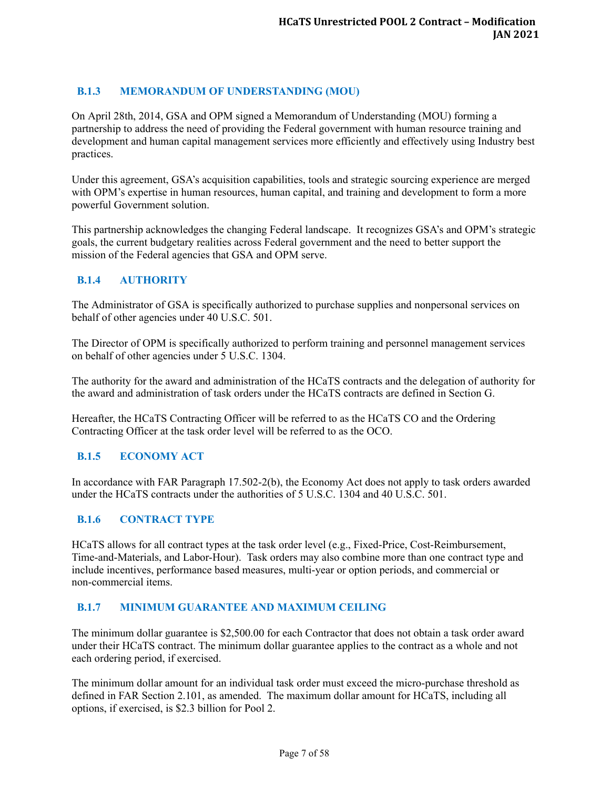# <span id="page-6-0"></span>**B.1.3 MEMORANDUM OF UNDERSTANDING (MOU)**

On April 28th, 2014, GSA and OPM signed a Memorandum of Understanding (MOU) forming a partnership to address the need of providing the Federal government with human resource training and development and human capital management services more efficiently and effectively using Industry best practices.

Under this agreement, GSA's acquisition capabilities, tools and strategic sourcing experience are merged with OPM's expertise in human resources, human capital, and training and development to form a more powerful Government solution.

This partnership acknowledges the changing Federal landscape. It recognizes GSA's and OPM's strategic goals, the current budgetary realities across Federal government and the need to better support the mission of the Federal agencies that GSA and OPM serve.

# <span id="page-6-1"></span>**B.1.4 AUTHORITY**

The Administrator of GSA is specifically authorized to purchase supplies and nonpersonal services on behalf of other agencies under 40 U.S.C. 501.

The Director of OPM is specifically authorized to perform training and personnel management services on behalf of other agencies under 5 U.S.C. 1304.

The authority for the award and administration of the HCaTS contracts and the delegation of authority for the award and administration of task orders under the HCaTS contracts are defined in Section G.

Hereafter, the HCaTS Contracting Officer will be referred to as the HCaTS CO and the Ordering Contracting Officer at the task order level will be referred to as the OCO.

#### <span id="page-6-2"></span>**B.1.5 ECONOMY ACT**

In accordance with FAR Paragraph 17.502-2(b), the Economy Act does not apply to task orders awarded under the HCaTS contracts under the authorities of 5 U.S.C. 1304 and 40 U.S.C. 501.

#### <span id="page-6-3"></span>**B.1.6 CONTRACT TYPE**

HCaTS allows for all contract types at the task order level (e.g., Fixed-Price, Cost-Reimbursement, Time-and-Materials, and Labor-Hour). Task orders may also combine more than one contract type and include incentives, performance based measures, multi-year or option periods, and commercial or non-commercial items.

#### <span id="page-6-4"></span>**B.1.7 MINIMUM GUARANTEE AND MAXIMUM CEILING**

The minimum dollar guarantee is \$2,500.00 for each Contractor that does not obtain a task order award under their HCaTS contract. The minimum dollar guarantee applies to the contract as a whole and not each ordering period, if exercised.

The minimum dollar amount for an individual task order must exceed the micro-purchase threshold as defined in FAR Section 2.101, as amended. The maximum dollar amount for HCaTS, including all options, if exercised, is \$2.3 billion for Pool 2.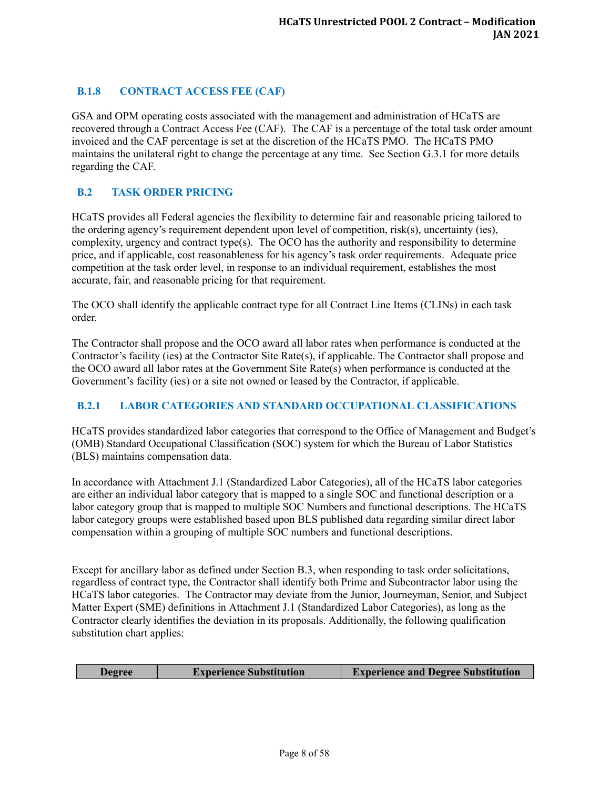# <span id="page-7-0"></span>**B.1.8 CONTRACT ACCESS FEE (CAF)**

GSA and OPM operating costs associated with the management and administration of HCaTS are recovered through a Contract Access Fee (CAF). The CAF is a percentage of the total task order amount invoiced and the CAF percentage is set at the discretion of the HCaTS PMO. The HCaTS PMO maintains the unilateral right to change the percentage at any time. See Section G.3.1 for more details regarding the CAF.

# <span id="page-7-1"></span>**B.2 TASK ORDER PRICING**

HCaTS provides all Federal agencies the flexibility to determine fair and reasonable pricing tailored to the ordering agency's requirement dependent upon level of competition, risk(s), uncertainty (ies), complexity, urgency and contract type(s). The OCO has the authority and responsibility to determine price, and if applicable, cost reasonableness for his agency's task order requirements. Adequate price competition at the task order level, in response to an individual requirement, establishes the most accurate, fair, and reasonable pricing for that requirement.

The OCO shall identify the applicable contract type for all Contract Line Items (CLINs) in each task order.

The Contractor shall propose and the OCO award all labor rates when performance is conducted at the Contractor's facility (ies) at the Contractor Site Rate(s), if applicable. The Contractor shall propose and the OCO award all labor rates at the Government Site Rate(s) when performance is conducted at the Government's facility (ies) or a site not owned or leased by the Contractor, if applicable.

# <span id="page-7-2"></span>**B.2.1 LABOR CATEGORIES AND STANDARD OCCUPATIONAL CLASSIFICATIONS**

HCaTS provides standardized labor categories that correspond to the Office of Management and Budget's (OMB) Standard Occupational Classification (SOC) system for which the Bureau of Labor Statistics (BLS) maintains compensation data.

In accordance with Attachment J.1 (Standardized Labor Categories), all of the HCaTS labor categories are either an individual labor category that is mapped to a single SOC and functional description or a labor category group that is mapped to multiple SOC Numbers and functional descriptions. The HCaTS labor category groups were established based upon BLS published data regarding similar direct labor compensation within a grouping of multiple SOC numbers and functional descriptions.

Except for ancillary labor as defined under Section B.3, when responding to task order solicitations, regardless of contract type, the Contractor shall identify both Prime and Subcontractor labor using the HCaTS labor categories. The Contractor may deviate from the Junior, Journeyman, Senior, and Subject Matter Expert (SME) definitions in Attachment J.1 (Standardized Labor Categories), as long as the Contractor clearly identifies the deviation in its proposals. Additionally, the following qualification substitution chart applies:

|  | <b>Degree</b> | <b>Experience Substitution</b> | <b>Experience and Degree Substitution</b> |
|--|---------------|--------------------------------|-------------------------------------------|
|--|---------------|--------------------------------|-------------------------------------------|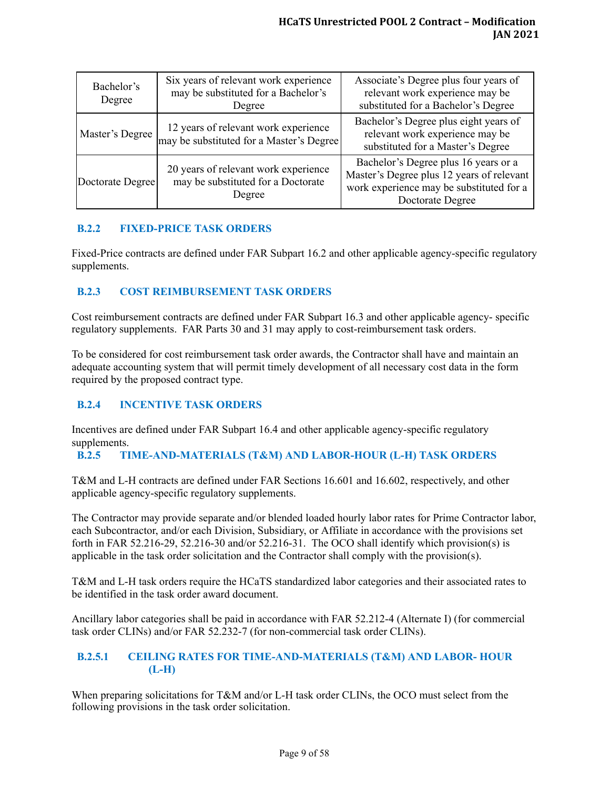| Six years of relevant work experience<br>Bachelor's<br>may be substituted for a Bachelor's<br>Degree<br>Degree |                                                                                      | Associate's Degree plus four years of<br>relevant work experience may be<br>substituted for a Bachelor's Degree                                   |  |
|----------------------------------------------------------------------------------------------------------------|--------------------------------------------------------------------------------------|---------------------------------------------------------------------------------------------------------------------------------------------------|--|
| Master's Degree                                                                                                | 12 years of relevant work experience<br>may be substituted for a Master's Degree     | Bachelor's Degree plus eight years of<br>relevant work experience may be<br>substituted for a Master's Degree                                     |  |
| Doctorate Degree                                                                                               | 20 years of relevant work experience<br>may be substituted for a Doctorate<br>Degree | Bachelor's Degree plus 16 years or a<br>Master's Degree plus 12 years of relevant<br>work experience may be substituted for a<br>Doctorate Degree |  |

# <span id="page-8-0"></span>**B.2.2 FIXED-PRICE TASK ORDERS**

Fixed-Price contracts are defined under FAR Subpart 16.2 and other applicable agency-specific regulatory supplements.

# <span id="page-8-1"></span>**B.2.3 COST REIMBURSEMENT TASK ORDERS**

Cost reimbursement contracts are defined under FAR Subpart 16.3 and other applicable agency- specific regulatory supplements. FAR Parts 30 and 31 may apply to cost-reimbursement task orders.

To be considered for cost reimbursement task order awards, the Contractor shall have and maintain an adequate accounting system that will permit timely development of all necessary cost data in the form required by the proposed contract type.

# <span id="page-8-2"></span>**B.2.4 INCENTIVE TASK ORDERS**

Incentives are defined under FAR Subpart 16.4 and other applicable agency-specific regulatory supplements.

# <span id="page-8-3"></span>**B.2.5 TIME-AND-MATERIALS (T&M) AND LABOR-HOUR (L-H) TASK ORDERS**

T&M and L-H contracts are defined under FAR Sections 16.601 and 16.602, respectively, and other applicable agency-specific regulatory supplements.

The Contractor may provide separate and/or blended loaded hourly labor rates for Prime Contractor labor, each Subcontractor, and/or each Division, Subsidiary, or Affiliate in accordance with the provisions set forth in FAR 52.216-29, 52.216-30 and/or 52.216-31. The OCO shall identify which provision(s) is applicable in the task order solicitation and the Contractor shall comply with the provision(s).

T&M and L-H task orders require the HCaTS standardized labor categories and their associated rates to be identified in the task order award document.

Ancillary labor categories shall be paid in accordance with FAR 52.212-4 (Alternate I) (for commercial task order CLINs) and/or FAR 52.232-7 (for non-commercial task order CLINs).

#### <span id="page-8-4"></span>**B.2.5.1 CEILING RATES FOR TIME-AND-MATERIALS (T&M) AND LABOR- HOUR (L-H)**

When preparing solicitations for T&M and/or L-H task order CLINs, the OCO must select from the following provisions in the task order solicitation.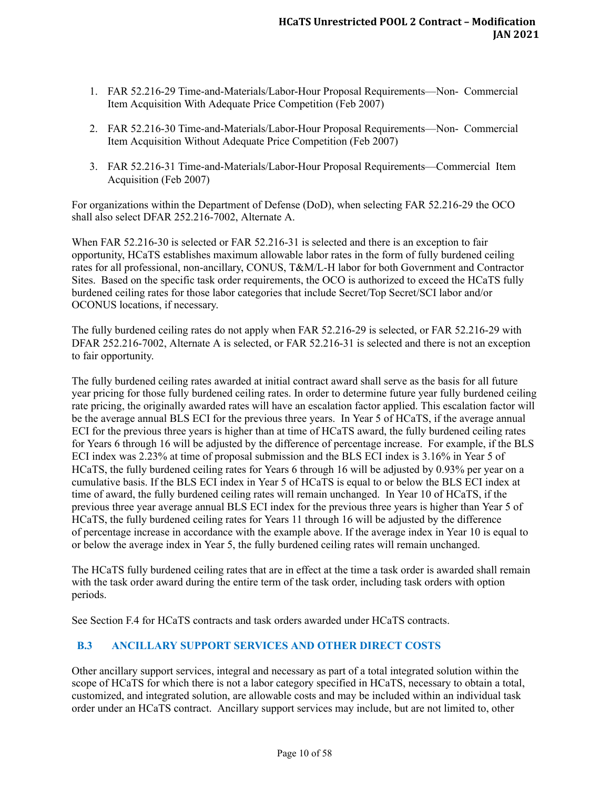- 1. FAR 52.216-29 Time-and-Materials/Labor-Hour Proposal Requirements—Non- Commercial Item Acquisition With Adequate Price Competition (Feb 2007)
- 2. FAR 52.216-30 Time-and-Materials/Labor-Hour Proposal Requirements—Non- Commercial Item Acquisition Without Adequate Price Competition (Feb 2007)
- 3. FAR 52.216-31 Time-and-Materials/Labor-Hour Proposal Requirements—Commercial Item Acquisition (Feb 2007)

For organizations within the Department of Defense (DoD), when selecting FAR 52.216-29 the OCO shall also select DFAR 252.216-7002, Alternate A.

When FAR 52.216-30 is selected or FAR 52.216-31 is selected and there is an exception to fair opportunity, HCaTS establishes maximum allowable labor rates in the form of fully burdened ceiling rates for all professional, non-ancillary, CONUS, T&M/L-H labor for both Government and Contractor Sites. Based on the specific task order requirements, the OCO is authorized to exceed the HCaTS fully burdened ceiling rates for those labor categories that include Secret/Top Secret/SCI labor and/or OCONUS locations, if necessary.

The fully burdened ceiling rates do not apply when FAR 52.216-29 is selected, or FAR 52.216-29 with DFAR 252.216-7002, Alternate A is selected, or FAR 52.216-31 is selected and there is not an exception to fair opportunity.

The fully burdened ceiling rates awarded at initial contract award shall serve as the basis for all future year pricing for those fully burdened ceiling rates. In order to determine future year fully burdened ceiling rate pricing, the originally awarded rates will have an escalation factor applied. This escalation factor will be the average annual BLS ECI for the previous three years. In Year 5 of HCaTS, if the average annual ECI for the previous three years is higher than at time of HCaTS award, the fully burdened ceiling rates for Years 6 through 16 will be adjusted by the difference of percentage increase. For example, if the BLS ECI index was 2.23% at time of proposal submission and the BLS ECI index is 3.16% in Year 5 of HCaTS, the fully burdened ceiling rates for Years 6 through 16 will be adjusted by 0.93% per year on a cumulative basis. If the BLS ECI index in Year 5 of HCaTS is equal to or below the BLS ECI index at time of award, the fully burdened ceiling rates will remain unchanged. In Year 10 of HCaTS, if the previous three year average annual BLS ECI index for the previous three years is higher than Year 5 of HCaTS, the fully burdened ceiling rates for Years 11 through 16 will be adjusted by the difference of percentage increase in accordance with the example above. If the average index in Year 10 is equal to or below the average index in Year 5, the fully burdened ceiling rates will remain unchanged.

The HCaTS fully burdened ceiling rates that are in effect at the time a task order is awarded shall remain with the task order award during the entire term of the task order, including task orders with option periods.

See Section F.4 for HCaTS contracts and task orders awarded under HCaTS contracts.

# <span id="page-9-0"></span>**B.3 ANCILLARY SUPPORT SERVICES AND OTHER DIRECT COSTS**

Other ancillary support services, integral and necessary as part of a total integrated solution within the scope of HCaTS for which there is not a labor category specified in HCaTS, necessary to obtain a total, customized, and integrated solution, are allowable costs and may be included within an individual task order under an HCaTS contract. Ancillary support services may include, but are not limited to, other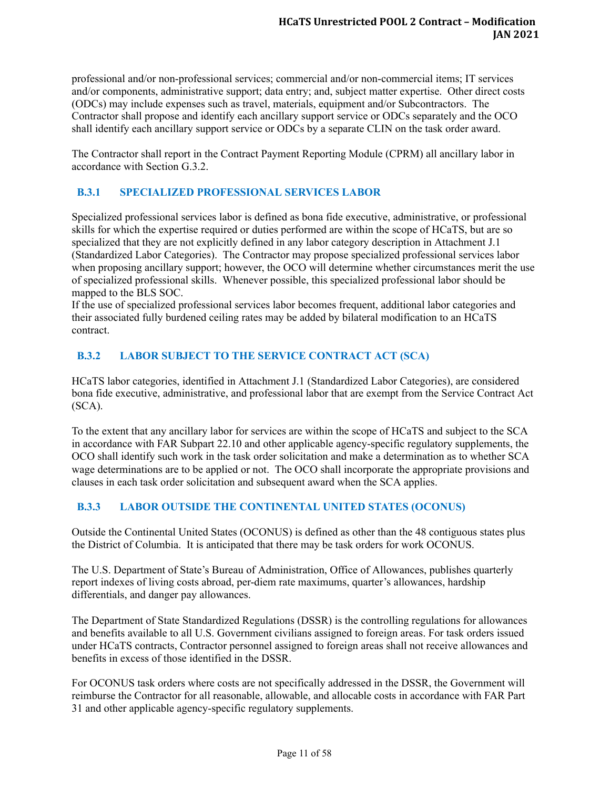professional and/or non-professional services; commercial and/or non-commercial items; IT services and/or components, administrative support; data entry; and, subject matter expertise. Other direct costs (ODCs) may include expenses such as travel, materials, equipment and/or Subcontractors. The Contractor shall propose and identify each ancillary support service or ODCs separately and the OCO shall identify each ancillary support service or ODCs by a separate CLIN on the task order award.

The Contractor shall report in the Contract Payment Reporting Module (CPRM) all ancillary labor in accordance with Section G.3.2.

# <span id="page-10-0"></span>**B.3.1 SPECIALIZED PROFESSIONAL SERVICES LABOR**

Specialized professional services labor is defined as bona fide executive, administrative, or professional skills for which the expertise required or duties performed are within the scope of HCaTS, but are so specialized that they are not explicitly defined in any labor category description in Attachment J.1 (Standardized Labor Categories). The Contractor may propose specialized professional services labor when proposing ancillary support; however, the OCO will determine whether circumstances merit the use of specialized professional skills. Whenever possible, this specialized professional labor should be mapped to the BLS SOC.

If the use of specialized professional services labor becomes frequent, additional labor categories and their associated fully burdened ceiling rates may be added by bilateral modification to an HCaTS contract.

# <span id="page-10-1"></span>**B.3.2 LABOR SUBJECT TO THE SERVICE CONTRACT ACT (SCA)**

HCaTS labor categories, identified in Attachment J.1 (Standardized Labor Categories), are considered bona fide executive, administrative, and professional labor that are exempt from the Service Contract Act (SCA).

To the extent that any ancillary labor for services are within the scope of HCaTS and subject to the SCA in accordance with FAR Subpart 22.10 and other applicable agency-specific regulatory supplements, the OCO shall identify such work in the task order solicitation and make a determination as to whether SCA wage determinations are to be applied or not. The OCO shall incorporate the appropriate provisions and clauses in each task order solicitation and subsequent award when the SCA applies.

# <span id="page-10-2"></span>**B.3.3 LABOR OUTSIDE THE CONTINENTAL UNITED STATES (OCONUS)**

Outside the Continental United States (OCONUS) is defined as other than the 48 contiguous states plus the District of Columbia. It is anticipated that there may be task orders for work OCONUS.

The U.S. Department of State's Bureau of Administration, Office of Allowances, publishes quarterly report indexes of living costs abroad, per-diem rate maximums, quarter's allowances, hardship differentials, and danger pay allowances.

The Department of State Standardized Regulations (DSSR) is the controlling regulations for allowances and benefits available to all U.S. Government civilians assigned to foreign areas. For task orders issued under HCaTS contracts, Contractor personnel assigned to foreign areas shall not receive allowances and benefits in excess of those identified in the DSSR.

For OCONUS task orders where costs are not specifically addressed in the DSSR, the Government will reimburse the Contractor for all reasonable, allowable, and allocable costs in accordance with FAR Part 31 and other applicable agency-specific regulatory supplements.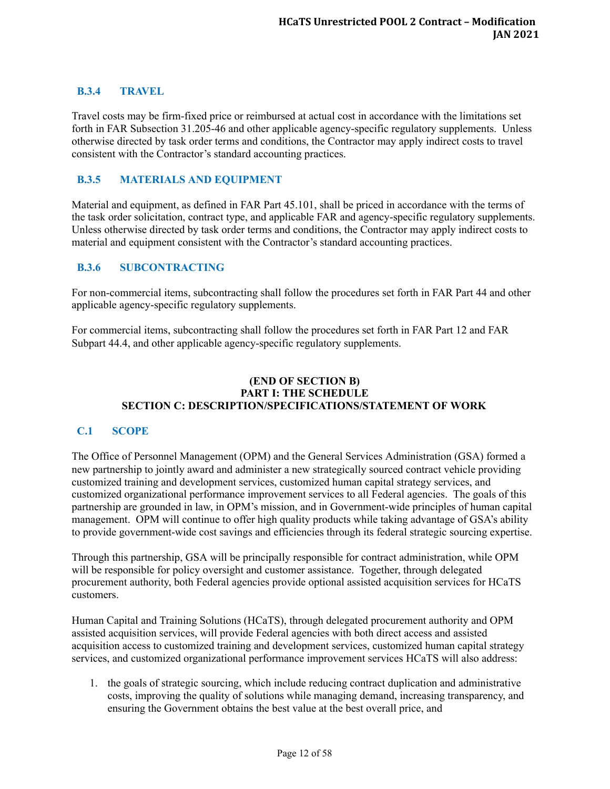# <span id="page-11-0"></span>**B.3.4 TRAVEL**

Travel costs may be firm-fixed price or reimbursed at actual cost in accordance with the limitations set forth in FAR Subsection 31.205-46 and other applicable agency-specific regulatory supplements. Unless otherwise directed by task order terms and conditions, the Contractor may apply indirect costs to travel consistent with the Contractor's standard accounting practices.

#### <span id="page-11-1"></span>**B.3.5 MATERIALS AND EQUIPMENT**

Material and equipment, as defined in FAR Part 45.101, shall be priced in accordance with the terms of the task order solicitation, contract type, and applicable FAR and agency-specific regulatory supplements. Unless otherwise directed by task order terms and conditions, the Contractor may apply indirect costs to material and equipment consistent with the Contractor's standard accounting practices.

#### <span id="page-11-2"></span>**B.3.6 SUBCONTRACTING**

For non-commercial items, subcontracting shall follow the procedures set forth in FAR Part 44 and other applicable agency-specific regulatory supplements.

For commercial items, subcontracting shall follow the procedures set forth in FAR Part 12 and FAR Subpart 44.4, and other applicable agency-specific regulatory supplements.

#### **(END OF SECTION B) PART I: THE SCHEDULE SECTION C: DESCRIPTION/SPECIFICATIONS/STATEMENT OF WORK**

#### <span id="page-11-3"></span>**C.1 SCOPE**

The Office of Personnel Management (OPM) and the General Services Administration (GSA) formed a new partnership to jointly award and administer a new strategically sourced contract vehicle providing customized training and development services, customized human capital strategy services, and customized organizational performance improvement services to all Federal agencies. The goals of this partnership are grounded in law, in OPM's mission, and in Government-wide principles of human capital management. OPM will continue to offer high quality products while taking advantage of GSA's ability to provide government-wide cost savings and efficiencies through its federal strategic sourcing expertise.

Through this partnership, GSA will be principally responsible for contract administration, while OPM will be responsible for policy oversight and customer assistance. Together, through delegated procurement authority, both Federal agencies provide optional assisted acquisition services for HCaTS customers.

Human Capital and Training Solutions (HCaTS), through delegated procurement authority and OPM assisted acquisition services, will provide Federal agencies with both direct access and assisted acquisition access to customized training and development services, customized human capital strategy services, and customized organizational performance improvement services HCaTS will also address:

1. the goals of strategic sourcing, which include reducing contract duplication and administrative costs, improving the quality of solutions while managing demand, increasing transparency, and ensuring the Government obtains the best value at the best overall price, and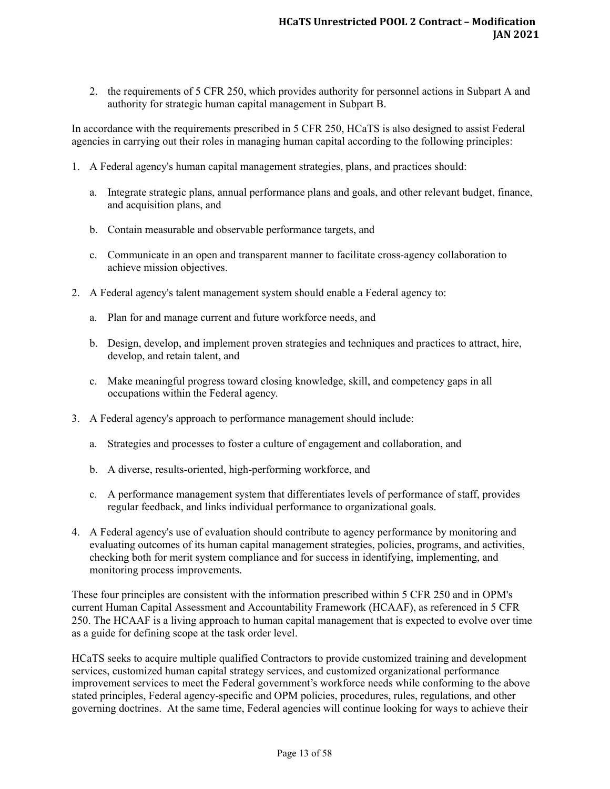2. the requirements of 5 CFR 250, which provides authority for personnel actions in Subpart A and authority for strategic human capital management in Subpart B.

In accordance with the requirements prescribed in 5 CFR 250, HCaTS is also designed to assist Federal agencies in carrying out their roles in managing human capital according to the following principles:

- 1. A Federal agency's human capital management strategies, plans, and practices should:
	- a. Integrate strategic plans, annual performance plans and goals, and other relevant budget, finance, and acquisition plans, and
	- b. Contain measurable and observable performance targets, and
	- c. Communicate in an open and transparent manner to facilitate cross-agency collaboration to achieve mission objectives.
- 2. A Federal agency's talent management system should enable a Federal agency to:
	- a. Plan for and manage current and future workforce needs, and
	- b. Design, develop, and implement proven strategies and techniques and practices to attract, hire, develop, and retain talent, and
	- c. Make meaningful progress toward closing knowledge, skill, and competency gaps in all occupations within the Federal agency.
- 3. A Federal agency's approach to performance management should include:
	- a. Strategies and processes to foster a culture of engagement and collaboration, and
	- b. A diverse, results-oriented, high-performing workforce, and
	- c. A performance management system that differentiates levels of performance of staff, provides regular feedback, and links individual performance to organizational goals.
- 4. A Federal agency's use of evaluation should contribute to agency performance by monitoring and evaluating outcomes of its human capital management strategies, policies, programs, and activities, checking both for merit system compliance and for success in identifying, implementing, and monitoring process improvements.

These four principles are consistent with the information prescribed within 5 CFR 250 and in OPM's current Human Capital Assessment and Accountability Framework (HCAAF), as referenced in 5 CFR 250. The HCAAF is a living approach to human capital management that is expected to evolve over time as a guide for defining scope at the task order level.

HCaTS seeks to acquire multiple qualified Contractors to provide customized training and development services, customized human capital strategy services, and customized organizational performance improvement services to meet the Federal government's workforce needs while conforming to the above stated principles, Federal agency-specific and OPM policies, procedures, rules, regulations, and other governing doctrines. At the same time, Federal agencies will continue looking for ways to achieve their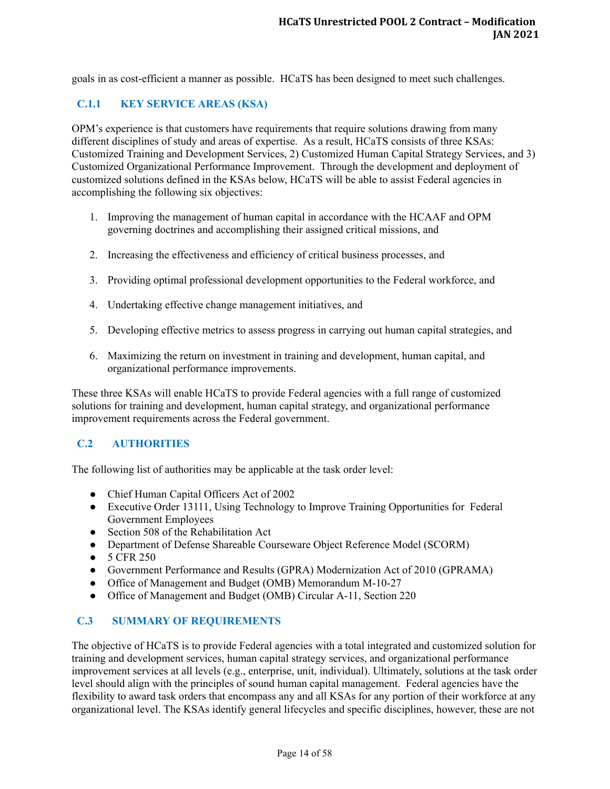goals in as cost-efficient a manner as possible. HCaTS has been designed to meet such challenges.

# <span id="page-13-0"></span>**C.1.1 KEY SERVICE AREAS (KSA)**

OPM's experience is that customers have requirements that require solutions drawing from many different disciplines of study and areas of expertise. As a result, HCaTS consists of three KSAs: Customized Training and Development Services, 2) Customized Human Capital Strategy Services, and 3) Customized Organizational Performance Improvement. Through the development and deployment of customized solutions defined in the KSAs below, HCaTS will be able to assist Federal agencies in accomplishing the following six objectives:

- 1. Improving the management of human capital in accordance with the HCAAF and OPM governing doctrines and accomplishing their assigned critical missions, and
- 2. Increasing the effectiveness and efficiency of critical business processes, and
- 3. Providing optimal professional development opportunities to the Federal workforce, and
- 4. Undertaking effective change management initiatives, and
- 5. Developing effective metrics to assess progress in carrying out human capital strategies, and
- 6. Maximizing the return on investment in training and development, human capital, and organizational performance improvements.

These three KSAs will enable HCaTS to provide Federal agencies with a full range of customized solutions for training and development, human capital strategy, and organizational performance improvement requirements across the Federal government.

# <span id="page-13-1"></span>**C.2 AUTHORITIES**

The following list of authorities may be applicable at the task order level:

- Chief Human Capital Officers Act of 2002
- Executive Order 13111, Using Technology to Improve Training Opportunities for Federal Government Employees
- Section 508 of the Rehabilitation Act
- Department of Defense Shareable Courseware Object Reference Model (SCORM)
- 5 CFR 250
- Government Performance and Results (GPRA) Modernization Act of 2010 (GPRAMA)
- Office of Management and Budget (OMB) Memorandum M-10-27
- Office of Management and Budget (OMB) Circular A-11, Section 220

#### <span id="page-13-2"></span>**C.3 SUMMARY OF REQUIREMENTS**

The objective of HCaTS is to provide Federal agencies with a total integrated and customized solution for training and development services, human capital strategy services, and organizational performance improvement services at all levels (e.g., enterprise, unit, individual). Ultimately, solutions at the task order level should align with the principles of sound human capital management. Federal agencies have the flexibility to award task orders that encompass any and all KSAs for any portion of their workforce at any organizational level. The KSAs identify general lifecycles and specific disciplines, however, these are not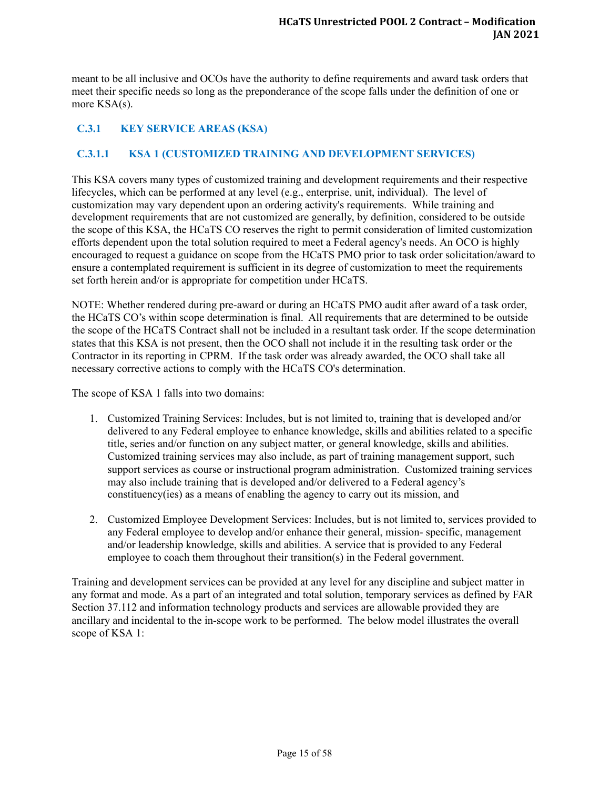meant to be all inclusive and OCOs have the authority to define requirements and award task orders that meet their specific needs so long as the preponderance of the scope falls under the definition of one or more KSA(s).

# <span id="page-14-0"></span>**C.3.1 KEY SERVICE AREAS (KSA)**

# <span id="page-14-1"></span>**C.3.1.1 KSA 1 (CUSTOMIZED TRAINING AND DEVELOPMENT SERVICES)**

This KSA covers many types of customized training and development requirements and their respective lifecycles, which can be performed at any level (e.g., enterprise, unit, individual). The level of customization may vary dependent upon an ordering activity's requirements. While training and development requirements that are not customized are generally, by definition, considered to be outside the scope of this KSA, the HCaTS CO reserves the right to permit consideration of limited customization efforts dependent upon the total solution required to meet a Federal agency's needs. An OCO is highly encouraged to request a guidance on scope from the HCaTS PMO prior to task order solicitation/award to ensure a contemplated requirement is sufficient in its degree of customization to meet the requirements set forth herein and/or is appropriate for competition under HCaTS.

NOTE: Whether rendered during pre-award or during an HCaTS PMO audit after award of a task order, the HCaTS CO's within scope determination is final. All requirements that are determined to be outside the scope of the HCaTS Contract shall not be included in a resultant task order. If the scope determination states that this KSA is not present, then the OCO shall not include it in the resulting task order or the Contractor in its reporting in CPRM. If the task order was already awarded, the OCO shall take all necessary corrective actions to comply with the HCaTS CO's determination.

The scope of KSA 1 falls into two domains:

- 1. Customized Training Services: Includes, but is not limited to, training that is developed and/or delivered to any Federal employee to enhance knowledge, skills and abilities related to a specific title, series and/or function on any subject matter, or general knowledge, skills and abilities. Customized training services may also include, as part of training management support, such support services as course or instructional program administration. Customized training services may also include training that is developed and/or delivered to a Federal agency's constituency(ies) as a means of enabling the agency to carry out its mission, and
- 2. Customized Employee Development Services: Includes, but is not limited to, services provided to any Federal employee to develop and/or enhance their general, mission- specific, management and/or leadership knowledge, skills and abilities. A service that is provided to any Federal employee to coach them throughout their transition(s) in the Federal government.

Training and development services can be provided at any level for any discipline and subject matter in any format and mode. As a part of an integrated and total solution, temporary services as defined by FAR Section 37.112 and information technology products and services are allowable provided they are ancillary and incidental to the in-scope work to be performed. The below model illustrates the overall scope of KSA 1: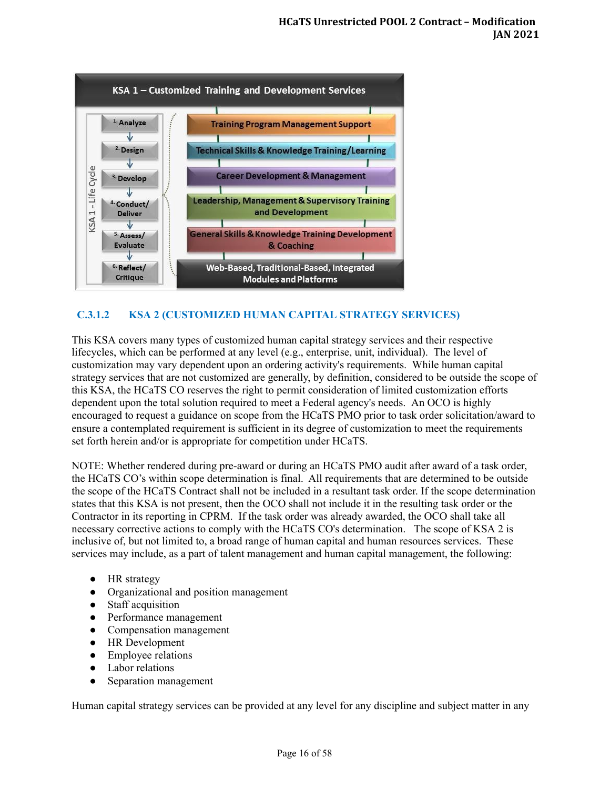

# <span id="page-15-0"></span>**C.3.1.2 KSA 2 (CUSTOMIZED HUMAN CAPITAL STRATEGY SERVICES)**

This KSA covers many types of customized human capital strategy services and their respective lifecycles, which can be performed at any level (e.g., enterprise, unit, individual). The level of customization may vary dependent upon an ordering activity's requirements. While human capital strategy services that are not customized are generally, by definition, considered to be outside the scope of this KSA, the HCaTS CO reserves the right to permit consideration of limited customization efforts dependent upon the total solution required to meet a Federal agency's needs. An OCO is highly encouraged to request a guidance on scope from the HCaTS PMO prior to task order solicitation/award to ensure a contemplated requirement is sufficient in its degree of customization to meet the requirements set forth herein and/or is appropriate for competition under HCaTS.

NOTE: Whether rendered during pre-award or during an HCaTS PMO audit after award of a task order, the HCaTS CO's within scope determination is final. All requirements that are determined to be outside the scope of the HCaTS Contract shall not be included in a resultant task order. If the scope determination states that this KSA is not present, then the OCO shall not include it in the resulting task order or the Contractor in its reporting in CPRM. If the task order was already awarded, the OCO shall take all necessary corrective actions to comply with the HCaTS CO's determination. The scope of KSA 2 is inclusive of, but not limited to, a broad range of human capital and human resources services. These services may include, as a part of talent management and human capital management, the following:

- HR strategy
- Organizational and position management
- Staff acquisition
- Performance management
- Compensation management
- HR Development
- Employee relations
- Labor relations
- Separation management

Human capital strategy services can be provided at any level for any discipline and subject matter in any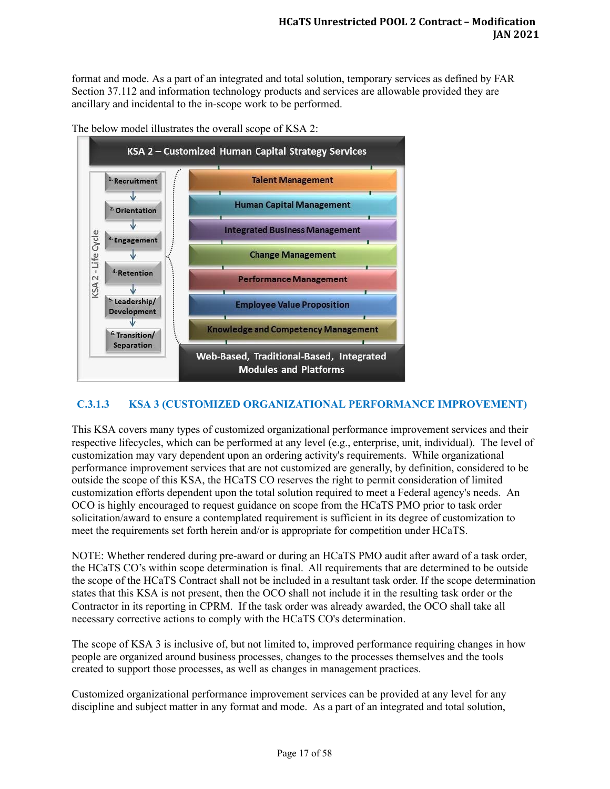format and mode. As a part of an integrated and total solution, temporary services as defined by FAR Section 37.112 and information technology products and services are allowable provided they are ancillary and incidental to the in-scope work to be performed.





# <span id="page-16-0"></span>**C.3.1.3 KSA 3 (CUSTOMIZED ORGANIZATIONAL PERFORMANCE IMPROVEMENT)**

This KSA covers many types of customized organizational performance improvement services and their respective lifecycles, which can be performed at any level (e.g., enterprise, unit, individual). The level of customization may vary dependent upon an ordering activity's requirements. While organizational performance improvement services that are not customized are generally, by definition, considered to be outside the scope of this KSA, the HCaTS CO reserves the right to permit consideration of limited customization efforts dependent upon the total solution required to meet a Federal agency's needs. An OCO is highly encouraged to request guidance on scope from the HCaTS PMO prior to task order solicitation/award to ensure a contemplated requirement is sufficient in its degree of customization to meet the requirements set forth herein and/or is appropriate for competition under HCaTS.

NOTE: Whether rendered during pre-award or during an HCaTS PMO audit after award of a task order, the HCaTS CO's within scope determination is final. All requirements that are determined to be outside the scope of the HCaTS Contract shall not be included in a resultant task order. If the scope determination states that this KSA is not present, then the OCO shall not include it in the resulting task order or the Contractor in its reporting in CPRM. If the task order was already awarded, the OCO shall take all necessary corrective actions to comply with the HCaTS CO's determination.

The scope of KSA 3 is inclusive of, but not limited to, improved performance requiring changes in how people are organized around business processes, changes to the processes themselves and the tools created to support those processes, as well as changes in management practices.

Customized organizational performance improvement services can be provided at any level for any discipline and subject matter in any format and mode. As a part of an integrated and total solution,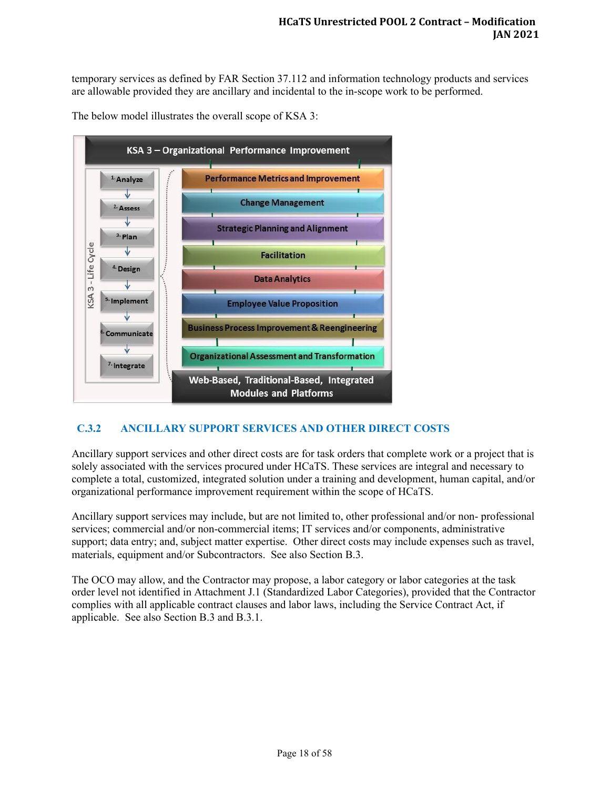temporary services as defined by FAR Section 37.112 and information technology products and services are allowable provided they are ancillary and incidental to the in-scope work to be performed.

The below model illustrates the overall scope of KSA 3:



# <span id="page-17-0"></span>**C.3.2 ANCILLARY SUPPORT SERVICES AND OTHER DIRECT COSTS**

Ancillary support services and other direct costs are for task orders that complete work or a project that is solely associated with the services procured under HCaTS. These services are integral and necessary to complete a total, customized, integrated solution under a training and development, human capital, and/or organizational performance improvement requirement within the scope of HCaTS.

Ancillary support services may include, but are not limited to, other professional and/or non- professional services; commercial and/or non-commercial items; IT services and/or components, administrative support; data entry; and, subject matter expertise. Other direct costs may include expenses such as travel, materials, equipment and/or Subcontractors. See also Section B.3.

The OCO may allow, and the Contractor may propose, a labor category or labor categories at the task order level not identified in Attachment J.1 (Standardized Labor Categories), provided that the Contractor complies with all applicable contract clauses and labor laws, including the Service Contract Act, if applicable. See also Section B.3 and B.3.1.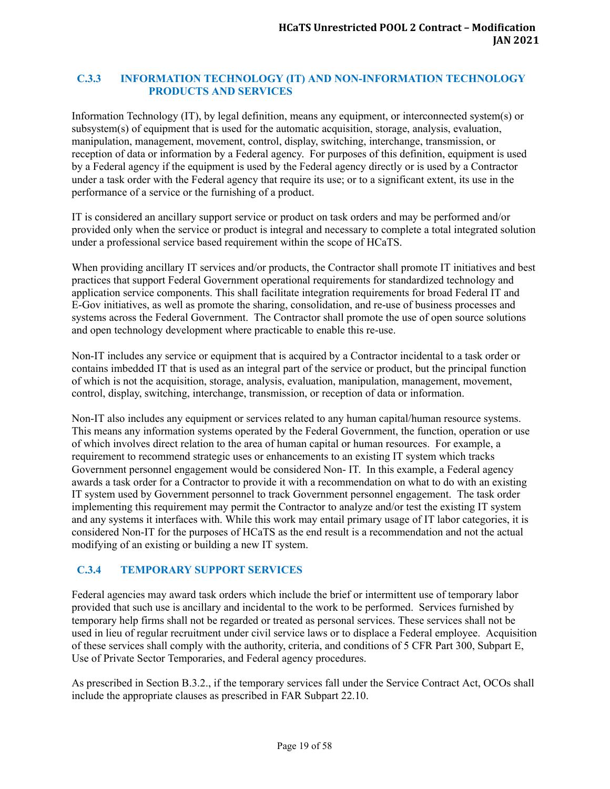#### <span id="page-18-0"></span>**C.3.3 INFORMATION TECHNOLOGY (IT) AND NON-INFORMATION TECHNOLOGY PRODUCTS AND SERVICES**

Information Technology (IT), by legal definition, means any equipment, or interconnected system(s) or subsystem(s) of equipment that is used for the automatic acquisition, storage, analysis, evaluation, manipulation, management, movement, control, display, switching, interchange, transmission, or reception of data or information by a Federal agency. For purposes of this definition, equipment is used by a Federal agency if the equipment is used by the Federal agency directly or is used by a Contractor under a task order with the Federal agency that require its use; or to a significant extent, its use in the performance of a service or the furnishing of a product.

IT is considered an ancillary support service or product on task orders and may be performed and/or provided only when the service or product is integral and necessary to complete a total integrated solution under a professional service based requirement within the scope of HCaTS.

When providing ancillary IT services and/or products, the Contractor shall promote IT initiatives and best practices that support Federal Government operational requirements for standardized technology and application service components. This shall facilitate integration requirements for broad Federal IT and E-Gov initiatives, as well as promote the sharing, consolidation, and re-use of business processes and systems across the Federal Government. The Contractor shall promote the use of open source solutions and open technology development where practicable to enable this re-use.

Non-IT includes any service or equipment that is acquired by a Contractor incidental to a task order or contains imbedded IT that is used as an integral part of the service or product, but the principal function of which is not the acquisition, storage, analysis, evaluation, manipulation, management, movement, control, display, switching, interchange, transmission, or reception of data or information.

Non-IT also includes any equipment or services related to any human capital/human resource systems. This means any information systems operated by the Federal Government, the function, operation or use of which involves direct relation to the area of human capital or human resources. For example, a requirement to recommend strategic uses or enhancements to an existing IT system which tracks Government personnel engagement would be considered Non- IT. In this example, a Federal agency awards a task order for a Contractor to provide it with a recommendation on what to do with an existing IT system used by Government personnel to track Government personnel engagement. The task order implementing this requirement may permit the Contractor to analyze and/or test the existing IT system and any systems it interfaces with. While this work may entail primary usage of IT labor categories, it is considered Non-IT for the purposes of HCaTS as the end result is a recommendation and not the actual modifying of an existing or building a new IT system.

# <span id="page-18-1"></span>**C.3.4 TEMPORARY SUPPORT SERVICES**

Federal agencies may award task orders which include the brief or intermittent use of temporary labor provided that such use is ancillary and incidental to the work to be performed. Services furnished by temporary help firms shall not be regarded or treated as personal services. These services shall not be used in lieu of regular recruitment under civil service laws or to displace a Federal employee. Acquisition of these services shall comply with the authority, criteria, and conditions of 5 CFR Part 300, Subpart E, Use of Private Sector Temporaries, and Federal agency procedures.

As prescribed in Section B.3.2., if the temporary services fall under the Service Contract Act, OCOs shall include the appropriate clauses as prescribed in FAR Subpart 22.10.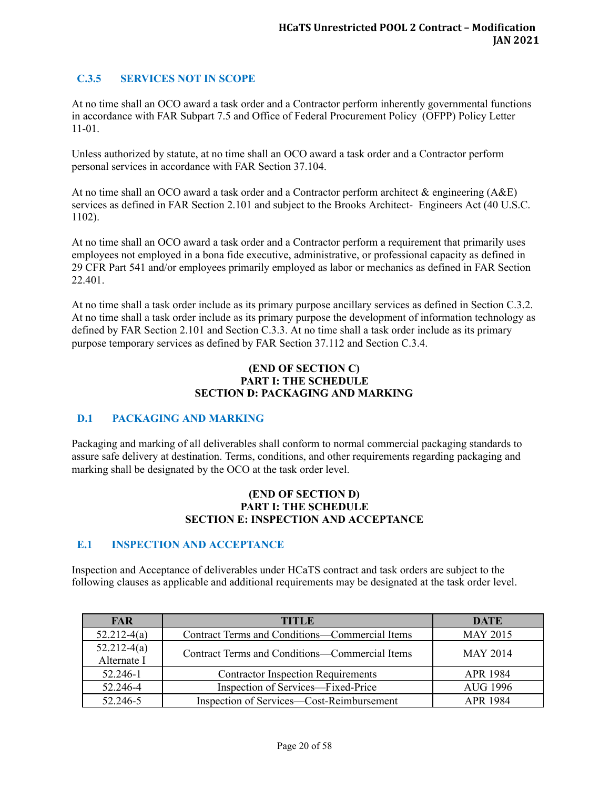# <span id="page-19-0"></span>**C.3.5 SERVICES NOT IN SCOPE**

At no time shall an OCO award a task order and a Contractor perform inherently governmental functions in accordance with FAR Subpart 7.5 and Office of Federal Procurement Policy (OFPP) Policy Letter 11-01.

Unless authorized by statute, at no time shall an OCO award a task order and a Contractor perform personal services in accordance with FAR Section 37.104.

At no time shall an OCO award a task order and a Contractor perform architect & engineering (A&E) services as defined in FAR Section 2.101 and subject to the Brooks Architect- Engineers Act (40 U.S.C. 1102).

At no time shall an OCO award a task order and a Contractor perform a requirement that primarily uses employees not employed in a bona fide executive, administrative, or professional capacity as defined in 29 CFR Part 541 and/or employees primarily employed as labor or mechanics as defined in FAR Section 22.401.

At no time shall a task order include as its primary purpose ancillary services as defined in Section C.3.2. At no time shall a task order include as its primary purpose the development of information technology as defined by FAR Section 2.101 and Section C.3.3. At no time shall a task order include as its primary purpose temporary services as defined by FAR Section 37.112 and Section C.3.4.

#### **(END OF SECTION C) PART I: THE SCHEDULE SECTION D: PACKAGING AND MARKING**

# <span id="page-19-1"></span>**D.1 PACKAGING AND MARKING**

Packaging and marking of all deliverables shall conform to normal commercial packaging standards to assure safe delivery at destination. Terms, conditions, and other requirements regarding packaging and marking shall be designated by the OCO at the task order level.

#### **(END OF SECTION D) PART I: THE SCHEDULE SECTION E: INSPECTION AND ACCEPTANCE**

#### <span id="page-19-2"></span>**E.1 INSPECTION AND ACCEPTANCE**

Inspection and Acceptance of deliverables under HCaTS contract and task orders are subject to the following clauses as applicable and additional requirements may be designated at the task order level.

| <b>FAR</b>                     | TITLE                                          | <b>DATE</b>     |
|--------------------------------|------------------------------------------------|-----------------|
| $52.212-4(a)$                  | Contract Terms and Conditions-Commercial Items | <b>MAY 2015</b> |
| $52.212 - 4(a)$<br>Alternate I | Contract Terms and Conditions—Commercial Items | <b>MAY 2014</b> |
| 52.246-1                       | <b>Contractor Inspection Requirements</b>      | APR 1984        |
| 52.246-4                       | Inspection of Services—Fixed-Price             | <b>AUG 1996</b> |
| 52.246-5                       | Inspection of Services—Cost-Reimbursement      | <b>APR 1984</b> |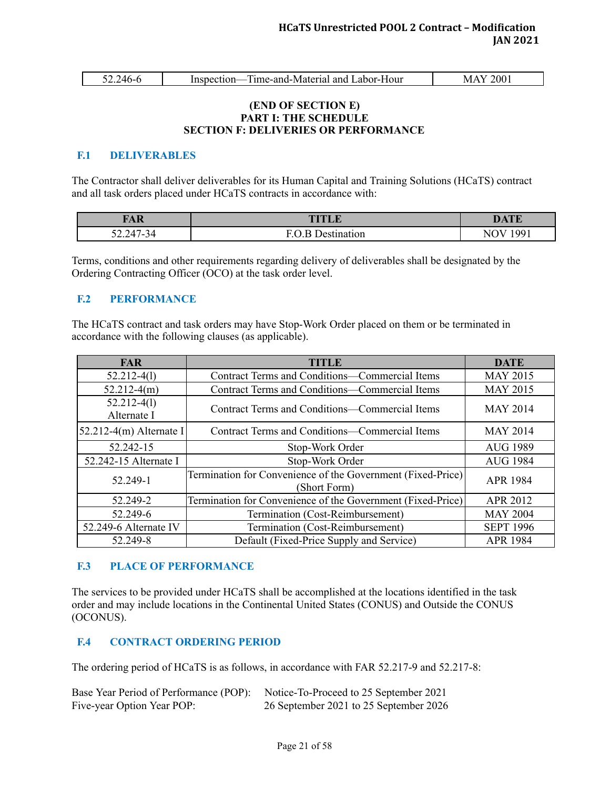| ◡-- | 'Δ6. | - Fime-and-Material and Labor-Hour<br>Inspection- | 200<br>$M_{\star}$ |
|-----|------|---------------------------------------------------|--------------------|
|     |      |                                                   |                    |

#### **(END OF SECTION E) PART I: THE SCHEDULE SECTION F: DELIVERIES OR PERFORMANCE**

#### <span id="page-20-0"></span>**F.1 DELIVERABLES**

The Contractor shall deliver deliverables for its Human Capital and Training Solutions (HCaTS) contract and all task orders placed under HCaTS contracts in accordance with:

| <b>TAR</b><br>TIT | <b>DATE</b>   |
|-------------------|---------------|
| $52.247 - 34$     | 1 00 1<br>NI. |

Terms, conditions and other requirements regarding delivery of deliverables shall be designated by the Ordering Contracting Officer (OCO) at the task order level.

#### <span id="page-20-1"></span>**F.2 PERFORMANCE**

The HCaTS contract and task orders may have Stop-Work Order placed on them or be terminated in accordance with the following clauses (as applicable).

| <b>FAR</b>                     | <b>TITLE</b>                                                                | <b>DATE</b>      |
|--------------------------------|-----------------------------------------------------------------------------|------------------|
| $52.212 - 4(1)$                | Contract Terms and Conditions-Commercial Items                              | <b>MAY 2015</b>  |
| $52.212-4(m)$                  | <b>Contract Terms and Conditions—Commercial Items</b>                       | <b>MAY 2015</b>  |
| $52.212 - 4(1)$<br>Alternate I | Contract Terms and Conditions—Commercial Items                              | <b>MAY 2014</b>  |
| $52.212-4(m)$ Alternate I      | Contract Terms and Conditions-Commercial Items                              | <b>MAY 2014</b>  |
| 52.242-15                      | Stop-Work Order                                                             | <b>AUG 1989</b>  |
| 52.242-15 Alternate I          | Stop-Work Order                                                             | <b>AUG 1984</b>  |
| 52.249-1                       | Termination for Convenience of the Government (Fixed-Price)<br>(Short Form) | <b>APR 1984</b>  |
| 52.249-2                       | Termination for Convenience of the Government (Fixed-Price)                 | APR 2012         |
| 52.249-6                       | Termination (Cost-Reimbursement)                                            | <b>MAY 2004</b>  |
| 52.249-6 Alternate IV          | Termination (Cost-Reimbursement)                                            | <b>SEPT 1996</b> |
| 52.249-8                       | Default (Fixed-Price Supply and Service)                                    | APR 1984         |

# <span id="page-20-2"></span>**F.3 PLACE OF PERFORMANCE**

The services to be provided under HCaTS shall be accomplished at the locations identified in the task order and may include locations in the Continental United States (CONUS) and Outside the CONUS (OCONUS).

# <span id="page-20-3"></span>**F.4 CONTRACT ORDERING PERIOD**

The ordering period of HCaTS is as follows, in accordance with FAR 52.217-9 and 52.217-8:

| Base Year Period of Performance (POP): Notice-To-Proceed to 25 September 2021 |                                        |
|-------------------------------------------------------------------------------|----------------------------------------|
| Five-year Option Year POP:                                                    | 26 September 2021 to 25 September 2026 |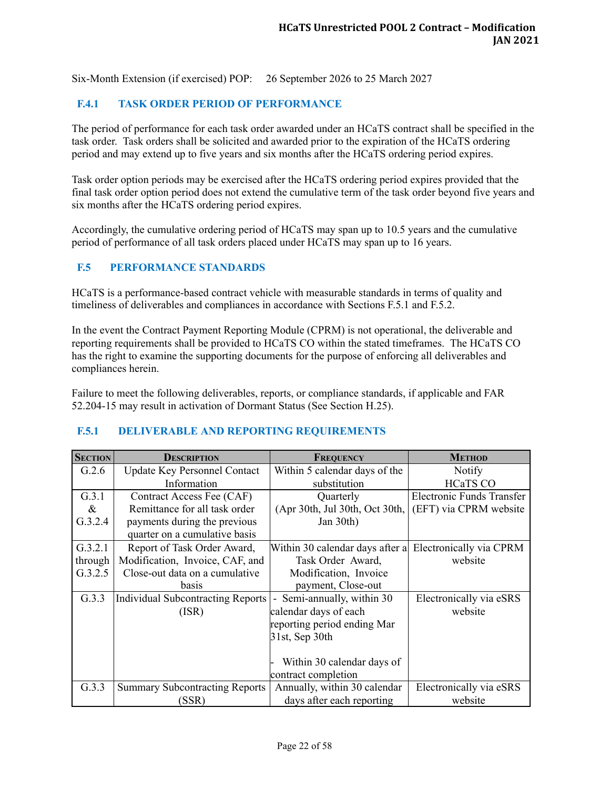Six-Month Extension (if exercised) POP: 26 September 2026 to 25 March 2027

# <span id="page-21-0"></span>**F.4.1 TASK ORDER PERIOD OF PERFORMANCE**

The period of performance for each task order awarded under an HCaTS contract shall be specified in the task order. Task orders shall be solicited and awarded prior to the expiration of the HCaTS ordering period and may extend up to five years and six months after the HCaTS ordering period expires.

Task order option periods may be exercised after the HCaTS ordering period expires provided that the final task order option period does not extend the cumulative term of the task order beyond five years and six months after the HCaTS ordering period expires.

Accordingly, the cumulative ordering period of HCaTS may span up to 10.5 years and the cumulative period of performance of all task orders placed under HCaTS may span up to 16 years.

#### <span id="page-21-1"></span>**F.5 PERFORMANCE STANDARDS**

HCaTS is a performance-based contract vehicle with measurable standards in terms of quality and timeliness of deliverables and compliances in accordance with Sections F.5.1 and F.5.2.

In the event the Contract Payment Reporting Module (CPRM) is not operational, the deliverable and reporting requirements shall be provided to HCaTS CO within the stated timeframes. The HCaTS CO has the right to examine the supporting documents for the purpose of enforcing all deliverables and compliances herein.

Failure to meet the following deliverables, reports, or compliance standards, if applicable and FAR 52.204-15 may result in activation of Dormant Status (See Section H.25).

#### <span id="page-21-2"></span>**F.5.1 DELIVERABLE AND REPORTING REQUIREMENTS**

| <b>SECTION</b> | <b>DESCRIPTION</b>                    | FREQUENCY                                  | <b>METHOD</b>                    |
|----------------|---------------------------------------|--------------------------------------------|----------------------------------|
| G.2.6          | <b>Update Key Personnel Contact</b>   | Within 5 calendar days of the              | Notify                           |
|                | Information                           | substitution                               | <b>HCaTS CO</b>                  |
| G.3.1          | Contract Access Fee (CAF)             | Quarterly                                  | <b>Electronic Funds Transfer</b> |
| $\&$           | Remittance for all task order         | (Apr 30th, Jul 30th, Oct 30th,             | (EFT) via CPRM website           |
| G.3.2.4        | payments during the previous          | Jan 30th)                                  |                                  |
|                | quarter on a cumulative basis         |                                            |                                  |
| G.3.2.1        | Report of Task Order Award,           | Within 30 calendar days after a            | Electronically via CPRM          |
| through        | Modification, Invoice, CAF, and       | Task Order Award,                          | website                          |
| G.3.2.5        | Close-out data on a cumulative        | Modification, Invoice                      |                                  |
|                | basis                                 | payment, Close-out                         |                                  |
| G.3.3          | Individual Subcontracting Reports     | Semi-annually, within 30<br>$\blacksquare$ | Electronically via eSRS          |
|                | (ISR)                                 | calendar days of each                      | website                          |
|                |                                       | reporting period ending Mar                |                                  |
|                |                                       | 31st, Sep 30th                             |                                  |
|                |                                       |                                            |                                  |
|                |                                       | Within 30 calendar days of                 |                                  |
|                |                                       | contract completion                        |                                  |
| G.3.3          | <b>Summary Subcontracting Reports</b> | Annually, within 30 calendar               | Electronically via eSRS          |
|                | (SSR)                                 | days after each reporting                  | website                          |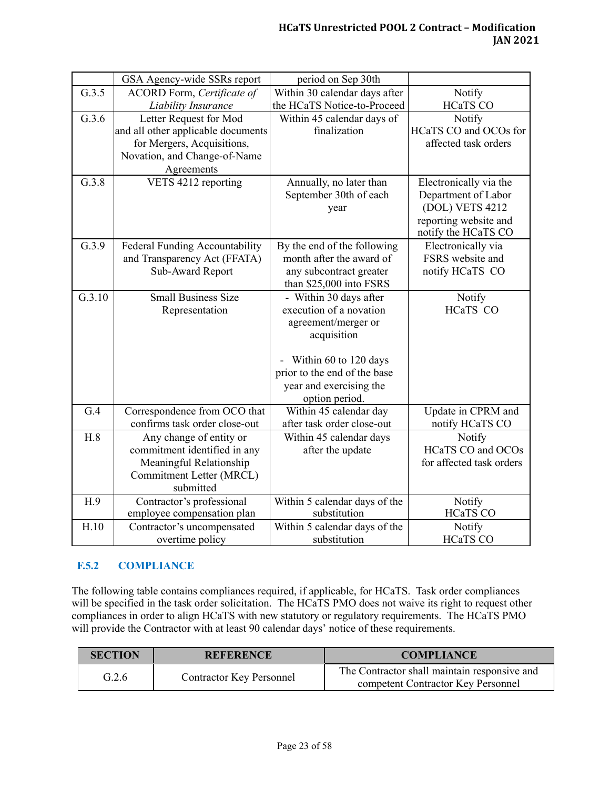|        | GSA Agency-wide SSRs report        | period on Sep 30th            |                          |
|--------|------------------------------------|-------------------------------|--------------------------|
| G.3.5  | ACORD Form, Certificate of         | Within 30 calendar days after | Notify                   |
|        | Liability Insurance                | the HCaTS Notice-to-Proceed   | <b>HCaTS CO</b>          |
| G.3.6  | Letter Request for Mod             | Within 45 calendar days of    | Notify                   |
|        | and all other applicable documents | finalization                  | HCaTS CO and OCOs for    |
|        | for Mergers, Acquisitions,         |                               | affected task orders     |
|        | Novation, and Change-of-Name       |                               |                          |
|        | Agreements                         |                               |                          |
| G.3.8  | VETS 4212 reporting                | Annually, no later than       | Electronically via the   |
|        |                                    | September 30th of each        | Department of Labor      |
|        |                                    | year                          | (DOL) VETS 4212          |
|        |                                    |                               | reporting website and    |
|        |                                    |                               | notify the HCaTS CO      |
| G.3.9  | Federal Funding Accountability     | By the end of the following   | Electronically via       |
|        | and Transparency Act (FFATA)       | month after the award of      | FSRS website and         |
|        | Sub-Award Report                   | any subcontract greater       | notify HCaTS CO          |
|        |                                    | than \$25,000 into FSRS       |                          |
| G.3.10 | <b>Small Business Size</b>         | - Within 30 days after        | Notify                   |
|        | Representation                     | execution of a novation       | <b>HCaTS CO</b>          |
|        |                                    | agreement/merger or           |                          |
|        |                                    | acquisition                   |                          |
|        |                                    |                               |                          |
|        |                                    | Within 60 to 120 days         |                          |
|        |                                    | prior to the end of the base  |                          |
|        |                                    | year and exercising the       |                          |
|        |                                    | option period.                |                          |
| G.4    | Correspondence from OCO that       | Within 45 calendar day        | Update in CPRM and       |
|        | confirms task order close-out      | after task order close-out    | notify HCaTS CO          |
| H.8    | Any change of entity or            | Within 45 calendar days       | Notify                   |
|        | commitment identified in any       | after the update              | <b>HCaTS CO and OCOs</b> |
|        | Meaningful Relationship            |                               | for affected task orders |
|        | Commitment Letter (MRCL)           |                               |                          |
|        | submitted                          |                               |                          |
| H.9    | Contractor's professional          | Within 5 calendar days of the | Notify                   |
|        | employee compensation plan         | substitution                  | <b>HCaTS CO</b>          |
| H.10   | Contractor's uncompensated         | Within 5 calendar days of the | Notify                   |
|        | overtime policy                    | substitution                  | <b>HCaTS CO</b>          |

# <span id="page-22-0"></span>**F.5.2 COMPLIANCE**

The following table contains compliances required, if applicable, for HCaTS. Task order compliances will be specified in the task order solicitation. The HCaTS PMO does not waive its right to request other compliances in order to align HCaTS with new statutory or regulatory requirements. The HCaTS PMO will provide the Contractor with at least 90 calendar days' notice of these requirements.

| <b>SECTION</b> | <b>REFERENCE</b>                | <b>COMPLIANCE</b>                                                                  |
|----------------|---------------------------------|------------------------------------------------------------------------------------|
| G.2.6          | <b>Contractor Key Personnel</b> | The Contractor shall maintain responsive and<br>competent Contractor Key Personnel |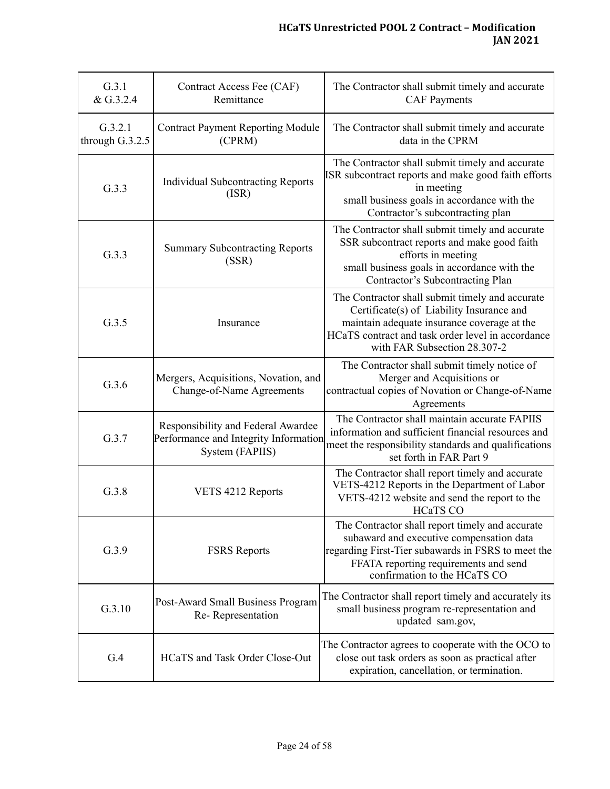| G.3.1<br>Contract Access Fee (CAF)<br>& G.3.2.4<br>Remittance |                                                                                                | The Contractor shall submit timely and accurate<br><b>CAF Payments</b>                                                                                                                                                           |  |
|---------------------------------------------------------------|------------------------------------------------------------------------------------------------|----------------------------------------------------------------------------------------------------------------------------------------------------------------------------------------------------------------------------------|--|
| G.3.2.1<br>through G.3.2.5                                    | <b>Contract Payment Reporting Module</b><br>(CPRM)                                             | The Contractor shall submit timely and accurate<br>data in the CPRM                                                                                                                                                              |  |
| G.3.3                                                         | <b>Individual Subcontracting Reports</b><br>(ISR)                                              | The Contractor shall submit timely and accurate<br>ISR subcontract reports and make good faith efforts<br>in meeting<br>small business goals in accordance with the<br>Contractor's subcontracting plan                          |  |
| G.3.3                                                         | <b>Summary Subcontracting Reports</b><br>(SSR)                                                 | The Contractor shall submit timely and accurate<br>SSR subcontract reports and make good faith<br>efforts in meeting<br>small business goals in accordance with the<br>Contractor's Subcontracting Plan                          |  |
| G.3.5                                                         | Insurance                                                                                      | The Contractor shall submit timely and accurate<br>Certificate(s) of Liability Insurance and<br>maintain adequate insurance coverage at the<br>HCaTS contract and task order level in accordance<br>with FAR Subsection 28.307-2 |  |
| G.3.6                                                         | Mergers, Acquisitions, Novation, and<br>Change-of-Name Agreements                              | The Contractor shall submit timely notice of<br>Merger and Acquisitions or<br>contractual copies of Novation or Change-of-Name<br>Agreements                                                                                     |  |
| G.3.7                                                         | Responsibility and Federal Awardee<br>Performance and Integrity Information<br>System (FAPIIS) | The Contractor shall maintain accurate FAPIIS<br>information and sufficient financial resources and<br>meet the responsibility standards and qualifications<br>set forth in FAR Part 9                                           |  |
| G.3.8                                                         | VETS 4212 Reports                                                                              | The Contractor shall report timely and accurate<br>VETS-4212 Reports in the Department of Labor<br>VETS-4212 website and send the report to the<br><b>HCaTS CO</b>                                                               |  |
| G.3.9                                                         | <b>FSRS</b> Reports                                                                            | The Contractor shall report timely and accurate<br>subaward and executive compensation data<br>regarding First-Tier subawards in FSRS to meet the<br>FFATA reporting requirements and send<br>confirmation to the HCaTS CO       |  |
| G.3.10                                                        | Post-Award Small Business Program<br>Re-Representation                                         | The Contractor shall report timely and accurately its<br>small business program re-representation and<br>updated sam.gov,                                                                                                        |  |
| G.4                                                           | HCaTS and Task Order Close-Out                                                                 | The Contractor agrees to cooperate with the OCO to<br>close out task orders as soon as practical after<br>expiration, cancellation, or termination.                                                                              |  |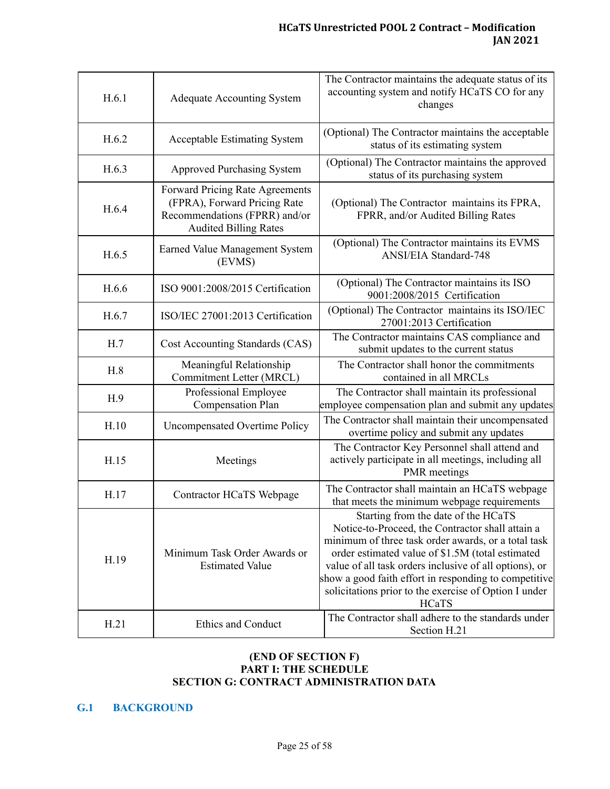| H.6.1 | <b>Adequate Accounting System</b>                                                                                                | The Contractor maintains the adequate status of its<br>accounting system and notify HCaTS CO for any<br>changes                                                                                                                                                                                                                                                                         |
|-------|----------------------------------------------------------------------------------------------------------------------------------|-----------------------------------------------------------------------------------------------------------------------------------------------------------------------------------------------------------------------------------------------------------------------------------------------------------------------------------------------------------------------------------------|
| H.6.2 | <b>Acceptable Estimating System</b>                                                                                              | (Optional) The Contractor maintains the acceptable<br>status of its estimating system                                                                                                                                                                                                                                                                                                   |
| H.6.3 | <b>Approved Purchasing System</b>                                                                                                | (Optional) The Contractor maintains the approved<br>status of its purchasing system                                                                                                                                                                                                                                                                                                     |
| H.6.4 | Forward Pricing Rate Agreements<br>(FPRA), Forward Pricing Rate<br>Recommendations (FPRR) and/or<br><b>Audited Billing Rates</b> | (Optional) The Contractor maintains its FPRA,<br>FPRR, and/or Audited Billing Rates                                                                                                                                                                                                                                                                                                     |
| H.6.5 | Earned Value Management System<br>(EVMS)                                                                                         | (Optional) The Contractor maintains its EVMS<br>ANSI/EIA Standard-748                                                                                                                                                                                                                                                                                                                   |
| H.6.6 | ISO 9001:2008/2015 Certification                                                                                                 | (Optional) The Contractor maintains its ISO<br>9001:2008/2015 Certification                                                                                                                                                                                                                                                                                                             |
| H.6.7 | ISO/IEC 27001:2013 Certification                                                                                                 | (Optional) The Contractor maintains its ISO/IEC<br>27001:2013 Certification                                                                                                                                                                                                                                                                                                             |
| H.7   | Cost Accounting Standards (CAS)                                                                                                  | The Contractor maintains CAS compliance and<br>submit updates to the current status                                                                                                                                                                                                                                                                                                     |
| H.8   | Meaningful Relationship<br>Commitment Letter (MRCL)                                                                              | The Contractor shall honor the commitments<br>contained in all MRCLs                                                                                                                                                                                                                                                                                                                    |
| H.9   | Professional Employee<br><b>Compensation Plan</b>                                                                                | The Contractor shall maintain its professional<br>employee compensation plan and submit any updates                                                                                                                                                                                                                                                                                     |
| H.10  | <b>Uncompensated Overtime Policy</b>                                                                                             | The Contractor shall maintain their uncompensated<br>overtime policy and submit any updates                                                                                                                                                                                                                                                                                             |
| H.15  | Meetings                                                                                                                         | The Contractor Key Personnel shall attend and<br>actively participate in all meetings, including all<br><b>PMR</b> meetings                                                                                                                                                                                                                                                             |
| H.17  | Contractor HCaTS Webpage                                                                                                         | The Contractor shall maintain an HCaTS webpage<br>that meets the minimum webpage requirements                                                                                                                                                                                                                                                                                           |
| H.19  | Minimum Task Order Awards or<br><b>Estimated Value</b>                                                                           | Starting from the date of the HCaTS<br>Notice-to-Proceed, the Contractor shall attain a<br>minimum of three task order awards, or a total task<br>order estimated value of \$1.5M (total estimated<br>value of all task orders inclusive of all options), or<br>show a good faith effort in responding to competitive<br>solicitations prior to the exercise of Option I under<br>HCaTS |
| H.21  | Ethics and Conduct                                                                                                               | The Contractor shall adhere to the standards under<br>Section H.21                                                                                                                                                                                                                                                                                                                      |

#### **(END OF SECTION F) PART I: THE SCHEDULE SECTION G: CONTRACT ADMINISTRATION DATA**

# <span id="page-24-0"></span>**G.1 BACKGROUND**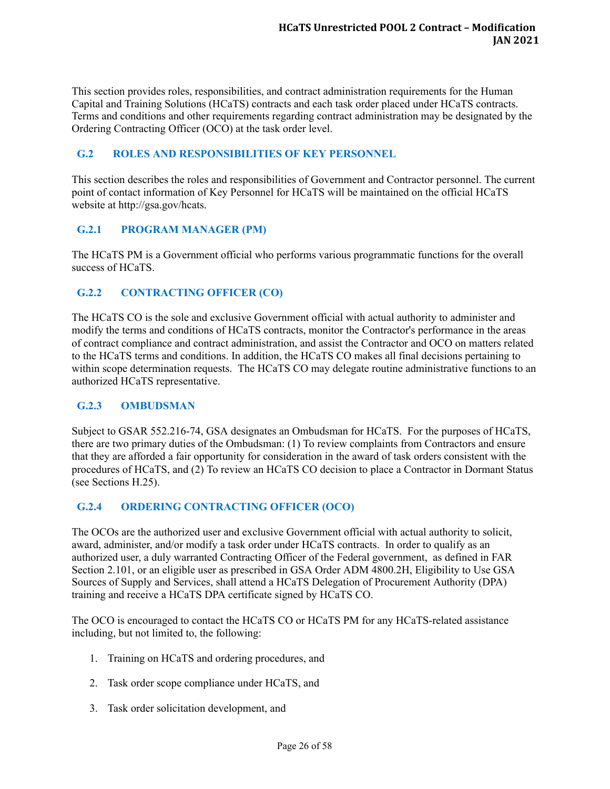This section provides roles, responsibilities, and contract administration requirements for the Human Capital and Training Solutions (HCaTS) contracts and each task order placed under HCaTS contracts. Terms and conditions and other requirements regarding contract administration may be designated by the Ordering Contracting Officer (OCO) at the task order level.

#### <span id="page-25-0"></span>**G.2 ROLES AND RESPONSIBILITIES OF KEY PERSONNEL**

This section describes the roles and responsibilities of Government and Contractor personnel. The current point of contact information of Key Personnel for HCaTS will be maintained on the official HCaTS website at http://gsa.gov/hcats.

# <span id="page-25-1"></span>**G.2.1 PROGRAM MANAGER (PM)**

The HCaTS PM is a Government official who performs various programmatic functions for the overall success of HCaTS.

# <span id="page-25-2"></span>**G.2.2 CONTRACTING OFFICER (CO)**

The HCaTS CO is the sole and exclusive Government official with actual authority to administer and modify the terms and conditions of HCaTS contracts, monitor the Contractor's performance in the areas of contract compliance and contract administration, and assist the Contractor and OCO on matters related to the HCaTS terms and conditions. In addition, the HCaTS CO makes all final decisions pertaining to within scope determination requests. The HCaTS CO may delegate routine administrative functions to an authorized HCaTS representative.

#### <span id="page-25-3"></span>**G.2.3 OMBUDSMAN**

Subject to GSAR 552.216-74, GSA designates an Ombudsman for HCaTS. For the purposes of HCaTS, there are two primary duties of the Ombudsman: (1) To review complaints from Contractors and ensure that they are afforded a fair opportunity for consideration in the award of task orders consistent with the procedures of HCaTS, and (2) To review an HCaTS CO decision to place a Contractor in Dormant Status (see Sections H.25).

# <span id="page-25-4"></span>**G.2.4 ORDERING CONTRACTING OFFICER (OCO)**

The OCOs are the authorized user and exclusive Government official with actual authority to solicit, award, administer, and/or modify a task order under HCaTS contracts. In order to qualify as an authorized user, a duly warranted Contracting Officer of the Federal government, as defined in FAR Section 2.101, or an eligible user as prescribed in GSA Order ADM 4800.2H, Eligibility to Use GSA Sources of Supply and Services, shall attend a HCaTS Delegation of Procurement Authority (DPA) training and receive a HCaTS DPA certificate signed by HCaTS CO.

The OCO is encouraged to contact the HCaTS CO or HCaTS PM for any HCaTS-related assistance including, but not limited to, the following:

- 1. Training on HCaTS and ordering procedures, and
- 2. Task order scope compliance under HCaTS, and
- 3. Task order solicitation development, and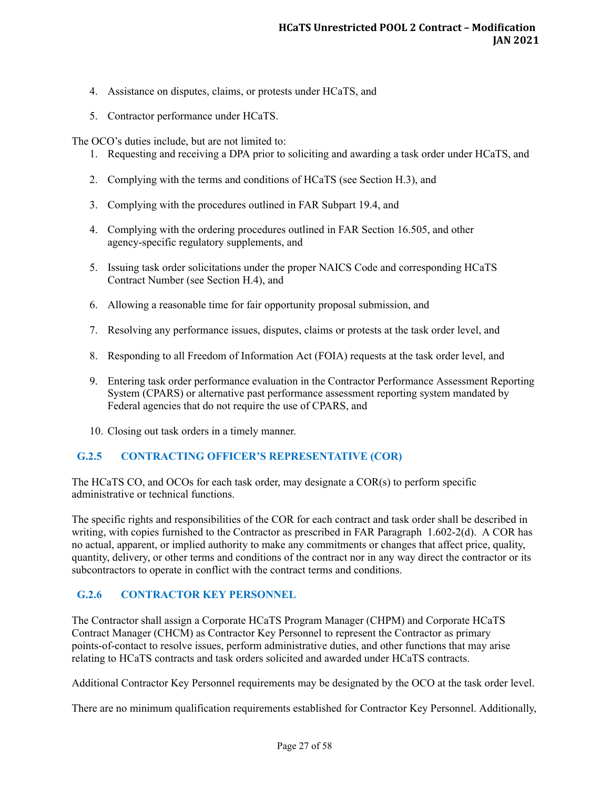- 4. Assistance on disputes, claims, or protests under HCaTS, and
- 5. Contractor performance under HCaTS.

The OCO's duties include, but are not limited to:

- 1. Requesting and receiving a DPA prior to soliciting and awarding a task order under HCaTS, and
- 2. Complying with the terms and conditions of HCaTS (see Section H.3), and
- 3. Complying with the procedures outlined in FAR Subpart 19.4, and
- 4. Complying with the ordering procedures outlined in FAR Section 16.505, and other agency-specific regulatory supplements, and
- 5. Issuing task order solicitations under the proper NAICS Code and corresponding HCaTS Contract Number (see Section H.4), and
- 6. Allowing a reasonable time for fair opportunity proposal submission, and
- 7. Resolving any performance issues, disputes, claims or protests at the task order level, and
- 8. Responding to all Freedom of Information Act (FOIA) requests at the task order level, and
- 9. Entering task order performance evaluation in the Contractor Performance Assessment Reporting System (CPARS) or alternative past performance assessment reporting system mandated by Federal agencies that do not require the use of CPARS, and
- 10. Closing out task orders in a timely manner.

#### <span id="page-26-0"></span>**G.2.5 CONTRACTING OFFICER'S REPRESENTATIVE (COR)**

The HCaTS CO, and OCOs for each task order, may designate a COR(s) to perform specific administrative or technical functions.

The specific rights and responsibilities of the COR for each contract and task order shall be described in writing, with copies furnished to the Contractor as prescribed in FAR Paragraph 1.602-2(d). A COR has no actual, apparent, or implied authority to make any commitments or changes that affect price, quality, quantity, delivery, or other terms and conditions of the contract nor in any way direct the contractor or its subcontractors to operate in conflict with the contract terms and conditions.

#### <span id="page-26-1"></span>**G.2.6 CONTRACTOR KEY PERSONNEL**

The Contractor shall assign a Corporate HCaTS Program Manager (CHPM) and Corporate HCaTS Contract Manager (CHCM) as Contractor Key Personnel to represent the Contractor as primary points-of-contact to resolve issues, perform administrative duties, and other functions that may arise relating to HCaTS contracts and task orders solicited and awarded under HCaTS contracts.

Additional Contractor Key Personnel requirements may be designated by the OCO at the task order level.

There are no minimum qualification requirements established for Contractor Key Personnel. Additionally,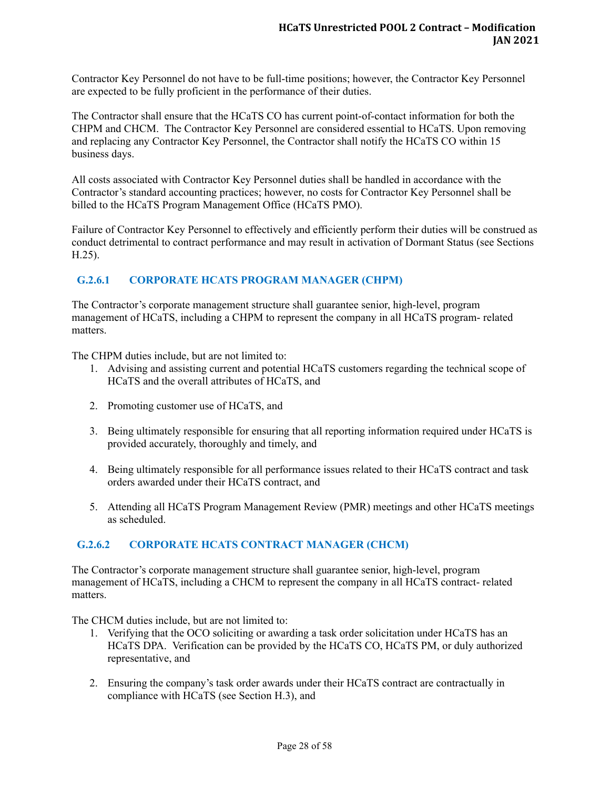Contractor Key Personnel do not have to be full-time positions; however, the Contractor Key Personnel are expected to be fully proficient in the performance of their duties.

The Contractor shall ensure that the HCaTS CO has current point-of-contact information for both the CHPM and CHCM. The Contractor Key Personnel are considered essential to HCaTS. Upon removing and replacing any Contractor Key Personnel, the Contractor shall notify the HCaTS CO within 15 business days.

All costs associated with Contractor Key Personnel duties shall be handled in accordance with the Contractor's standard accounting practices; however, no costs for Contractor Key Personnel shall be billed to the HCaTS Program Management Office (HCaTS PMO).

Failure of Contractor Key Personnel to effectively and efficiently perform their duties will be construed as conduct detrimental to contract performance and may result in activation of Dormant Status (see Sections H.25).

# <span id="page-27-0"></span>**G.2.6.1 CORPORATE HCATS PROGRAM MANAGER (CHPM)**

The Contractor's corporate management structure shall guarantee senior, high-level, program management of HCaTS, including a CHPM to represent the company in all HCaTS program- related matters.

The CHPM duties include, but are not limited to:

- 1. Advising and assisting current and potential HCaTS customers regarding the technical scope of HCaTS and the overall attributes of HCaTS, and
- 2. Promoting customer use of HCaTS, and
- 3. Being ultimately responsible for ensuring that all reporting information required under HCaTS is provided accurately, thoroughly and timely, and
- 4. Being ultimately responsible for all performance issues related to their HCaTS contract and task orders awarded under their HCaTS contract, and
- 5. Attending all HCaTS Program Management Review (PMR) meetings and other HCaTS meetings as scheduled.

# <span id="page-27-1"></span>**G.2.6.2 CORPORATE HCATS CONTRACT MANAGER (CHCM)**

The Contractor's corporate management structure shall guarantee senior, high-level, program management of HCaTS, including a CHCM to represent the company in all HCaTS contract- related matters.

The CHCM duties include, but are not limited to:

- 1. Verifying that the OCO soliciting or awarding a task order solicitation under HCaTS has an HCaTS DPA. Verification can be provided by the HCaTS CO, HCaTS PM, or duly authorized representative, and
- 2. Ensuring the company's task order awards under their HCaTS contract are contractually in compliance with HCaTS (see Section H.3), and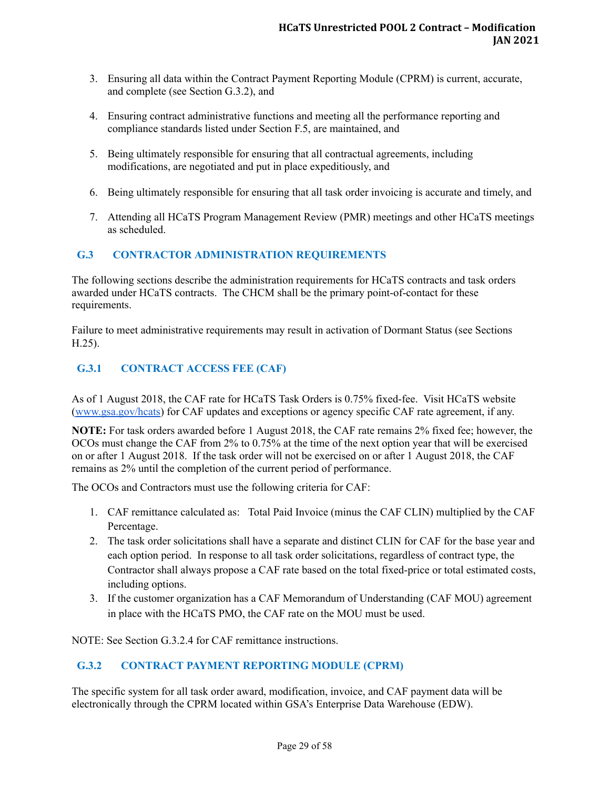- 3. Ensuring all data within the Contract Payment Reporting Module (CPRM) is current, accurate, and complete (see Section G.3.2), and
- 4. Ensuring contract administrative functions and meeting all the performance reporting and compliance standards listed under Section F.5, are maintained, and
- 5. Being ultimately responsible for ensuring that all contractual agreements, including modifications, are negotiated and put in place expeditiously, and
- 6. Being ultimately responsible for ensuring that all task order invoicing is accurate and timely, and
- 7. Attending all HCaTS Program Management Review (PMR) meetings and other HCaTS meetings as scheduled.

# <span id="page-28-0"></span>**G.3 CONTRACTOR ADMINISTRATION REQUIREMENTS**

The following sections describe the administration requirements for HCaTS contracts and task orders awarded under HCaTS contracts. The CHCM shall be the primary point-of-contact for these requirements.

Failure to meet administrative requirements may result in activation of Dormant Status (see Sections H.25).

# <span id="page-28-1"></span>**G.3.1 CONTRACT ACCESS FEE (CAF)**

As of 1 August 2018, the CAF rate for HCaTS Task Orders is 0.75% fixed-fee. Visit HCaTS website ([www.gsa.gov/hcats](http://www.gsa.gov/hcats)) for CAF updates and exceptions or agency specific CAF rate agreement, if any.

**NOTE:** For task orders awarded before 1 August 2018, the CAF rate remains 2% fixed fee; however, the OCOs must change the CAF from 2% to 0.75% at the time of the next option year that will be exercised on or after 1 August 2018. If the task order will not be exercised on or after 1 August 2018, the CAF remains as 2% until the completion of the current period of performance.

The OCOs and Contractors must use the following criteria for CAF:

- 1. CAF remittance calculated as: Total Paid Invoice (minus the CAF CLIN) multiplied by the CAF Percentage.
- 2. The task order solicitations shall have a separate and distinct CLIN for CAF for the base year and each option period. In response to all task order solicitations, regardless of contract type, the Contractor shall always propose a CAF rate based on the total fixed-price or total estimated costs, including options.
- 3. If the customer organization has a CAF Memorandum of Understanding (CAF MOU) agreement in place with the HCaTS PMO, the CAF rate on the MOU must be used.

NOTE: See Section G.3.2.4 for CAF remittance instructions.

# <span id="page-28-2"></span>**G.3.2 CONTRACT PAYMENT REPORTING MODULE (CPRM)**

The specific system for all task order award, modification, invoice, and CAF payment data will be electronically through the CPRM located within GSA's Enterprise Data Warehouse (EDW).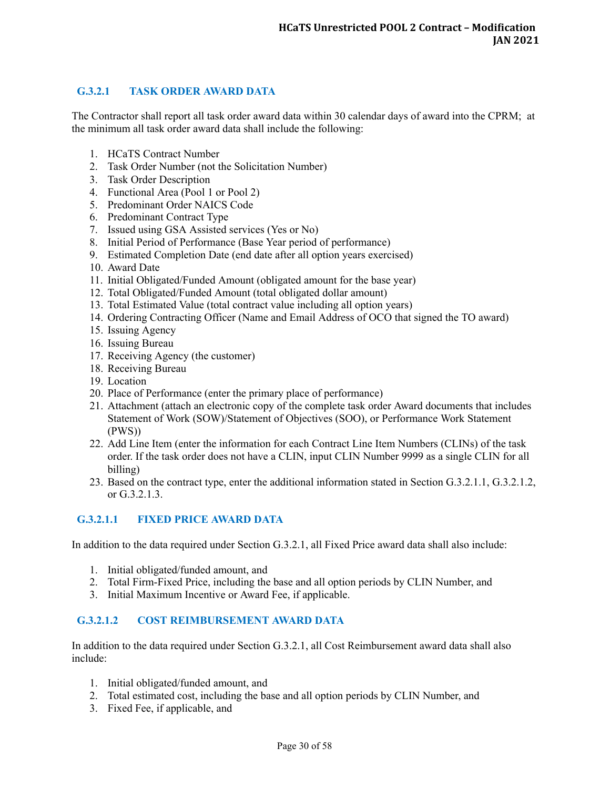# <span id="page-29-0"></span>**G.3.2.1 TASK ORDER AWARD DATA**

The Contractor shall report all task order award data within 30 calendar days of award into the CPRM; at the minimum all task order award data shall include the following:

- 1. HCaTS Contract Number
- 2. Task Order Number (not the Solicitation Number)
- 3. Task Order Description
- 4. Functional Area (Pool 1 or Pool 2)
- 5. Predominant Order NAICS Code
- 6. Predominant Contract Type
- 7. Issued using GSA Assisted services (Yes or No)
- 8. Initial Period of Performance (Base Year period of performance)
- 9. Estimated Completion Date (end date after all option years exercised)
- 10. Award Date
- 11. Initial Obligated/Funded Amount (obligated amount for the base year)
- 12. Total Obligated/Funded Amount (total obligated dollar amount)
- 13. Total Estimated Value (total contract value including all option years)
- 14. Ordering Contracting Officer (Name and Email Address of OCO that signed the TO award)
- 15. Issuing Agency
- 16. Issuing Bureau
- 17. Receiving Agency (the customer)
- 18. Receiving Bureau
- 19. Location
- 20. Place of Performance (enter the primary place of performance)
- 21. Attachment (attach an electronic copy of the complete task order Award documents that includes Statement of Work (SOW)/Statement of Objectives (SOO), or Performance Work Statement (PWS))
- 22. Add Line Item (enter the information for each Contract Line Item Numbers (CLINs) of the task order. If the task order does not have a CLIN, input CLIN Number 9999 as a single CLIN for all billing)
- 23. Based on the contract type, enter the additional information stated in Section G.3.2.1.1, G.3.2.1.2, or G.3.2.1.3.

#### <span id="page-29-1"></span>**G.3.2.1.1 FIXED PRICE AWARD DATA**

In addition to the data required under Section G.3.2.1, all Fixed Price award data shall also include:

- 1. Initial obligated/funded amount, and
- 2. Total Firm-Fixed Price, including the base and all option periods by CLIN Number, and
- 3. Initial Maximum Incentive or Award Fee, if applicable.

#### <span id="page-29-2"></span>**G.3.2.1.2 COST REIMBURSEMENT AWARD DATA**

In addition to the data required under Section G.3.2.1, all Cost Reimbursement award data shall also include:

- 1. Initial obligated/funded amount, and
- 2. Total estimated cost, including the base and all option periods by CLIN Number, and
- 3. Fixed Fee, if applicable, and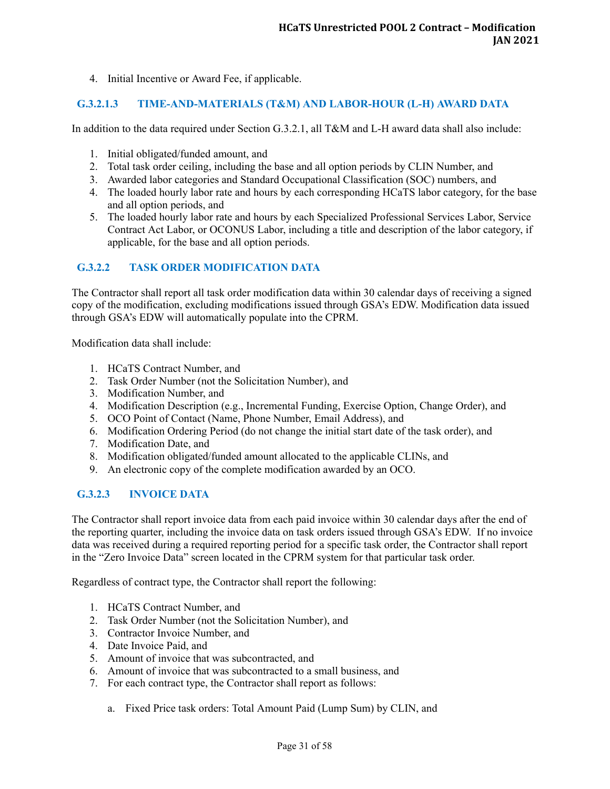4. Initial Incentive or Award Fee, if applicable.

#### <span id="page-30-0"></span>**G.3.2.1.3 TIME-AND-MATERIALS (T&M) AND LABOR-HOUR (L-H) AWARD DATA**

In addition to the data required under Section G.3.2.1, all T&M and L-H award data shall also include:

- 1. Initial obligated/funded amount, and
- 2. Total task order ceiling, including the base and all option periods by CLIN Number, and
- 3. Awarded labor categories and Standard Occupational Classification (SOC) numbers, and
- 4. The loaded hourly labor rate and hours by each corresponding HCaTS labor category, for the base and all option periods, and
- 5. The loaded hourly labor rate and hours by each Specialized Professional Services Labor, Service Contract Act Labor, or OCONUS Labor, including a title and description of the labor category, if applicable, for the base and all option periods.

# <span id="page-30-1"></span>**G.3.2.2 TASK ORDER MODIFICATION DATA**

The Contractor shall report all task order modification data within 30 calendar days of receiving a signed copy of the modification, excluding modifications issued through GSA's EDW. Modification data issued through GSA's EDW will automatically populate into the CPRM.

Modification data shall include:

- 1. HCaTS Contract Number, and
- 2. Task Order Number (not the Solicitation Number), and
- 3. Modification Number, and
- 4. Modification Description (e.g., Incremental Funding, Exercise Option, Change Order), and
- 5. OCO Point of Contact (Name, Phone Number, Email Address), and
- 6. Modification Ordering Period (do not change the initial start date of the task order), and
- 7. Modification Date, and
- 8. Modification obligated/funded amount allocated to the applicable CLINs, and
- 9. An electronic copy of the complete modification awarded by an OCO.

# <span id="page-30-2"></span>**G.3.2.3 INVOICE DATA**

The Contractor shall report invoice data from each paid invoice within 30 calendar days after the end of the reporting quarter, including the invoice data on task orders issued through GSA's EDW. If no invoice data was received during a required reporting period for a specific task order, the Contractor shall report in the "Zero Invoice Data" screen located in the CPRM system for that particular task order.

Regardless of contract type, the Contractor shall report the following:

- 1. HCaTS Contract Number, and
- 2. Task Order Number (not the Solicitation Number), and
- 3. Contractor Invoice Number, and
- 4. Date Invoice Paid, and
- 5. Amount of invoice that was subcontracted, and
- 6. Amount of invoice that was subcontracted to a small business, and
- 7. For each contract type, the Contractor shall report as follows:
	- a. Fixed Price task orders: Total Amount Paid (Lump Sum) by CLIN, and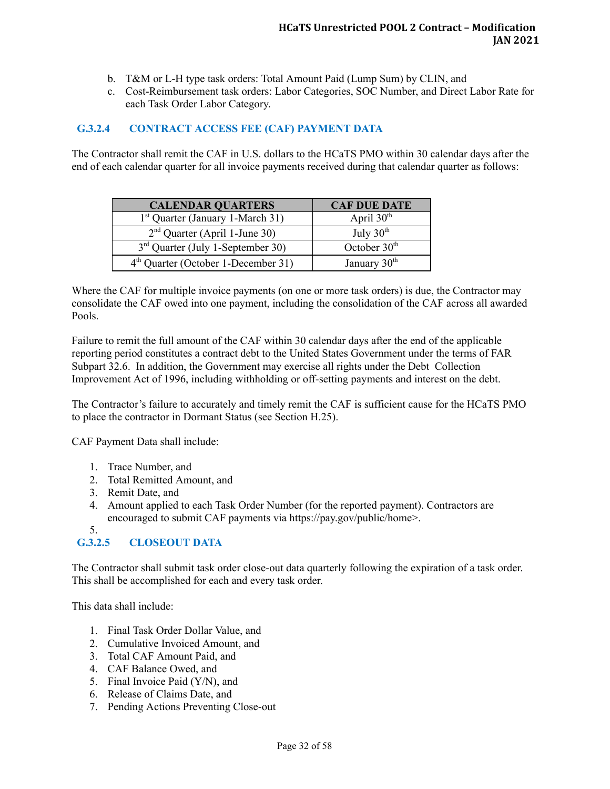- b. T&M or L-H type task orders: Total Amount Paid (Lump Sum) by CLIN, and
- c. Cost-Reimbursement task orders: Labor Categories, SOC Number, and Direct Labor Rate for each Task Order Labor Category.

#### <span id="page-31-0"></span>**G.3.2.4 CONTRACT ACCESS FEE (CAF) PAYMENT DATA**

The Contractor shall remit the CAF in U.S. dollars to the HCaTS PMO within 30 calendar days after the end of each calendar quarter for all invoice payments received during that calendar quarter as follows:

| <b>CALENDAR QUARTERS</b>                        | <b>CAF DUE DATE</b>      |
|-------------------------------------------------|--------------------------|
| 1 <sup>st</sup> Quarter (January 1-March 31)    | April $30th$             |
| $2nd$ Quarter (April 1-June 30)                 | July $30th$              |
| $3rd$ Quarter (July 1-September 30)             | October $30th$           |
| 4 <sup>th</sup> Quarter (October 1-December 31) | January 30 <sup>th</sup> |

Where the CAF for multiple invoice payments (on one or more task orders) is due, the Contractor may consolidate the CAF owed into one payment, including the consolidation of the CAF across all awarded Pools.

Failure to remit the full amount of the CAF within 30 calendar days after the end of the applicable reporting period constitutes a contract debt to the United States Government under the terms of FAR Subpart 32.6. In addition, the Government may exercise all rights under the Debt Collection Improvement Act of 1996, including withholding or off-setting payments and interest on the debt.

The Contractor's failure to accurately and timely remit the CAF is sufficient cause for the HCaTS PMO to place the contractor in Dormant Status (see Section H.25).

CAF Payment Data shall include:

- 1. Trace Number, and
- 2. Total Remitted Amount, and
- 3. Remit Date, and
- 4. Amount applied to each Task Order Number (for the reported payment). Contractors are encouraged to submit CAF payments via https://pay.gov/public/home>.
- 5.

# <span id="page-31-1"></span>**G.3.2.5 CLOSEOUT DATA**

The Contractor shall submit task order close-out data quarterly following the expiration of a task order. This shall be accomplished for each and every task order.

This data shall include:

- 1. Final Task Order Dollar Value, and
- 2. Cumulative Invoiced Amount, and
- 3. Total CAF Amount Paid, and
- 4. CAF Balance Owed, and
- 5. Final Invoice Paid (Y/N), and
- 6. Release of Claims Date, and
- 7. Pending Actions Preventing Close-out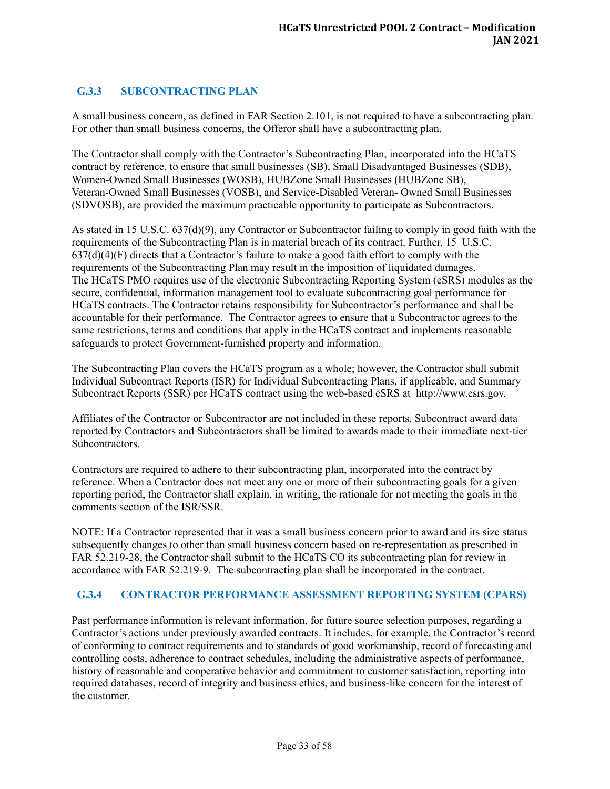# <span id="page-32-0"></span>**G.3.3 SUBCONTRACTING PLAN**

A small business concern, as defined in FAR Section 2.101, is not required to have a subcontracting plan. For other than small business concerns, the Offeror shall have a subcontracting plan.

The Contractor shall comply with the Contractor's Subcontracting Plan, incorporated into the HCaTS contract by reference, to ensure that small businesses (SB), Small Disadvantaged Businesses (SDB), Women-Owned Small Businesses (WOSB), HUBZone Small Businesses (HUBZone SB), Veteran-Owned Small Businesses (VOSB), and Service-Disabled Veteran- Owned Small Businesses (SDVOSB), are provided the maximum practicable opportunity to participate as Subcontractors.

As stated in 15 U.S.C. 637(d)(9), any Contractor or Subcontractor failing to comply in good faith with the requirements of the Subcontracting Plan is in material breach of its contract. Further, 15 U.S.C.  $637(d)(4)(F)$  directs that a Contractor's failure to make a good faith effort to comply with the requirements of the Subcontracting Plan may result in the imposition of liquidated damages. The HCaTS PMO requires use of the electronic Subcontracting Reporting System (eSRS) modules as the secure, confidential, information management tool to evaluate subcontracting goal performance for HCaTS contracts. The Contractor retains responsibility for Subcontractor's performance and shall be accountable for their performance. The Contractor agrees to ensure that a Subcontractor agrees to the same restrictions, terms and conditions that apply in the HCaTS contract and implements reasonable safeguards to protect Government-furnished property and information.

The Subcontracting Plan covers the HCaTS program as a whole; however, the Contractor shall submit Individual Subcontract Reports (ISR) for Individual Subcontracting Plans, if applicable, and Summary Subcontract Reports (SSR) per HCaTS contract using the web-based eSRS at http://www.esrs.gov.

Affiliates of the Contractor or Subcontractor are not included in these reports. Subcontract award data reported by Contractors and Subcontractors shall be limited to awards made to their immediate next-tier Subcontractors.

Contractors are required to adhere to their subcontracting plan, incorporated into the contract by reference. When a Contractor does not meet any one or more of their subcontracting goals for a given reporting period, the Contractor shall explain, in writing, the rationale for not meeting the goals in the comments section of the ISR/SSR.

NOTE: If a Contractor represented that it was a small business concern prior to award and its size status subsequently changes to other than small business concern based on re-representation as prescribed in FAR 52.219-28, the Contractor shall submit to the HCaTS CO its subcontracting plan for review in accordance with FAR 52.219-9. The subcontracting plan shall be incorporated in the contract.

#### <span id="page-32-1"></span>**G.3.4 CONTRACTOR PERFORMANCE ASSESSMENT REPORTING SYSTEM (CPARS)**

Past performance information is relevant information, for future source selection purposes, regarding a Contractor's actions under previously awarded contracts. It includes, for example, the Contractor's record of conforming to contract requirements and to standards of good workmanship, record of forecasting and controlling costs, adherence to contract schedules, including the administrative aspects of performance, history of reasonable and cooperative behavior and commitment to customer satisfaction, reporting into required databases, record of integrity and business ethics, and business-like concern for the interest of the customer.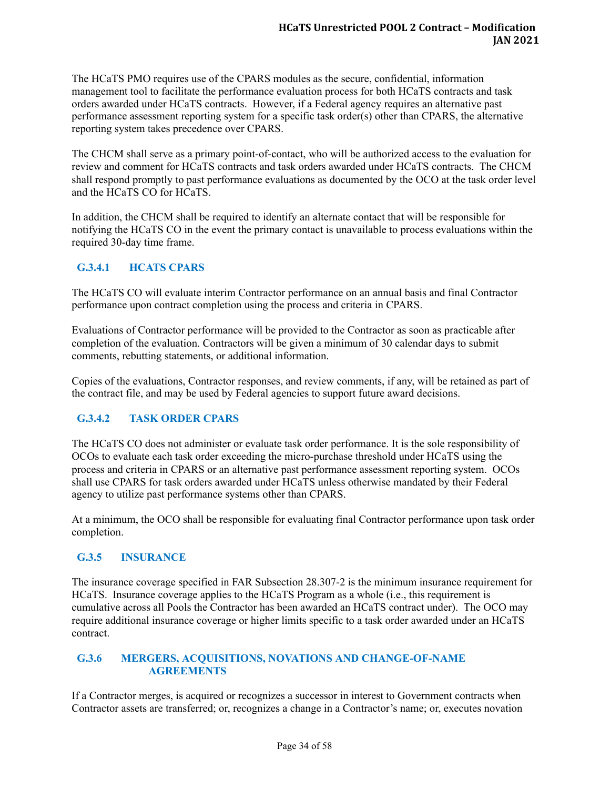The HCaTS PMO requires use of the CPARS modules as the secure, confidential, information management tool to facilitate the performance evaluation process for both HCaTS contracts and task orders awarded under HCaTS contracts. However, if a Federal agency requires an alternative past performance assessment reporting system for a specific task order(s) other than CPARS, the alternative reporting system takes precedence over CPARS.

The CHCM shall serve as a primary point-of-contact, who will be authorized access to the evaluation for review and comment for HCaTS contracts and task orders awarded under HCaTS contracts. The CHCM shall respond promptly to past performance evaluations as documented by the OCO at the task order level and the HCaTS CO for HCaTS.

In addition, the CHCM shall be required to identify an alternate contact that will be responsible for notifying the HCaTS CO in the event the primary contact is unavailable to process evaluations within the required 30-day time frame.

# <span id="page-33-0"></span>**G.3.4.1 HCATS CPARS**

The HCaTS CO will evaluate interim Contractor performance on an annual basis and final Contractor performance upon contract completion using the process and criteria in CPARS.

Evaluations of Contractor performance will be provided to the Contractor as soon as practicable after completion of the evaluation. Contractors will be given a minimum of 30 calendar days to submit comments, rebutting statements, or additional information.

Copies of the evaluations, Contractor responses, and review comments, if any, will be retained as part of the contract file, and may be used by Federal agencies to support future award decisions.

# <span id="page-33-1"></span>**G.3.4.2 TASK ORDER CPARS**

The HCaTS CO does not administer or evaluate task order performance. It is the sole responsibility of OCOs to evaluate each task order exceeding the micro-purchase threshold under HCaTS using the process and criteria in CPARS or an alternative past performance assessment reporting system. OCOs shall use CPARS for task orders awarded under HCaTS unless otherwise mandated by their Federal agency to utilize past performance systems other than CPARS.

At a minimum, the OCO shall be responsible for evaluating final Contractor performance upon task order completion.

# <span id="page-33-2"></span>**G.3.5 INSURANCE**

The insurance coverage specified in FAR Subsection 28.307-2 is the minimum insurance requirement for HCaTS. Insurance coverage applies to the HCaTS Program as a whole (i.e., this requirement is cumulative across all Pools the Contractor has been awarded an HCaTS contract under). The OCO may require additional insurance coverage or higher limits specific to a task order awarded under an HCaTS contract.

#### <span id="page-33-3"></span>**G.3.6 MERGERS, ACQUISITIONS, NOVATIONS AND CHANGE-OF-NAME AGREEMENTS**

If a Contractor merges, is acquired or recognizes a successor in interest to Government contracts when Contractor assets are transferred; or, recognizes a change in a Contractor's name; or, executes novation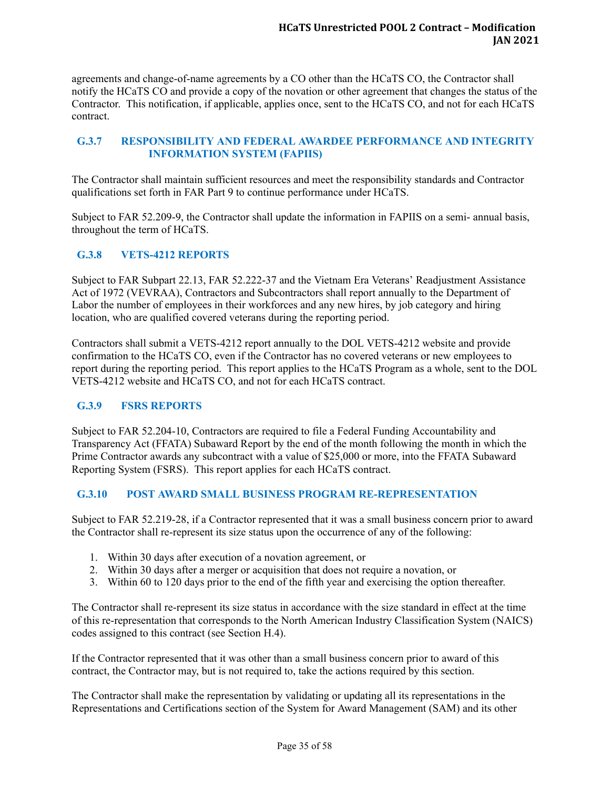agreements and change-of-name agreements by a CO other than the HCaTS CO, the Contractor shall notify the HCaTS CO and provide a copy of the novation or other agreement that changes the status of the Contractor. This notification, if applicable, applies once, sent to the HCaTS CO, and not for each HCaTS contract.

# <span id="page-34-0"></span>**G.3.7 RESPONSIBILITY AND FEDERAL AWARDEE PERFORMANCE AND INTEGRITY INFORMATION SYSTEM (FAPIIS)**

The Contractor shall maintain sufficient resources and meet the responsibility standards and Contractor qualifications set forth in FAR Part 9 to continue performance under HCaTS.

Subject to FAR 52.209-9, the Contractor shall update the information in FAPIIS on a semi- annual basis, throughout the term of HCaTS.

# <span id="page-34-1"></span>**G.3.8 VETS-4212 REPORTS**

Subject to FAR Subpart 22.13, FAR 52.222-37 and the Vietnam Era Veterans' Readjustment Assistance Act of 1972 (VEVRAA), Contractors and Subcontractors shall report annually to the Department of Labor the number of employees in their workforces and any new hires, by job category and hiring location, who are qualified covered veterans during the reporting period.

Contractors shall submit a VETS-4212 report annually to the DOL VETS-4212 website and provide confirmation to the HCaTS CO, even if the Contractor has no covered veterans or new employees to report during the reporting period. This report applies to the HCaTS Program as a whole, sent to the DOL VETS-4212 website and HCaTS CO, and not for each HCaTS contract.

# <span id="page-34-2"></span>**G.3.9 FSRS REPORTS**

Subject to FAR 52.204-10, Contractors are required to file a Federal Funding Accountability and Transparency Act (FFATA) Subaward Report by the end of the month following the month in which the Prime Contractor awards any subcontract with a value of \$25,000 or more, into the FFATA Subaward Reporting System (FSRS). This report applies for each HCaTS contract.

# <span id="page-34-3"></span>**G.3.10 POST AWARD SMALL BUSINESS PROGRAM RE-REPRESENTATION**

Subject to FAR 52.219-28, if a Contractor represented that it was a small business concern prior to award the Contractor shall re-represent its size status upon the occurrence of any of the following:

- 1. Within 30 days after execution of a novation agreement, or
- 2. Within 30 days after a merger or acquisition that does not require a novation, or
- 3. Within 60 to 120 days prior to the end of the fifth year and exercising the option thereafter.

The Contractor shall re-represent its size status in accordance with the size standard in effect at the time of this re-representation that corresponds to the North American Industry Classification System (NAICS) codes assigned to this contract (see Section H.4).

If the Contractor represented that it was other than a small business concern prior to award of this contract, the Contractor may, but is not required to, take the actions required by this section.

The Contractor shall make the representation by validating or updating all its representations in the Representations and Certifications section of the System for Award Management (SAM) and its other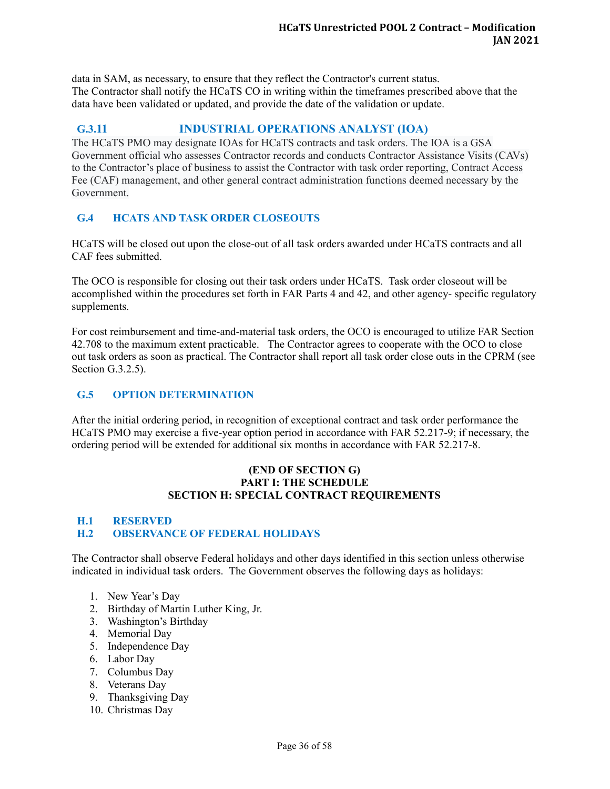data in SAM, as necessary, to ensure that they reflect the Contractor's current status. The Contractor shall notify the HCaTS CO in writing within the timeframes prescribed above that the data have been validated or updated, and provide the date of the validation or update.

# <span id="page-35-0"></span>**G.3.11 INDUSTRIAL OPERATIONS ANALYST (IOA)**

The HCaTS PMO may designate IOAs for HCaTS contracts and task orders. The IOA is a GSA Government official who assesses Contractor records and conducts Contractor Assistance Visits (CAVs) to the Contractor's place of business to assist the Contractor with task order reporting, Contract Access Fee (CAF) management, and other general contract administration functions deemed necessary by the Government.

# <span id="page-35-1"></span>**G.4 HCATS AND TASK ORDER CLOSEOUTS**

HCaTS will be closed out upon the close-out of all task orders awarded under HCaTS contracts and all CAF fees submitted.

The OCO is responsible for closing out their task orders under HCaTS. Task order closeout will be accomplished within the procedures set forth in FAR Parts 4 and 42, and other agency- specific regulatory supplements.

For cost reimbursement and time-and-material task orders, the OCO is encouraged to utilize FAR Section 42.708 to the maximum extent practicable. The Contractor agrees to cooperate with the OCO to close out task orders as soon as practical. The Contractor shall report all task order close outs in the CPRM (see Section G.3.2.5).

# <span id="page-35-2"></span>**G.5 OPTION DETERMINATION**

After the initial ordering period, in recognition of exceptional contract and task order performance the HCaTS PMO may exercise a five-year option period in accordance with FAR 52.217-9; if necessary, the ordering period will be extended for additional six months in accordance with FAR 52.217-8.

#### **(END OF SECTION G) PART I: THE SCHEDULE SECTION H: SPECIAL CONTRACT REQUIREMENTS**

# <span id="page-35-4"></span><span id="page-35-3"></span>**H.1 RESERVED H.2 OBSERVANCE OF FEDERAL HOLIDAYS**

The Contractor shall observe Federal holidays and other days identified in this section unless otherwise indicated in individual task orders. The Government observes the following days as holidays:

- 1. New Year's Day
- 2. Birthday of Martin Luther King, Jr.
- 3. Washington's Birthday
- 4. Memorial Day
- 5. Independence Day
- 6. Labor Day
- 7. Columbus Day
- 8. Veterans Day
- 9. Thanksgiving Day
- 10. Christmas Day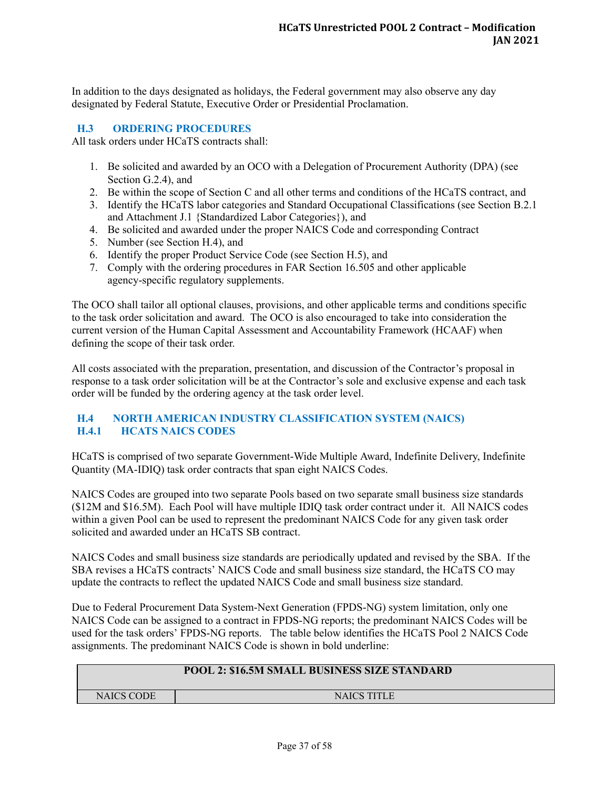In addition to the days designated as holidays, the Federal government may also observe any day designated by Federal Statute, Executive Order or Presidential Proclamation.

#### <span id="page-36-0"></span>**H.3 ORDERING PROCEDURES**

All task orders under HCaTS contracts shall:

- 1. Be solicited and awarded by an OCO with a Delegation of Procurement Authority (DPA) (see Section G.2.4), and
- 2. Be within the scope of Section C and all other terms and conditions of the HCaTS contract, and
- 3. Identify the HCaTS labor categories and Standard Occupational Classifications (see Section B.2.1 and Attachment J.1 {Standardized Labor Categories}), and
- 4. Be solicited and awarded under the proper NAICS Code and corresponding Contract
- 5. Number (see Section H.4), and
- 6. Identify the proper Product Service Code (see Section H.5), and
- 7. Comply with the ordering procedures in FAR Section 16.505 and other applicable agency-specific regulatory supplements.

The OCO shall tailor all optional clauses, provisions, and other applicable terms and conditions specific to the task order solicitation and award. The OCO is also encouraged to take into consideration the current version of the Human Capital Assessment and Accountability Framework (HCAAF) when defining the scope of their task order.

All costs associated with the preparation, presentation, and discussion of the Contractor's proposal in response to a task order solicitation will be at the Contractor's sole and exclusive expense and each task order will be funded by the ordering agency at the task order level.

# <span id="page-36-2"></span><span id="page-36-1"></span>**H.4 NORTH AMERICAN INDUSTRY CLASSIFICATION SYSTEM (NAICS) H.4.1 HCATS NAICS CODES**

HCaTS is comprised of two separate Government-Wide Multiple Award, Indefinite Delivery, Indefinite Quantity (MA-IDIQ) task order contracts that span eight NAICS Codes.

NAICS Codes are grouped into two separate Pools based on two separate small business size standards (\$12M and \$16.5M). Each Pool will have multiple IDIQ task order contract under it. All NAICS codes within a given Pool can be used to represent the predominant NAICS Code for any given task order solicited and awarded under an HCaTS SB contract.

NAICS Codes and small business size standards are periodically updated and revised by the SBA. If the SBA revises a HCaTS contracts' NAICS Code and small business size standard, the HCaTS CO may update the contracts to reflect the updated NAICS Code and small business size standard.

Due to Federal Procurement Data System-Next Generation (FPDS-NG) system limitation, only one NAICS Code can be assigned to a contract in FPDS-NG reports; the predominant NAICS Codes will be used for the task orders' FPDS-NG reports. The table below identifies the HCaTS Pool 2 NAICS Code assignments. The predominant NAICS Code is shown in bold underline:

# **POOL 2: \$16.5M SMALL BUSINESS SIZE STANDARD**

NAICS CODE NAICS TITLE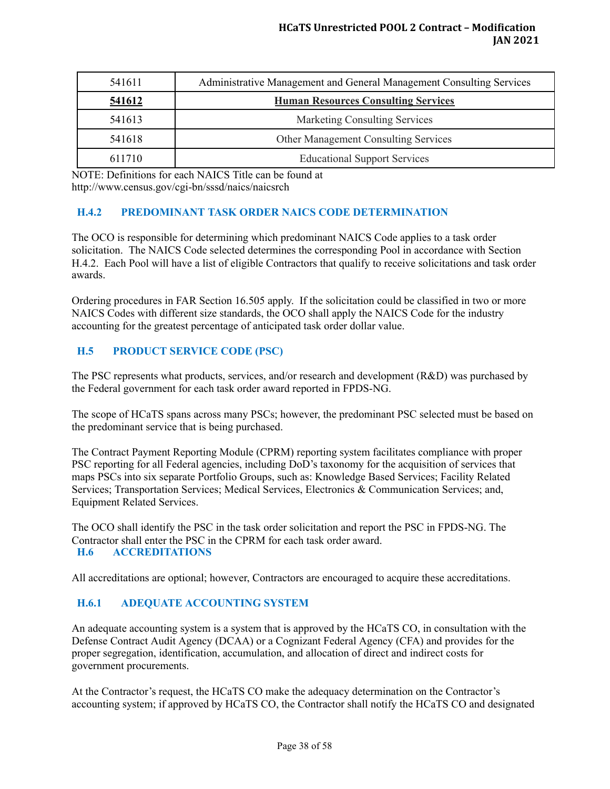| 541611 | Administrative Management and General Management Consulting Services |
|--------|----------------------------------------------------------------------|
| 541612 | <b>Human Resources Consulting Services</b>                           |
| 541613 | <b>Marketing Consulting Services</b>                                 |
| 541618 | <b>Other Management Consulting Services</b>                          |
| 611710 | <b>Educational Support Services</b>                                  |

NOTE: Definitions for each NAICS Title can be found at http://www.census.gov/cgi-bn/sssd/naics/naicsrch

# <span id="page-37-0"></span>**H.4.2 PREDOMINANT TASK ORDER NAICS CODE DETERMINATION**

The OCO is responsible for determining which predominant NAICS Code applies to a task order solicitation. The NAICS Code selected determines the corresponding Pool in accordance with Section H.4.2. Each Pool will have a list of eligible Contractors that qualify to receive solicitations and task order awards.

Ordering procedures in FAR Section 16.505 apply. If the solicitation could be classified in two or more NAICS Codes with different size standards, the OCO shall apply the NAICS Code for the industry accounting for the greatest percentage of anticipated task order dollar value.

# <span id="page-37-1"></span>**H.5 PRODUCT SERVICE CODE (PSC)**

The PSC represents what products, services, and/or research and development (R&D) was purchased by the Federal government for each task order award reported in FPDS-NG.

The scope of HCaTS spans across many PSCs; however, the predominant PSC selected must be based on the predominant service that is being purchased.

The Contract Payment Reporting Module (CPRM) reporting system facilitates compliance with proper PSC reporting for all Federal agencies, including DoD's taxonomy for the acquisition of services that maps PSCs into six separate Portfolio Groups, such as: Knowledge Based Services; Facility Related Services; Transportation Services; Medical Services, Electronics & Communication Services; and, Equipment Related Services.

<span id="page-37-2"></span>The OCO shall identify the PSC in the task order solicitation and report the PSC in FPDS-NG. The Contractor shall enter the PSC in the CPRM for each task order award. **H.6 ACCREDITATIONS**

All accreditations are optional; however, Contractors are encouraged to acquire these accreditations.

# <span id="page-37-3"></span>**H.6.1 ADEQUATE ACCOUNTING SYSTEM**

An adequate accounting system is a system that is approved by the HCaTS CO, in consultation with the Defense Contract Audit Agency (DCAA) or a Cognizant Federal Agency (CFA) and provides for the proper segregation, identification, accumulation, and allocation of direct and indirect costs for government procurements.

At the Contractor's request, the HCaTS CO make the adequacy determination on the Contractor's accounting system; if approved by HCaTS CO, the Contractor shall notify the HCaTS CO and designated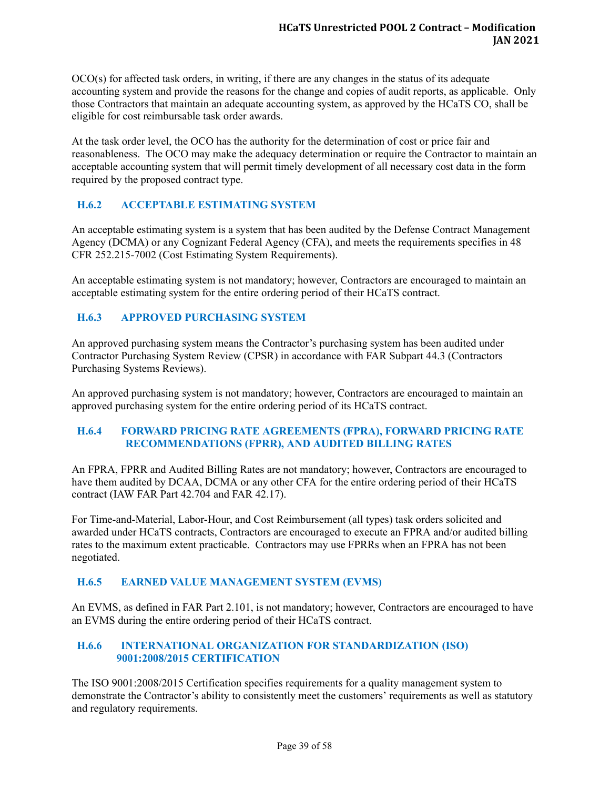OCO(s) for affected task orders, in writing, if there are any changes in the status of its adequate accounting system and provide the reasons for the change and copies of audit reports, as applicable. Only those Contractors that maintain an adequate accounting system, as approved by the HCaTS CO, shall be eligible for cost reimbursable task order awards.

At the task order level, the OCO has the authority for the determination of cost or price fair and reasonableness. The OCO may make the adequacy determination or require the Contractor to maintain an acceptable accounting system that will permit timely development of all necessary cost data in the form required by the proposed contract type.

# <span id="page-38-0"></span>**H.6.2 ACCEPTABLE ESTIMATING SYSTEM**

An acceptable estimating system is a system that has been audited by the Defense Contract Management Agency (DCMA) or any Cognizant Federal Agency (CFA), and meets the requirements specifies in 48 CFR 252.215-7002 (Cost Estimating System Requirements).

An acceptable estimating system is not mandatory; however, Contractors are encouraged to maintain an acceptable estimating system for the entire ordering period of their HCaTS contract.

#### <span id="page-38-1"></span>**H.6.3 APPROVED PURCHASING SYSTEM**

An approved purchasing system means the Contractor's purchasing system has been audited under Contractor Purchasing System Review (CPSR) in accordance with FAR Subpart 44.3 (Contractors Purchasing Systems Reviews).

An approved purchasing system is not mandatory; however, Contractors are encouraged to maintain an approved purchasing system for the entire ordering period of its HCaTS contract.

#### <span id="page-38-2"></span>**H.6.4 FORWARD PRICING RATE AGREEMENTS (FPRA), FORWARD PRICING RATE RECOMMENDATIONS (FPRR), AND AUDITED BILLING RATES**

An FPRA, FPRR and Audited Billing Rates are not mandatory; however, Contractors are encouraged to have them audited by DCAA, DCMA or any other CFA for the entire ordering period of their HCaTS contract (IAW FAR Part 42.704 and FAR 42.17).

For Time-and-Material, Labor-Hour, and Cost Reimbursement (all types) task orders solicited and awarded under HCaTS contracts, Contractors are encouraged to execute an FPRA and/or audited billing rates to the maximum extent practicable. Contractors may use FPRRs when an FPRA has not been negotiated.

#### <span id="page-38-3"></span>**H.6.5 EARNED VALUE MANAGEMENT SYSTEM (EVMS)**

An EVMS, as defined in FAR Part 2.101, is not mandatory; however, Contractors are encouraged to have an EVMS during the entire ordering period of their HCaTS contract.

#### <span id="page-38-4"></span>**H.6.6 INTERNATIONAL ORGANIZATION FOR STANDARDIZATION (ISO) 9001:2008/2015 CERTIFICATION**

The ISO 9001:2008/2015 Certification specifies requirements for a quality management system to demonstrate the Contractor's ability to consistently meet the customers' requirements as well as statutory and regulatory requirements.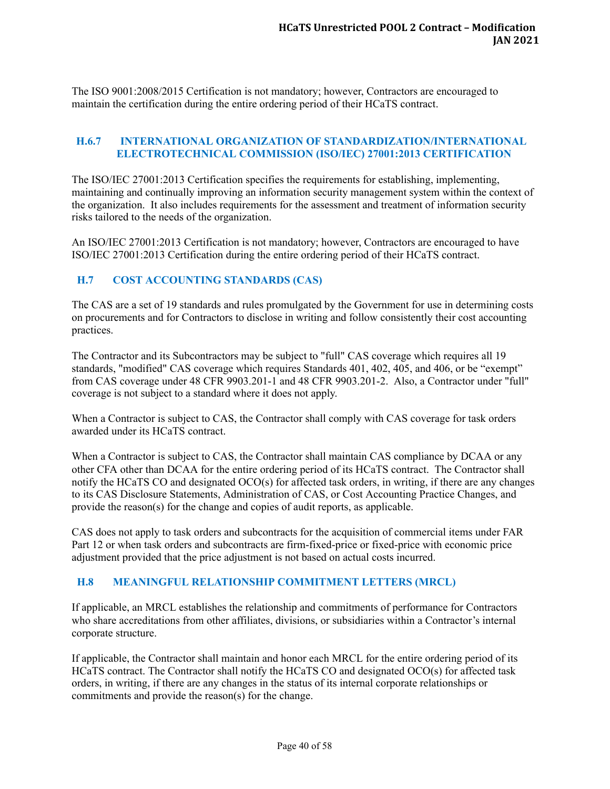The ISO 9001:2008/2015 Certification is not mandatory; however, Contractors are encouraged to maintain the certification during the entire ordering period of their HCaTS contract.

#### <span id="page-39-0"></span>**H.6.7 INTERNATIONAL ORGANIZATION OF STANDARDIZATION/INTERNATIONAL ELECTROTECHNICAL COMMISSION (ISO/IEC) 27001:2013 CERTIFICATION**

The ISO/IEC 27001:2013 Certification specifies the requirements for establishing, implementing, maintaining and continually improving an information security management system within the context of the organization. It also includes requirements for the assessment and treatment of information security risks tailored to the needs of the organization.

An ISO/IEC 27001:2013 Certification is not mandatory; however, Contractors are encouraged to have ISO/IEC 27001:2013 Certification during the entire ordering period of their HCaTS contract.

#### <span id="page-39-1"></span>**H.7 COST ACCOUNTING STANDARDS (CAS)**

The CAS are a set of 19 standards and rules promulgated by the Government for use in determining costs on procurements and for Contractors to disclose in writing and follow consistently their cost accounting practices.

The Contractor and its Subcontractors may be subject to "full" CAS coverage which requires all 19 standards, "modified" CAS coverage which requires Standards 401, 402, 405, and 406, or be "exempt" from CAS coverage under 48 CFR 9903.201-1 and 48 CFR 9903.201-2. Also, a Contractor under "full" coverage is not subject to a standard where it does not apply.

When a Contractor is subject to CAS, the Contractor shall comply with CAS coverage for task orders awarded under its HCaTS contract.

When a Contractor is subject to CAS, the Contractor shall maintain CAS compliance by DCAA or any other CFA other than DCAA for the entire ordering period of its HCaTS contract. The Contractor shall notify the HCaTS CO and designated OCO(s) for affected task orders, in writing, if there are any changes to its CAS Disclosure Statements, Administration of CAS, or Cost Accounting Practice Changes, and provide the reason(s) for the change and copies of audit reports, as applicable.

CAS does not apply to task orders and subcontracts for the acquisition of commercial items under FAR Part 12 or when task orders and subcontracts are firm-fixed-price or fixed-price with economic price adjustment provided that the price adjustment is not based on actual costs incurred.

#### <span id="page-39-2"></span>**H.8 MEANINGFUL RELATIONSHIP COMMITMENT LETTERS (MRCL)**

If applicable, an MRCL establishes the relationship and commitments of performance for Contractors who share accreditations from other affiliates, divisions, or subsidiaries within a Contractor's internal corporate structure.

If applicable, the Contractor shall maintain and honor each MRCL for the entire ordering period of its HCaTS contract. The Contractor shall notify the HCaTS CO and designated OCO(s) for affected task orders, in writing, if there are any changes in the status of its internal corporate relationships or commitments and provide the reason(s) for the change.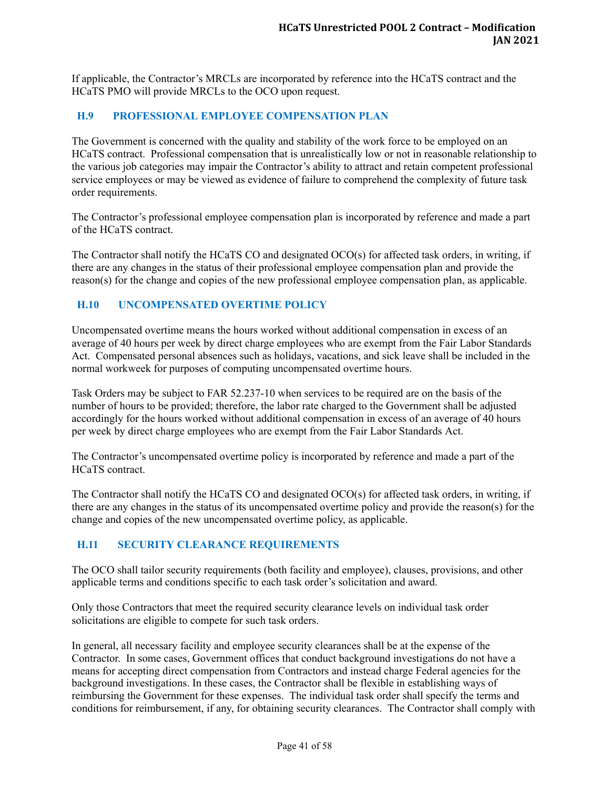If applicable, the Contractor's MRCLs are incorporated by reference into the HCaTS contract and the HCaTS PMO will provide MRCLs to the OCO upon request.

#### <span id="page-40-0"></span>**H.9 PROFESSIONAL EMPLOYEE COMPENSATION PLAN**

The Government is concerned with the quality and stability of the work force to be employed on an HCaTS contract. Professional compensation that is unrealistically low or not in reasonable relationship to the various job categories may impair the Contractor's ability to attract and retain competent professional service employees or may be viewed as evidence of failure to comprehend the complexity of future task order requirements.

The Contractor's professional employee compensation plan is incorporated by reference and made a part of the HCaTS contract.

The Contractor shall notify the HCaTS CO and designated OCO(s) for affected task orders, in writing, if there are any changes in the status of their professional employee compensation plan and provide the reason(s) for the change and copies of the new professional employee compensation plan, as applicable.

# <span id="page-40-1"></span>**H.10 UNCOMPENSATED OVERTIME POLICY**

Uncompensated overtime means the hours worked without additional compensation in excess of an average of 40 hours per week by direct charge employees who are exempt from the Fair Labor Standards Act. Compensated personal absences such as holidays, vacations, and sick leave shall be included in the normal workweek for purposes of computing uncompensated overtime hours.

Task Orders may be subject to FAR 52.237-10 when services to be required are on the basis of the number of hours to be provided; therefore, the labor rate charged to the Government shall be adjusted accordingly for the hours worked without additional compensation in excess of an average of 40 hours per week by direct charge employees who are exempt from the Fair Labor Standards Act.

The Contractor's uncompensated overtime policy is incorporated by reference and made a part of the HCaTS contract.

The Contractor shall notify the HCaTS CO and designated OCO(s) for affected task orders, in writing, if there are any changes in the status of its uncompensated overtime policy and provide the reason(s) for the change and copies of the new uncompensated overtime policy, as applicable.

# <span id="page-40-2"></span>**H.11 SECURITY CLEARANCE REQUIREMENTS**

The OCO shall tailor security requirements (both facility and employee), clauses, provisions, and other applicable terms and conditions specific to each task order's solicitation and award.

Only those Contractors that meet the required security clearance levels on individual task order solicitations are eligible to compete for such task orders.

In general, all necessary facility and employee security clearances shall be at the expense of the Contractor. In some cases, Government offices that conduct background investigations do not have a means for accepting direct compensation from Contractors and instead charge Federal agencies for the background investigations. In these cases, the Contractor shall be flexible in establishing ways of reimbursing the Government for these expenses. The individual task order shall specify the terms and conditions for reimbursement, if any, for obtaining security clearances. The Contractor shall comply with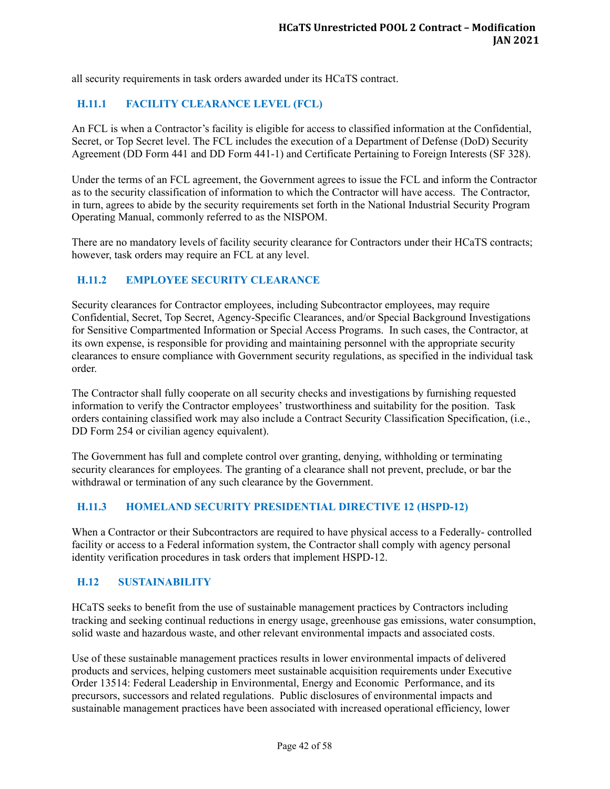all security requirements in task orders awarded under its HCaTS contract.

# <span id="page-41-0"></span>**H.11.1 FACILITY CLEARANCE LEVEL (FCL)**

An FCL is when a Contractor's facility is eligible for access to classified information at the Confidential, Secret, or Top Secret level. The FCL includes the execution of a Department of Defense (DoD) Security Agreement (DD Form 441 and DD Form 441-1) and Certificate Pertaining to Foreign Interests (SF 328).

Under the terms of an FCL agreement, the Government agrees to issue the FCL and inform the Contractor as to the security classification of information to which the Contractor will have access. The Contractor, in turn, agrees to abide by the security requirements set forth in the National Industrial Security Program Operating Manual, commonly referred to as the NISPOM.

There are no mandatory levels of facility security clearance for Contractors under their HCaTS contracts; however, task orders may require an FCL at any level.

#### <span id="page-41-1"></span>**H.11.2 EMPLOYEE SECURITY CLEARANCE**

Security clearances for Contractor employees, including Subcontractor employees, may require Confidential, Secret, Top Secret, Agency-Specific Clearances, and/or Special Background Investigations for Sensitive Compartmented Information or Special Access Programs. In such cases, the Contractor, at its own expense, is responsible for providing and maintaining personnel with the appropriate security clearances to ensure compliance with Government security regulations, as specified in the individual task order.

The Contractor shall fully cooperate on all security checks and investigations by furnishing requested information to verify the Contractor employees' trustworthiness and suitability for the position. Task orders containing classified work may also include a Contract Security Classification Specification, (i.e., DD Form 254 or civilian agency equivalent).

The Government has full and complete control over granting, denying, withholding or terminating security clearances for employees. The granting of a clearance shall not prevent, preclude, or bar the withdrawal or termination of any such clearance by the Government.

#### <span id="page-41-2"></span>**H.11.3 HOMELAND SECURITY PRESIDENTIAL DIRECTIVE 12 (HSPD-12)**

When a Contractor or their Subcontractors are required to have physical access to a Federally- controlled facility or access to a Federal information system, the Contractor shall comply with agency personal identity verification procedures in task orders that implement HSPD-12.

#### <span id="page-41-3"></span>**H.12 SUSTAINABILITY**

HCaTS seeks to benefit from the use of sustainable management practices by Contractors including tracking and seeking continual reductions in energy usage, greenhouse gas emissions, water consumption, solid waste and hazardous waste, and other relevant environmental impacts and associated costs.

Use of these sustainable management practices results in lower environmental impacts of delivered products and services, helping customers meet sustainable acquisition requirements under Executive Order 13514: Federal Leadership in Environmental, Energy and Economic Performance, and its precursors, successors and related regulations. Public disclosures of environmental impacts and sustainable management practices have been associated with increased operational efficiency, lower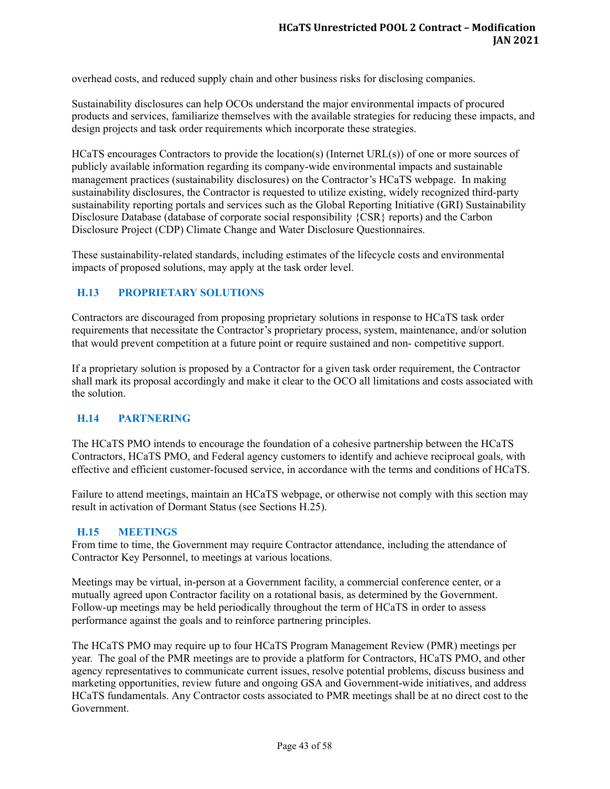overhead costs, and reduced supply chain and other business risks for disclosing companies.

Sustainability disclosures can help OCOs understand the major environmental impacts of procured products and services, familiarize themselves with the available strategies for reducing these impacts, and design projects and task order requirements which incorporate these strategies.

HCaTS encourages Contractors to provide the location(s) (Internet URL(s)) of one or more sources of publicly available information regarding its company-wide environmental impacts and sustainable management practices (sustainability disclosures) on the Contractor's HCaTS webpage. In making sustainability disclosures, the Contractor is requested to utilize existing, widely recognized third-party sustainability reporting portals and services such as the Global Reporting Initiative (GRI) Sustainability Disclosure Database (database of corporate social responsibility {CSR} reports) and the Carbon Disclosure Project (CDP) Climate Change and Water Disclosure Questionnaires.

These sustainability-related standards, including estimates of the lifecycle costs and environmental impacts of proposed solutions, may apply at the task order level.

# <span id="page-42-0"></span>**H.13 PROPRIETARY SOLUTIONS**

Contractors are discouraged from proposing proprietary solutions in response to HCaTS task order requirements that necessitate the Contractor's proprietary process, system, maintenance, and/or solution that would prevent competition at a future point or require sustained and non- competitive support.

If a proprietary solution is proposed by a Contractor for a given task order requirement, the Contractor shall mark its proposal accordingly and make it clear to the OCO all limitations and costs associated with the solution.

#### <span id="page-42-1"></span>**H.14 PARTNERING**

The HCaTS PMO intends to encourage the foundation of a cohesive partnership between the HCaTS Contractors, HCaTS PMO, and Federal agency customers to identify and achieve reciprocal goals, with effective and efficient customer-focused service, in accordance with the terms and conditions of HCaTS.

Failure to attend meetings, maintain an HCaTS webpage, or otherwise not comply with this section may result in activation of Dormant Status (see Sections H.25).

#### <span id="page-42-2"></span>**H.15 MEETINGS**

From time to time, the Government may require Contractor attendance, including the attendance of Contractor Key Personnel, to meetings at various locations.

Meetings may be virtual, in-person at a Government facility, a commercial conference center, or a mutually agreed upon Contractor facility on a rotational basis, as determined by the Government. Follow-up meetings may be held periodically throughout the term of HCaTS in order to assess performance against the goals and to reinforce partnering principles.

The HCaTS PMO may require up to four HCaTS Program Management Review (PMR) meetings per year. The goal of the PMR meetings are to provide a platform for Contractors, HCaTS PMO, and other agency representatives to communicate current issues, resolve potential problems, discuss business and marketing opportunities, review future and ongoing GSA and Government-wide initiatives, and address HCaTS fundamentals. Any Contractor costs associated to PMR meetings shall be at no direct cost to the Government.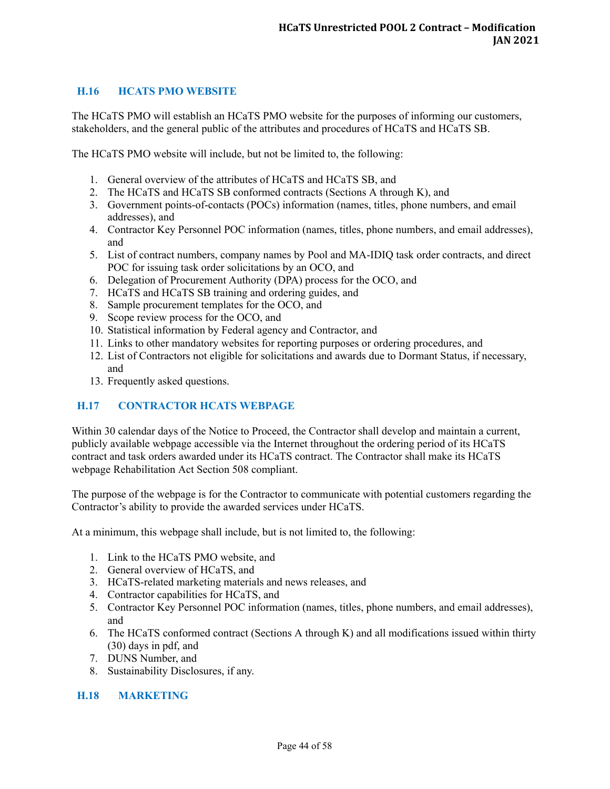# <span id="page-43-0"></span>**H.16 HCATS PMO WEBSITE**

The HCaTS PMO will establish an HCaTS PMO website for the purposes of informing our customers, stakeholders, and the general public of the attributes and procedures of HCaTS and HCaTS SB.

The HCaTS PMO website will include, but not be limited to, the following:

- 1. General overview of the attributes of HCaTS and HCaTS SB, and
- 2. The HCaTS and HCaTS SB conformed contracts (Sections A through K), and
- 3. Government points-of-contacts (POCs) information (names, titles, phone numbers, and email addresses), and
- 4. Contractor Key Personnel POC information (names, titles, phone numbers, and email addresses), and
- 5. List of contract numbers, company names by Pool and MA-IDIQ task order contracts, and direct POC for issuing task order solicitations by an OCO, and
- 6. Delegation of Procurement Authority (DPA) process for the OCO, and
- 7. HCaTS and HCaTS SB training and ordering guides, and
- 8. Sample procurement templates for the OCO, and
- 9. Scope review process for the OCO, and
- 10. Statistical information by Federal agency and Contractor, and
- 11. Links to other mandatory websites for reporting purposes or ordering procedures, and
- 12. List of Contractors not eligible for solicitations and awards due to Dormant Status, if necessary, and
- 13. Frequently asked questions.

# <span id="page-43-1"></span>**H.17 CONTRACTOR HCATS WEBPAGE**

Within 30 calendar days of the Notice to Proceed, the Contractor shall develop and maintain a current, publicly available webpage accessible via the Internet throughout the ordering period of its HCaTS contract and task orders awarded under its HCaTS contract. The Contractor shall make its HCaTS webpage Rehabilitation Act Section 508 compliant.

The purpose of the webpage is for the Contractor to communicate with potential customers regarding the Contractor's ability to provide the awarded services under HCaTS.

At a minimum, this webpage shall include, but is not limited to, the following:

- 1. Link to the HCaTS PMO website, and
- 2. General overview of HCaTS, and
- 3. HCaTS-related marketing materials and news releases, and
- 4. Contractor capabilities for HCaTS, and
- 5. Contractor Key Personnel POC information (names, titles, phone numbers, and email addresses), and
- 6. The HCaTS conformed contract (Sections A through K) and all modifications issued within thirty (30) days in pdf, and
- 7. DUNS Number, and
- 8. Sustainability Disclosures, if any.

#### <span id="page-43-2"></span>**H.18 MARKETING**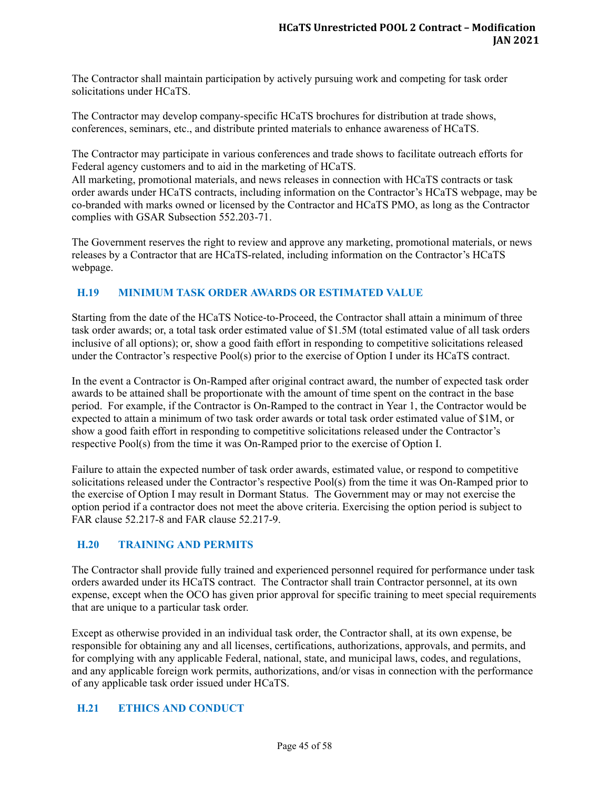The Contractor shall maintain participation by actively pursuing work and competing for task order solicitations under HCaTS.

The Contractor may develop company-specific HCaTS brochures for distribution at trade shows, conferences, seminars, etc., and distribute printed materials to enhance awareness of HCaTS.

The Contractor may participate in various conferences and trade shows to facilitate outreach efforts for Federal agency customers and to aid in the marketing of HCaTS.

All marketing, promotional materials, and news releases in connection with HCaTS contracts or task order awards under HCaTS contracts, including information on the Contractor's HCaTS webpage, may be co-branded with marks owned or licensed by the Contractor and HCaTS PMO, as long as the Contractor complies with GSAR Subsection 552.203-71.

The Government reserves the right to review and approve any marketing, promotional materials, or news releases by a Contractor that are HCaTS-related, including information on the Contractor's HCaTS webpage.

# <span id="page-44-0"></span>**H.19 MINIMUM TASK ORDER AWARDS OR ESTIMATED VALUE**

Starting from the date of the HCaTS Notice-to-Proceed, the Contractor shall attain a minimum of three task order awards; or, a total task order estimated value of \$1.5M (total estimated value of all task orders inclusive of all options); or, show a good faith effort in responding to competitive solicitations released under the Contractor's respective Pool(s) prior to the exercise of Option I under its HCaTS contract.

In the event a Contractor is On-Ramped after original contract award, the number of expected task order awards to be attained shall be proportionate with the amount of time spent on the contract in the base period. For example, if the Contractor is On-Ramped to the contract in Year 1, the Contractor would be expected to attain a minimum of two task order awards or total task order estimated value of \$1M, or show a good faith effort in responding to competitive solicitations released under the Contractor's respective Pool(s) from the time it was On-Ramped prior to the exercise of Option I.

Failure to attain the expected number of task order awards, estimated value, or respond to competitive solicitations released under the Contractor's respective Pool(s) from the time it was On-Ramped prior to the exercise of Option I may result in Dormant Status. The Government may or may not exercise the option period if a contractor does not meet the above criteria. Exercising the option period is subject to FAR clause 52.217-8 and FAR clause 52.217-9.

# <span id="page-44-1"></span>**H.20 TRAINING AND PERMITS**

The Contractor shall provide fully trained and experienced personnel required for performance under task orders awarded under its HCaTS contract. The Contractor shall train Contractor personnel, at its own expense, except when the OCO has given prior approval for specific training to meet special requirements that are unique to a particular task order.

Except as otherwise provided in an individual task order, the Contractor shall, at its own expense, be responsible for obtaining any and all licenses, certifications, authorizations, approvals, and permits, and for complying with any applicable Federal, national, state, and municipal laws, codes, and regulations, and any applicable foreign work permits, authorizations, and/or visas in connection with the performance of any applicable task order issued under HCaTS.

#### <span id="page-44-2"></span>**H.21 ETHICS AND CONDUCT**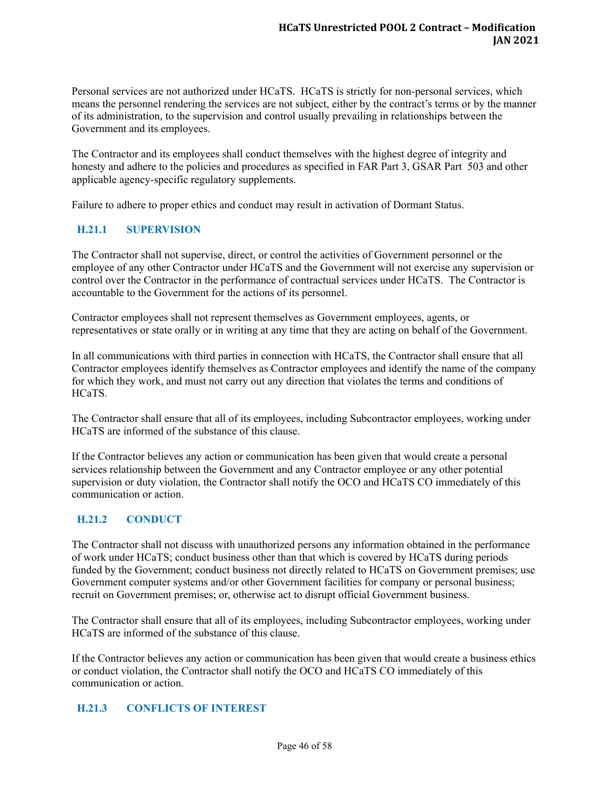Personal services are not authorized under HCaTS. HCaTS is strictly for non-personal services, which means the personnel rendering the services are not subject, either by the contract's terms or by the manner of its administration, to the supervision and control usually prevailing in relationships between the Government and its employees.

The Contractor and its employees shall conduct themselves with the highest degree of integrity and honesty and adhere to the policies and procedures as specified in FAR Part 3, GSAR Part 503 and other applicable agency-specific regulatory supplements.

Failure to adhere to proper ethics and conduct may result in activation of Dormant Status.

# <span id="page-45-0"></span>**H.21.1 SUPERVISION**

The Contractor shall not supervise, direct, or control the activities of Government personnel or the employee of any other Contractor under HCaTS and the Government will not exercise any supervision or control over the Contractor in the performance of contractual services under HCaTS. The Contractor is accountable to the Government for the actions of its personnel.

Contractor employees shall not represent themselves as Government employees, agents, or representatives or state orally or in writing at any time that they are acting on behalf of the Government.

In all communications with third parties in connection with HCaTS, the Contractor shall ensure that all Contractor employees identify themselves as Contractor employees and identify the name of the company for which they work, and must not carry out any direction that violates the terms and conditions of HCaTS.

The Contractor shall ensure that all of its employees, including Subcontractor employees, working under HCaTS are informed of the substance of this clause.

If the Contractor believes any action or communication has been given that would create a personal services relationship between the Government and any Contractor employee or any other potential supervision or duty violation, the Contractor shall notify the OCO and HCaTS CO immediately of this communication or action.

#### <span id="page-45-1"></span>**H.21.2 CONDUCT**

The Contractor shall not discuss with unauthorized persons any information obtained in the performance of work under HCaTS; conduct business other than that which is covered by HCaTS during periods funded by the Government; conduct business not directly related to HCaTS on Government premises; use Government computer systems and/or other Government facilities for company or personal business; recruit on Government premises; or, otherwise act to disrupt official Government business.

The Contractor shall ensure that all of its employees, including Subcontractor employees, working under HCaTS are informed of the substance of this clause.

If the Contractor believes any action or communication has been given that would create a business ethics or conduct violation, the Contractor shall notify the OCO and HCaTS CO immediately of this communication or action.

#### <span id="page-45-2"></span>**H.21.3 CONFLICTS OF INTEREST**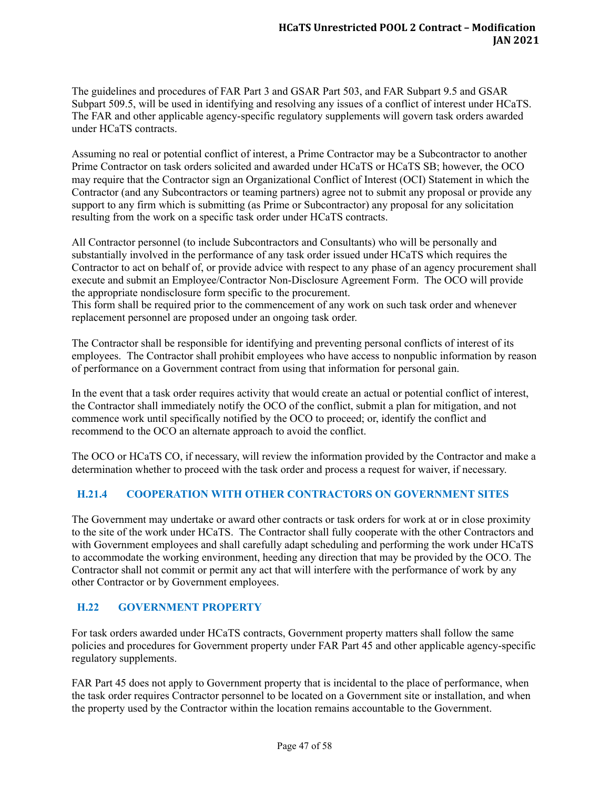The guidelines and procedures of FAR Part 3 and GSAR Part 503, and FAR Subpart 9.5 and GSAR Subpart 509.5, will be used in identifying and resolving any issues of a conflict of interest under HCaTS. The FAR and other applicable agency-specific regulatory supplements will govern task orders awarded under HCaTS contracts.

Assuming no real or potential conflict of interest, a Prime Contractor may be a Subcontractor to another Prime Contractor on task orders solicited and awarded under HCaTS or HCaTS SB; however, the OCO may require that the Contractor sign an Organizational Conflict of Interest (OCI) Statement in which the Contractor (and any Subcontractors or teaming partners) agree not to submit any proposal or provide any support to any firm which is submitting (as Prime or Subcontractor) any proposal for any solicitation resulting from the work on a specific task order under HCaTS contracts.

All Contractor personnel (to include Subcontractors and Consultants) who will be personally and substantially involved in the performance of any task order issued under HCaTS which requires the Contractor to act on behalf of, or provide advice with respect to any phase of an agency procurement shall execute and submit an Employee/Contractor Non-Disclosure Agreement Form. The OCO will provide the appropriate nondisclosure form specific to the procurement.

This form shall be required prior to the commencement of any work on such task order and whenever replacement personnel are proposed under an ongoing task order.

The Contractor shall be responsible for identifying and preventing personal conflicts of interest of its employees. The Contractor shall prohibit employees who have access to nonpublic information by reason of performance on a Government contract from using that information for personal gain.

In the event that a task order requires activity that would create an actual or potential conflict of interest, the Contractor shall immediately notify the OCO of the conflict, submit a plan for mitigation, and not commence work until specifically notified by the OCO to proceed; or, identify the conflict and recommend to the OCO an alternate approach to avoid the conflict.

The OCO or HCaTS CO, if necessary, will review the information provided by the Contractor and make a determination whether to proceed with the task order and process a request for waiver, if necessary.

# <span id="page-46-0"></span>**H.21.4 COOPERATION WITH OTHER CONTRACTORS ON GOVERNMENT SITES**

The Government may undertake or award other contracts or task orders for work at or in close proximity to the site of the work under HCaTS. The Contractor shall fully cooperate with the other Contractors and with Government employees and shall carefully adapt scheduling and performing the work under HCaTS to accommodate the working environment, heeding any direction that may be provided by the OCO. The Contractor shall not commit or permit any act that will interfere with the performance of work by any other Contractor or by Government employees.

# <span id="page-46-1"></span>**H.22 GOVERNMENT PROPERTY**

For task orders awarded under HCaTS contracts, Government property matters shall follow the same policies and procedures for Government property under FAR Part 45 and other applicable agency-specific regulatory supplements.

FAR Part 45 does not apply to Government property that is incidental to the place of performance, when the task order requires Contractor personnel to be located on a Government site or installation, and when the property used by the Contractor within the location remains accountable to the Government.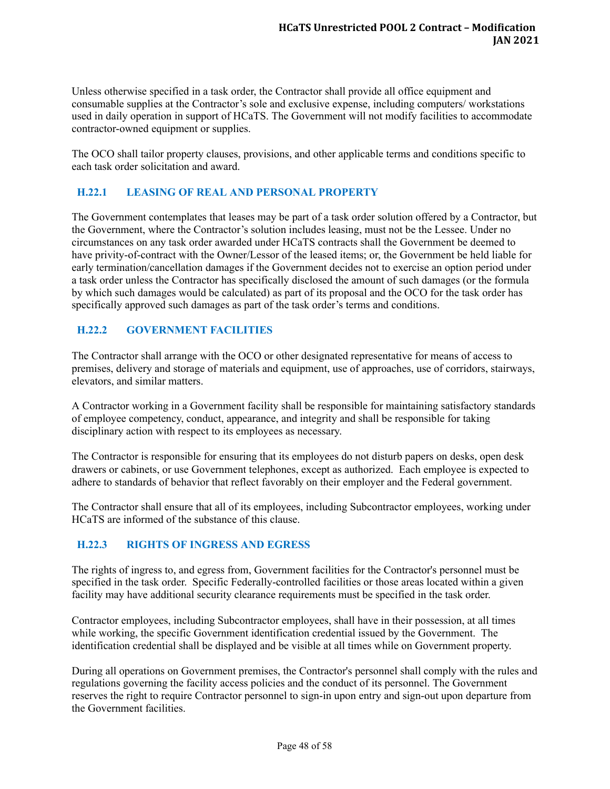Unless otherwise specified in a task order, the Contractor shall provide all office equipment and consumable supplies at the Contractor's sole and exclusive expense, including computers/ workstations used in daily operation in support of HCaTS. The Government will not modify facilities to accommodate contractor-owned equipment or supplies.

The OCO shall tailor property clauses, provisions, and other applicable terms and conditions specific to each task order solicitation and award.

# <span id="page-47-0"></span>**H.22.1 LEASING OF REAL AND PERSONAL PROPERTY**

The Government contemplates that leases may be part of a task order solution offered by a Contractor, but the Government, where the Contractor's solution includes leasing, must not be the Lessee. Under no circumstances on any task order awarded under HCaTS contracts shall the Government be deemed to have privity-of-contract with the Owner/Lessor of the leased items; or, the Government be held liable for early termination/cancellation damages if the Government decides not to exercise an option period under a task order unless the Contractor has specifically disclosed the amount of such damages (or the formula by which such damages would be calculated) as part of its proposal and the OCO for the task order has specifically approved such damages as part of the task order's terms and conditions.

# <span id="page-47-1"></span>**H.22.2 GOVERNMENT FACILITIES**

The Contractor shall arrange with the OCO or other designated representative for means of access to premises, delivery and storage of materials and equipment, use of approaches, use of corridors, stairways, elevators, and similar matters.

A Contractor working in a Government facility shall be responsible for maintaining satisfactory standards of employee competency, conduct, appearance, and integrity and shall be responsible for taking disciplinary action with respect to its employees as necessary.

The Contractor is responsible for ensuring that its employees do not disturb papers on desks, open desk drawers or cabinets, or use Government telephones, except as authorized. Each employee is expected to adhere to standards of behavior that reflect favorably on their employer and the Federal government.

The Contractor shall ensure that all of its employees, including Subcontractor employees, working under HCaTS are informed of the substance of this clause.

# <span id="page-47-2"></span>**H.22.3 RIGHTS OF INGRESS AND EGRESS**

The rights of ingress to, and egress from, Government facilities for the Contractor's personnel must be specified in the task order. Specific Federally-controlled facilities or those areas located within a given facility may have additional security clearance requirements must be specified in the task order.

Contractor employees, including Subcontractor employees, shall have in their possession, at all times while working, the specific Government identification credential issued by the Government. The identification credential shall be displayed and be visible at all times while on Government property.

During all operations on Government premises, the Contractor's personnel shall comply with the rules and regulations governing the facility access policies and the conduct of its personnel. The Government reserves the right to require Contractor personnel to sign-in upon entry and sign-out upon departure from the Government facilities.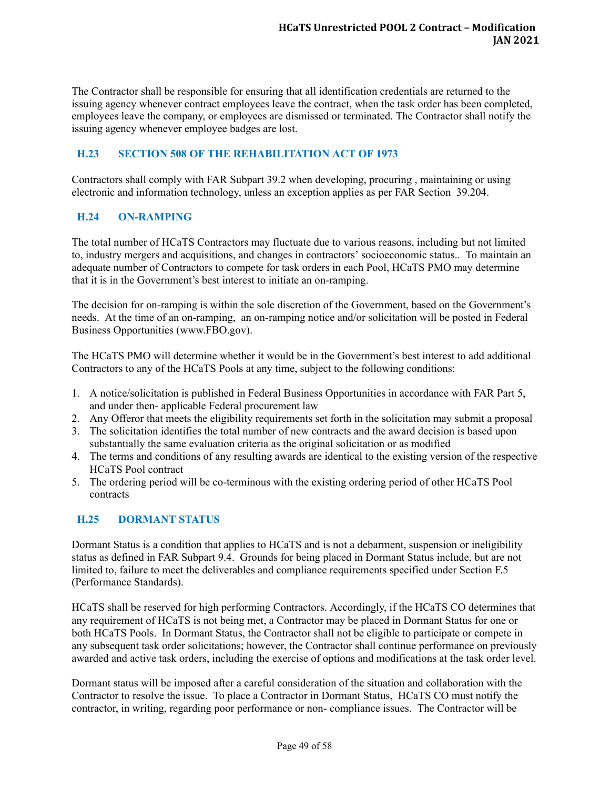The Contractor shall be responsible for ensuring that all identification credentials are returned to the issuing agency whenever contract employees leave the contract, when the task order has been completed, employees leave the company, or employees are dismissed or terminated. The Contractor shall notify the issuing agency whenever employee badges are lost.

# <span id="page-48-0"></span>**H.23 SECTION 508 OF THE REHABILITATION ACT OF 1973**

Contractors shall comply with FAR Subpart 39.2 when developing, procuring , maintaining or using electronic and information technology, unless an exception applies as per FAR Section 39.204.

# <span id="page-48-1"></span>**H.24 ON-RAMPING**

The total number of HCaTS Contractors may fluctuate due to various reasons, including but not limited to, industry mergers and acquisitions, and changes in contractors' socioeconomic status.. To maintain an adequate number of Contractors to compete for task orders in each Pool, HCaTS PMO may determine that it is in the Government's best interest to initiate an on-ramping.

The decision for on-ramping is within the sole discretion of the Government, based on the Government's needs. At the time of an on-ramping, an on-ramping notice and/or solicitation will be posted in Federal Business Opportunities (www.FBO.gov).

The HCaTS PMO will determine whether it would be in the Government's best interest to add additional Contractors to any of the HCaTS Pools at any time, subject to the following conditions:

- 1. A notice/solicitation is published in Federal Business Opportunities in accordance with FAR Part 5, and under then- applicable Federal procurement law
- 2. Any Offeror that meets the eligibility requirements set forth in the solicitation may submit a proposal
- 3. The solicitation identifies the total number of new contracts and the award decision is based upon substantially the same evaluation criteria as the original solicitation or as modified
- 4. The terms and conditions of any resulting awards are identical to the existing version of the respective HCaTS Pool contract
- 5. The ordering period will be co-terminous with the existing ordering period of other HCaTS Pool contracts

# <span id="page-48-2"></span>**H.25 DORMANT STATUS**

Dormant Status is a condition that applies to HCaTS and is not a debarment, suspension or ineligibility status as defined in FAR Subpart 9.4. Grounds for being placed in Dormant Status include, but are not limited to, failure to meet the deliverables and compliance requirements specified under Section F.5 (Performance Standards).

HCaTS shall be reserved for high performing Contractors. Accordingly, if the HCaTS CO determines that any requirement of HCaTS is not being met, a Contractor may be placed in Dormant Status for one or both HCaTS Pools. In Dormant Status, the Contractor shall not be eligible to participate or compete in any subsequent task order solicitations; however, the Contractor shall continue performance on previously awarded and active task orders, including the exercise of options and modifications at the task order level.

Dormant status will be imposed after a careful consideration of the situation and collaboration with the Contractor to resolve the issue. To place a Contractor in Dormant Status, HCaTS CO must notify the contractor, in writing, regarding poor performance or non- compliance issues. The Contractor will be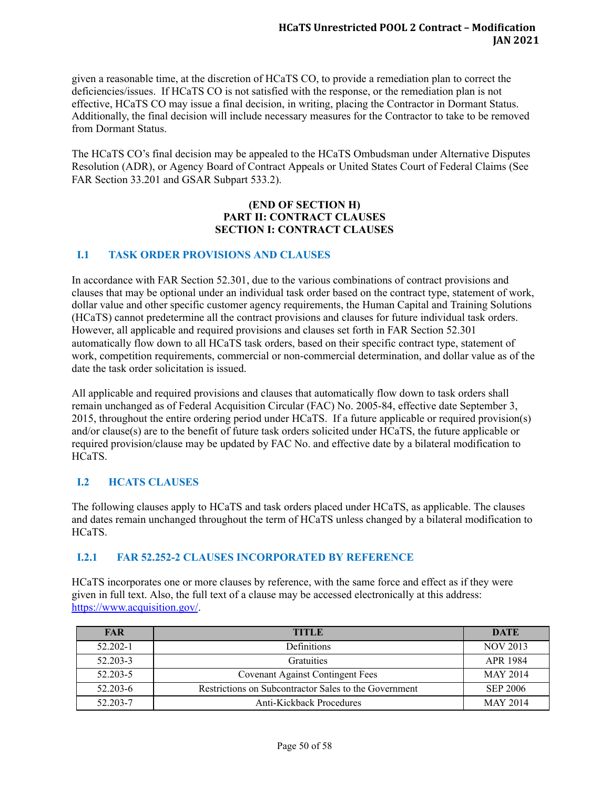given a reasonable time, at the discretion of HCaTS CO, to provide a remediation plan to correct the deficiencies/issues. If HCaTS CO is not satisfied with the response, or the remediation plan is not effective, HCaTS CO may issue a final decision, in writing, placing the Contractor in Dormant Status. Additionally, the final decision will include necessary measures for the Contractor to take to be removed from Dormant Status.

The HCaTS CO's final decision may be appealed to the HCaTS Ombudsman under Alternative Disputes Resolution (ADR), or Agency Board of Contract Appeals or United States Court of Federal Claims (See FAR Section 33.201 and GSAR Subpart 533.2).

#### **(END OF SECTION H) PART II: CONTRACT CLAUSES SECTION I: CONTRACT CLAUSES**

# <span id="page-49-0"></span>**I.1 TASK ORDER PROVISIONS AND CLAUSES**

In accordance with FAR Section 52.301, due to the various combinations of contract provisions and clauses that may be optional under an individual task order based on the contract type, statement of work, dollar value and other specific customer agency requirements, the Human Capital and Training Solutions (HCaTS) cannot predetermine all the contract provisions and clauses for future individual task orders. However, all applicable and required provisions and clauses set forth in FAR Section 52.301 automatically flow down to all HCaTS task orders, based on their specific contract type, statement of work, competition requirements, commercial or non-commercial determination, and dollar value as of the date the task order solicitation is issued.

All applicable and required provisions and clauses that automatically flow down to task orders shall remain unchanged as of Federal Acquisition Circular (FAC) No. 2005-84, effective date September 3, 2015, throughout the entire ordering period under HCaTS. If a future applicable or required provision(s) and/or clause(s) are to the benefit of future task orders solicited under HCaTS, the future applicable or required provision/clause may be updated by FAC No. and effective date by a bilateral modification to HCaTS.

# <span id="page-49-1"></span>**I.2 HCATS CLAUSES**

The following clauses apply to HCaTS and task orders placed under HCaTS, as applicable. The clauses and dates remain unchanged throughout the term of HCaTS unless changed by a bilateral modification to HCaTS.

# <span id="page-49-2"></span>**I.2.1 FAR 52.252-2 CLAUSES INCORPORATED BY REFERENCE**

HCaTS incorporates one or more clauses by reference, with the same force and effect as if they were given in full text. Also, the full text of a clause may be accessed electronically at this address: [https://www.acquisition.gov/.](https://www.acquisition.gov/)

| <b>FAR</b>   | <b>TITLE</b>                                          | <b>DATE</b>     |
|--------------|-------------------------------------------------------|-----------------|
| $52.202 - 1$ | <b>Definitions</b>                                    | <b>NOV 2013</b> |
| 52.203-3     | <b>Gratuities</b>                                     | APR 1984        |
| 52.203-5     | <b>Covenant Against Contingent Fees</b>               | <b>MAY 2014</b> |
| 52.203-6     | Restrictions on Subcontractor Sales to the Government | <b>SEP 2006</b> |
| 52.203-7     | Anti-Kickback Procedures                              | <b>MAY 2014</b> |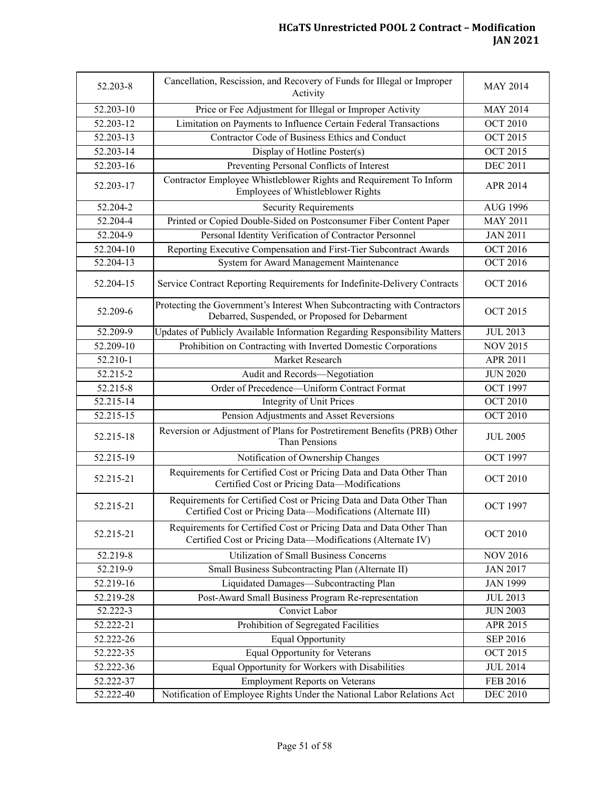| 52.203-8      | Cancellation, Rescission, and Recovery of Funds for Illegal or Improper<br>Activity                                                 | <b>MAY 2014</b> |
|---------------|-------------------------------------------------------------------------------------------------------------------------------------|-----------------|
| $52.203 - 10$ | Price or Fee Adjustment for Illegal or Improper Activity                                                                            | <b>MAY 2014</b> |
| 52.203-12     | Limitation on Payments to Influence Certain Federal Transactions                                                                    | <b>OCT 2010</b> |
| 52.203-13     | Contractor Code of Business Ethics and Conduct                                                                                      | <b>OCT 2015</b> |
| 52.203-14     | Display of Hotline Poster(s)                                                                                                        | <b>OCT 2015</b> |
| 52.203-16     | Preventing Personal Conflicts of Interest                                                                                           | <b>DEC 2011</b> |
| 52.203-17     | Contractor Employee Whistleblower Rights and Requirement To Inform<br>Employees of Whistleblower Rights                             | APR 2014        |
| 52.204-2      | <b>Security Requirements</b>                                                                                                        | <b>AUG 1996</b> |
| $52.204 - 4$  | Printed or Copied Double-Sided on Postconsumer Fiber Content Paper                                                                  | <b>MAY 2011</b> |
| 52.204-9      | Personal Identity Verification of Contractor Personnel                                                                              | <b>JAN 2011</b> |
| 52.204-10     | Reporting Executive Compensation and First-Tier Subcontract Awards                                                                  | <b>OCT 2016</b> |
| 52.204-13     | System for Award Management Maintenance                                                                                             | <b>OCT 2016</b> |
| 52.204-15     | Service Contract Reporting Requirements for Indefinite-Delivery Contracts                                                           | <b>OCT 2016</b> |
| 52.209-6      | Protecting the Government's Interest When Subcontracting with Contractors<br>Debarred, Suspended, or Proposed for Debarment         | <b>OCT 2015</b> |
| 52.209-9      | Updates of Publicly Available Information Regarding Responsibility Matters                                                          | <b>JUL 2013</b> |
| 52.209-10     | Prohibition on Contracting with Inverted Domestic Corporations                                                                      | <b>NOV 2015</b> |
| 52.210-1      | Market Research                                                                                                                     | APR 2011        |
| 52.215-2      | Audit and Records-Negotiation                                                                                                       | <b>JUN 2020</b> |
| 52.215-8      | Order of Precedence-Uniform Contract Format                                                                                         | <b>OCT 1997</b> |
| 52.215-14     | <b>Integrity of Unit Prices</b>                                                                                                     | <b>OCT 2010</b> |
| 52.215-15     | Pension Adjustments and Asset Reversions                                                                                            | <b>OCT 2010</b> |
| 52.215-18     | Reversion or Adjustment of Plans for Postretirement Benefits (PRB) Other<br>Than Pensions                                           | <b>JUL 2005</b> |
| 52.215-19     | Notification of Ownership Changes                                                                                                   | <b>OCT 1997</b> |
| 52.215-21     | Requirements for Certified Cost or Pricing Data and Data Other Than<br>Certified Cost or Pricing Data-Modifications                 | <b>OCT 2010</b> |
| 52.215-21     | Requirements for Certified Cost or Pricing Data and Data Other Than<br>Certified Cost or Pricing Data-Modifications (Alternate III) | <b>OCT 1997</b> |
| 52.215-21     | Requirements for Certified Cost or Pricing Data and Data Other Than<br>Certified Cost or Pricing Data-Modifications (Alternate IV)  | <b>OCT 2010</b> |
| 52.219-8      | <b>Utilization of Small Business Concerns</b>                                                                                       | <b>NOV 2016</b> |
| 52.219-9      | Small Business Subcontracting Plan (Alternate II)                                                                                   | <b>JAN 2017</b> |
| 52.219-16     | Liquidated Damages-Subcontracting Plan                                                                                              | <b>JAN 1999</b> |
| 52.219-28     | Post-Award Small Business Program Re-representation                                                                                 | <b>JUL 2013</b> |
| 52.222-3      | Convict Labor                                                                                                                       | <b>JUN 2003</b> |
| 52.222-21     | Prohibition of Segregated Facilities                                                                                                | APR 2015        |
| 52.222-26     | <b>Equal Opportunity</b>                                                                                                            | <b>SEP 2016</b> |
| 52.222-35     | Equal Opportunity for Veterans                                                                                                      | OCT 2015        |
| 52.222-36     | Equal Opportunity for Workers with Disabilities                                                                                     | <b>JUL 2014</b> |
| 52.222-37     | <b>Employment Reports on Veterans</b>                                                                                               | FEB 2016        |
| 52.222-40     | Notification of Employee Rights Under the National Labor Relations Act                                                              | <b>DEC 2010</b> |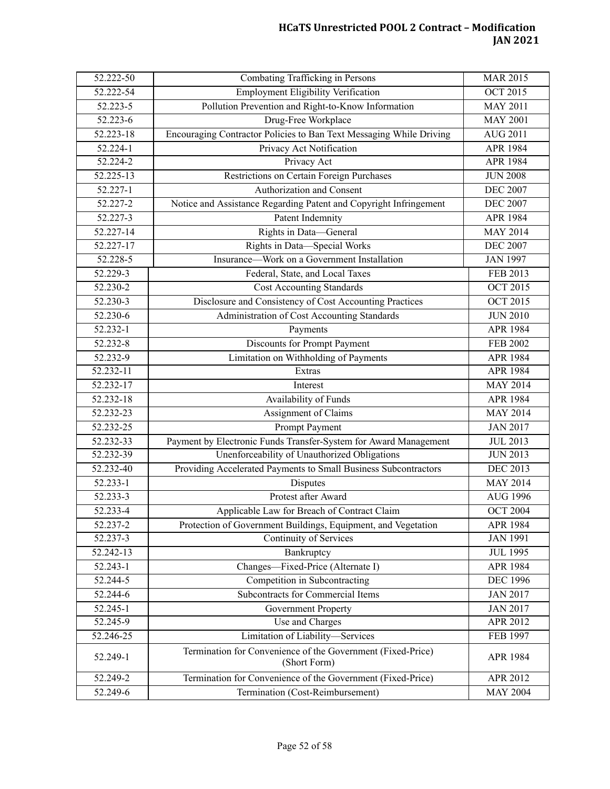| 52.222-50               | Combating Trafficking in Persons                                            | <b>MAR 2015</b> |
|-------------------------|-----------------------------------------------------------------------------|-----------------|
| 52.222-54               | <b>Employment Eligibility Verification</b>                                  | <b>OCT 2015</b> |
| 52.223-5                | Pollution Prevention and Right-to-Know Information                          | <b>MAY 2011</b> |
| 52.223-6                | Drug-Free Workplace                                                         | <b>MAY 2001</b> |
| 52.223-18               | Encouraging Contractor Policies to Ban Text Messaging While Driving         | <b>AUG 2011</b> |
| 52.224-1                | Privacy Act Notification                                                    | <b>APR 1984</b> |
| 52.224-2                | Privacy Act                                                                 | APR 1984        |
| $52.225 - 13$           | Restrictions on Certain Foreign Purchases                                   | <b>JUN 2008</b> |
| 52.227-1                | Authorization and Consent                                                   | <b>DEC 2007</b> |
| 52.227-2                | Notice and Assistance Regarding Patent and Copyright Infringement           | <b>DEC 2007</b> |
| 52.227-3                | Patent Indemnity                                                            | APR 1984        |
| 52.227-14               | Rights in Data-General                                                      | <b>MAY 2014</b> |
| 52.227-17               | Rights in Data-Special Works                                                | <b>DEC 2007</b> |
| 52.228-5                | Insurance—Work on a Government Installation                                 | <b>JAN 1997</b> |
| 52.229-3                | Federal, State, and Local Taxes                                             | <b>FEB 2013</b> |
| 52.230-2                | <b>Cost Accounting Standards</b>                                            | <b>OCT 2015</b> |
| 52.230-3                | Disclosure and Consistency of Cost Accounting Practices                     | <b>OCT 2015</b> |
| $52.230 - 6$            | Administration of Cost Accounting Standards                                 | <b>JUN 2010</b> |
| 52.232-1                | Payments                                                                    | APR 1984        |
| 52.232-8                | Discounts for Prompt Payment                                                | <b>FEB 2002</b> |
| 52.232-9                | Limitation on Withholding of Payments                                       | <b>APR 1984</b> |
| 52.232-11               | Extras                                                                      | APR 1984        |
| 52.232-17               | Interest                                                                    | <b>MAY 2014</b> |
| 52.232-18               | Availability of Funds                                                       | APR 1984        |
| $\overline{52.232}$ -23 | Assignment of Claims                                                        | <b>MAY 2014</b> |
| 52.232-25               | Prompt Payment                                                              | <b>JAN 2017</b> |
| 52.232-33               | Payment by Electronic Funds Transfer-System for Award Management            | <b>JUL 2013</b> |
| 52.232-39               | Unenforceability of Unauthorized Obligations                                | <b>JUN 2013</b> |
| 52.232-40               | Providing Accelerated Payments to Small Business Subcontractors             | <b>DEC 2013</b> |
| 52.233-1                | Disputes                                                                    | <b>MAY 2014</b> |
| 52.233-3                | Protest after Award                                                         | <b>AUG 1996</b> |
| 52.233-4                | Applicable Law for Breach of Contract Claim                                 | <b>OCT 2004</b> |
| 52.237-2                | Protection of Government Buildings, Equipment, and Vegetation               | APR 1984        |
| 52.237-3                | Continuity of Services                                                      | <b>JAN 1991</b> |
| 52.242-13               | Bankruptcy                                                                  | <b>JUL 1995</b> |
| 52.243-1                | Changes-Fixed-Price (Alternate I)                                           | APR 1984        |
| 52.244-5                | Competition in Subcontracting                                               | <b>DEC 1996</b> |
| 52.244-6                | Subcontracts for Commercial Items                                           | <b>JAN 2017</b> |
| 52.245-1                | <b>Government Property</b>                                                  | <b>JAN 2017</b> |
| 52.245-9                | Use and Charges                                                             | APR 2012        |
| 52.246-25               | Limitation of Liability-Services                                            | FEB 1997        |
| 52.249-1                | Termination for Convenience of the Government (Fixed-Price)<br>(Short Form) | APR 1984        |
| 52.249-2                | Termination for Convenience of the Government (Fixed-Price)                 | APR 2012        |
| 52.249-6                | Termination (Cost-Reimbursement)                                            | <b>MAY 2004</b> |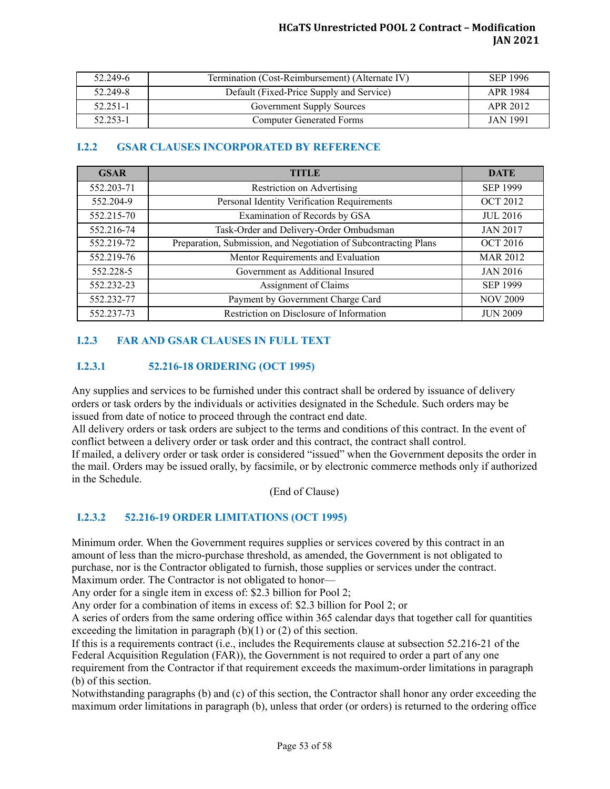| 52.249-6 | Termination (Cost-Reimbursement) (Alternate IV) | SEP 1996        |
|----------|-------------------------------------------------|-----------------|
| 52.249-8 | Default (Fixed-Price Supply and Service)        | APR 1984        |
| 52.251-1 | <b>Government Supply Sources</b>                | APR 2012        |
| 52.253-1 | <b>Computer Generated Forms</b>                 | <b>JAN 1991</b> |

# <span id="page-52-0"></span>**I.2.2 GSAR CLAUSES INCORPORATED BY REFERENCE**

| <b>GSAR</b> | <b>TITLE</b>                                                     | <b>DATE</b>     |
|-------------|------------------------------------------------------------------|-----------------|
| 552.203-71  | Restriction on Advertising                                       | <b>SEP 1999</b> |
| 552.204-9   | Personal Identity Verification Requirements                      | <b>OCT 2012</b> |
| 552.215-70  | Examination of Records by GSA                                    | <b>JUL 2016</b> |
| 552.216-74  | Task-Order and Delivery-Order Ombudsman                          | <b>JAN 2017</b> |
| 552.219-72  | Preparation, Submission, and Negotiation of Subcontracting Plans | <b>OCT 2016</b> |
| 552.219-76  | Mentor Requirements and Evaluation                               | <b>MAR 2012</b> |
| 552.228-5   | Government as Additional Insured                                 | <b>JAN 2016</b> |
| 552.232-23  | Assignment of Claims                                             | <b>SEP 1999</b> |
| 552.232-77  | Payment by Government Charge Card                                | <b>NOV 2009</b> |
| 552.237-73  | Restriction on Disclosure of Information                         | <b>JUN 2009</b> |

# <span id="page-52-1"></span>**I.2.3 FAR AND GSAR CLAUSES IN FULL TEXT**

# <span id="page-52-2"></span>**I.2.3.1 52.216-18 ORDERING (OCT 1995)**

Any supplies and services to be furnished under this contract shall be ordered by issuance of delivery orders or task orders by the individuals or activities designated in the Schedule. Such orders may be issued from date of notice to proceed through the contract end date.

All delivery orders or task orders are subject to the terms and conditions of this contract. In the event of conflict between a delivery order or task order and this contract, the contract shall control.

If mailed, a delivery order or task order is considered "issued" when the Government deposits the order in the mail. Orders may be issued orally, by facsimile, or by electronic commerce methods only if authorized in the Schedule.

(End of Clause)

# <span id="page-52-3"></span>**I.2.3.2 52.216-19 ORDER LIMITATIONS (OCT 1995)**

Minimum order. When the Government requires supplies or services covered by this contract in an amount of less than the micro-purchase threshold, as amended, the Government is not obligated to purchase, nor is the Contractor obligated to furnish, those supplies or services under the contract. Maximum order. The Contractor is not obligated to honor—

Any order for a single item in excess of: \$2.3 billion for Pool 2;

Any order for a combination of items in excess of: \$2.3 billion for Pool 2; or

A series of orders from the same ordering office within 365 calendar days that together call for quantities exceeding the limitation in paragraph  $(b)(1)$  or  $(2)$  of this section.

If this is a requirements contract (i.e., includes the Requirements clause at subsection 52.216-21 of the Federal Acquisition Regulation (FAR)), the Government is not required to order a part of any one requirement from the Contractor if that requirement exceeds the maximum-order limitations in paragraph (b) of this section.

Notwithstanding paragraphs (b) and (c) of this section, the Contractor shall honor any order exceeding the maximum order limitations in paragraph (b), unless that order (or orders) is returned to the ordering office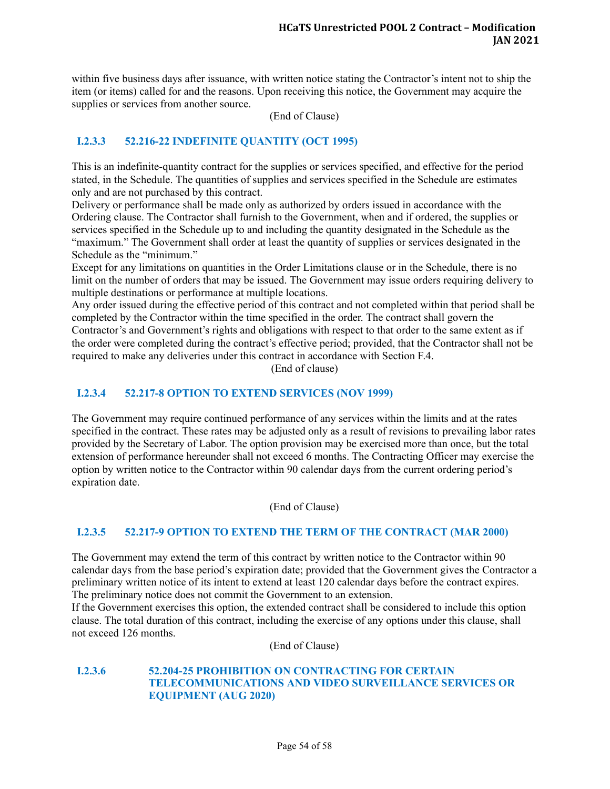within five business days after issuance, with written notice stating the Contractor's intent not to ship the item (or items) called for and the reasons. Upon receiving this notice, the Government may acquire the supplies or services from another source.

(End of Clause)

# <span id="page-53-0"></span>**I.2.3.3 52.216-22 INDEFINITE QUANTITY (OCT 1995)**

This is an indefinite-quantity contract for the supplies or services specified, and effective for the period stated, in the Schedule. The quantities of supplies and services specified in the Schedule are estimates only and are not purchased by this contract.

Delivery or performance shall be made only as authorized by orders issued in accordance with the Ordering clause. The Contractor shall furnish to the Government, when and if ordered, the supplies or services specified in the Schedule up to and including the quantity designated in the Schedule as the "maximum." The Government shall order at least the quantity of supplies or services designated in the Schedule as the "minimum."

Except for any limitations on quantities in the Order Limitations clause or in the Schedule, there is no limit on the number of orders that may be issued. The Government may issue orders requiring delivery to multiple destinations or performance at multiple locations.

Any order issued during the effective period of this contract and not completed within that period shall be completed by the Contractor within the time specified in the order. The contract shall govern the Contractor's and Government's rights and obligations with respect to that order to the same extent as if the order were completed during the contract's effective period; provided, that the Contractor shall not be required to make any deliveries under this contract in accordance with Section F.4.

(End of clause)

#### <span id="page-53-1"></span>**I.2.3.4 52.217-8 OPTION TO EXTEND SERVICES (NOV 1999)**

The Government may require continued performance of any services within the limits and at the rates specified in the contract. These rates may be adjusted only as a result of revisions to prevailing labor rates provided by the Secretary of Labor. The option provision may be exercised more than once, but the total extension of performance hereunder shall not exceed 6 months. The Contracting Officer may exercise the option by written notice to the Contractor within 90 calendar days from the current ordering period's expiration date.

(End of Clause)

#### <span id="page-53-2"></span>**I.2.3.5 52.217-9 OPTION TO EXTEND THE TERM OF THE CONTRACT (MAR 2000)**

The Government may extend the term of this contract by written notice to the Contractor within 90 calendar days from the base period's expiration date; provided that the Government gives the Contractor a preliminary written notice of its intent to extend at least 120 calendar days before the contract expires. The preliminary notice does not commit the Government to an extension.

If the Government exercises this option, the extended contract shall be considered to include this option clause. The total duration of this contract, including the exercise of any options under this clause, shall not exceed 126 months.

(End of Clause)

#### <span id="page-53-3"></span>**I.2.3.6 52.204-25 PROHIBITION ON CONTRACTING FOR CERTAIN TELECOMMUNICATIONS AND VIDEO SURVEILLANCE SERVICES OR EQUIPMENT (AUG 2020)**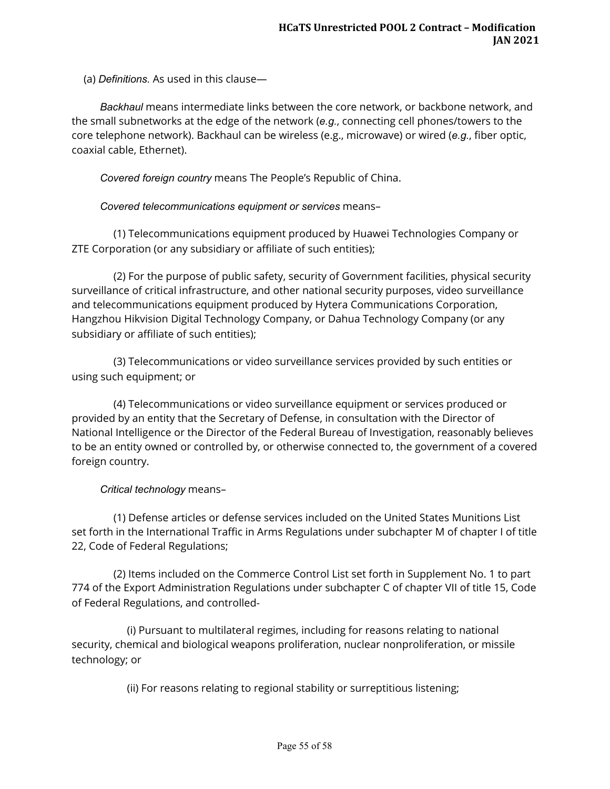(a) *Definitions.*  As used in this clause—

 *Backhaul*  means intermediate links between the core network, or backbone network, and the small subnetworks at the edge of the network ( *e.g.* , connecting cell phones/towers to the core telephone network). Backhaul can be wireless (e.g., microwave) or wired ( *e.g.* , fiber optic, coaxial cable, Ethernet).

*Covered foreign country*  means The People's Republic of China.

*Covered telecommunications equipment or services*  means–

 (1) Telecommunications equipment produced by Huawei Technologies Company or ZTE Corporation (or any subsidiary or affiliate of such entities);

 (2) For the purpose of public safety, security of Government facilities, physical security surveillance of critical infrastructure, and other national security purposes, video surveillance and telecommunications equipment produced by Hytera Communications Corporation, Hangzhou Hikvision Digital Technology Company, or Dahua Technology Company (or any subsidiary or affiliate of such entities);

 (3) Telecommunications or video surveillance services provided by such entities or using such equipment; or

 (4) Telecommunications or video surveillance equipment or services produced or provided by an entity that the Secretary of Defense, in consultation with the Director of National Intelligence or the Director of the Federal Bureau of Investigation, reasonably believes to be an entity owned or controlled by, or otherwise connected to, the government of a covered foreign country.

# *Critical technology*  means–

 (1) Defense articles or defense services included on the United States Munitions List set forth in the International Traffic in Arms Regulations under subchapter M of chapter I of title 22, Code of Federal Regulations;

 (2) Items included on the Commerce Control List set forth in Supplement No. 1 to part 774 of the Export Administration Regulations under subchapter C of chapter VII of title 15, Code of Federal Regulations, and controlled-

 (i) Pursuant to multilateral regimes, including for reasons relating to national security, chemical and biological weapons proliferation, nuclear nonproliferation, or missile technology; or

(ii) For reasons relating to regional stability or surreptitious listening;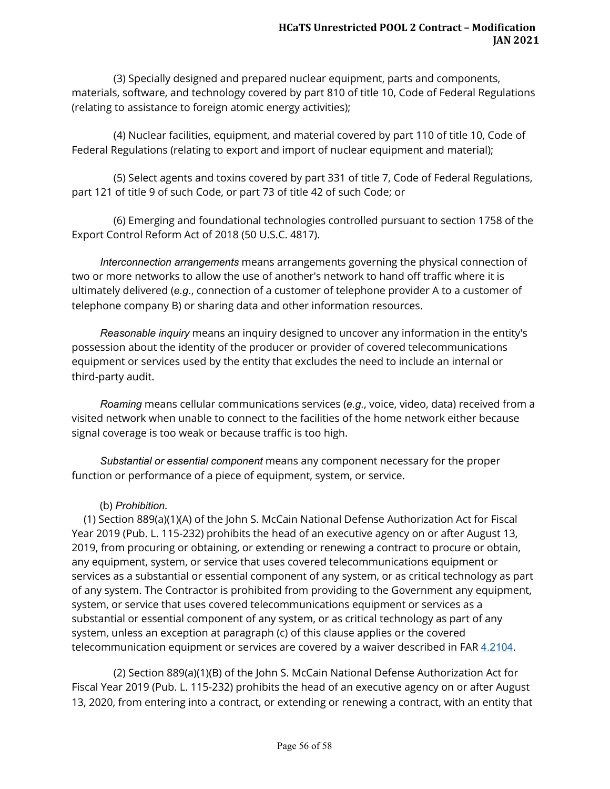(3) Specially designed and prepared nuclear equipment, parts and components, materials, software, and technology covered by part 810 of title 10, Code of Federal Regulations (relating to assistance to foreign atomic energy activities);

 (4) Nuclear facilities, equipment, and material covered by part 110 of title 10, Code of Federal Regulations (relating to export and import of nuclear equipment and material);

 (5) Select agents and toxins covered by part 331 of title 7, Code of Federal Regulations, part 121 of title 9 of such Code, or part 73 of title 42 of such Code; or

 (6) Emerging and foundational technologies controlled pursuant to section 1758 of the Export Control Reform Act of 2018 (50 U.S.C. 4817).

 *Interconnection arrangements*  means arrangements governing the physical connection of two or more networks to allow the use of another's network to hand off traffic where it is ultimately delivered (e.g., connection of a customer of telephone provider A to a customer of telephone company B) or sharing data and other information resources.

 *Reasonable inquiry*  means an inquiry designed to uncover any information in the entity's possession about the identity of the producer or provider of covered telecommunications equipment or services used by the entity that excludes the need to include an internal or third-party audit.

 *Roaming*  means cellular communications services ( *e.g.* , voice, video, data) received from a visited network when unable to connect to the facilities of the home network either because signal coverage is too weak or because traffic is too high.

 *Substantial or essential component*  means any component necessary for the proper function or performance of a piece of equipment, system, or service.

# (b) *Prohibition* .

(1) Section 889(a)(1)(A) of the John S. McCain National Defense Authorization Act for Fiscal Year 2019 (Pub. L. 115-232) prohibits the head of an executive agency on or after August 13, 2019, from procuring or obtaining, or extending or renewing a contract to procure or obtain, any equipment, system, or service that uses covered telecommunications equipment or services as a substantial or essential component of any system, or as critical technology as part of any system. The Contractor is prohibited from providing to the Government any equipment, system, or service that uses covered telecommunications equipment or services as a substantial or essential component of any system, or as critical technology as part of any system, unless an exception at paragraph (c) of this clause applies or the covered telecommunication equipment or services are covered by a waiver described in FAR [4.2104](https://www.acquisition.gov/far/4.2104#FAR_4_2104) .

 (2) Section 889(a)(1)(B) of the John S. McCain National Defense Authorization Act for Fiscal Year 2019 (Pub. L. 115-232) prohibits the head of an executive agency on or after August 13, 2020, from entering into a contract, or extending or renewing a contract, with an entity that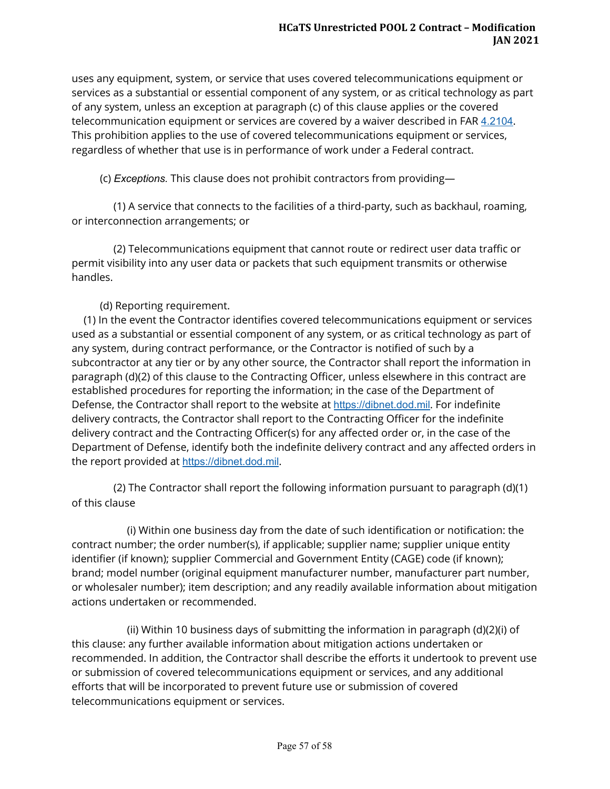uses any equipment, system, or service that uses covered telecommunications equipment or services as a substantial or essential component of any system, or as critical technology as part of any system, unless an exception at paragraph (c) of this clause applies or the covered telecommunication equipment or services are covered by a waiver described in FAR [4.2104](https://www.acquisition.gov/far/4.2104#FAR_4_2104) . This prohibition applies to the use of covered telecommunications equipment or services, regardless of whether that use is in performance of work under a Federal contract.

(c) *Exceptions.*  This clause does not prohibit contractors from providing—

 (1) A service that connects to the facilities of a third-party, such as backhaul, roaming, or interconnection arrangements; or

 (2) Telecommunications equipment that cannot route or redirect user data traffic or permit visibility into any user data or packets that such equipment transmits or otherwise handles.

(d) Reporting requirement.

(1) In the event the Contractor identifies covered telecommunications equipment or services used as a substantial or essential component of any system, or as critical technology as part of any system, during contract performance, or the Contractor is notified of such by a subcontractor at any tier or by any other source, the Contractor shall report the information in paragraph (d)(2) of this clause to the Contracting Officer, unless elsewhere in this contract are established procedures for reporting the information; in the case of the Department of Defense, the Contractor shall report to the website at https://dibnet.dod.mil. For indefinite delivery contracts, the Contractor shall report to the Contracting Officer for the indefinite delivery contract and the Contracting Officer(s) for any affected order or, in the case of the Department of Defense, identify both the indefinite delivery contract and any affected orders in the report provided at https://dibnet.dod.mil.

 (2) The Contractor shall report the following information pursuant to paragraph (d)(1) of this clause

 (i) Within one business day from the date of such identification or notification: the contract number; the order number(s), if applicable; supplier name; supplier unique entity identifier (if known); supplier Commercial and Government Entity (CAGE) code (if known); brand; model number (original equipment manufacturer number, manufacturer part number, or wholesaler number); item description; and any readily available information about mitigation actions undertaken or recommended.

 (ii) Within 10 business days of submitting the information in paragraph (d)(2)(i) of this clause: any further available information about mitigation actions undertaken or recommended. In addition, the Contractor shall describe the efforts it undertook to prevent use or submission of covered telecommunications equipment or services, and any additional efforts that will be incorporated to prevent future use or submission of covered telecommunications equipment or services.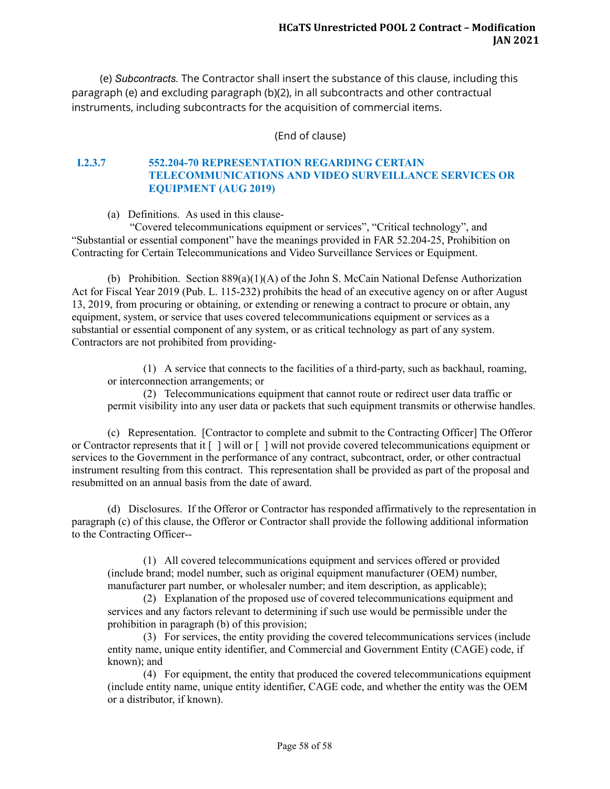(e) *Subcontracts.*  The Contractor shall insert the substance of this clause, including this paragraph (e) and excluding paragraph (b)(2), in all subcontracts and other contractual instruments, including subcontracts for the acquisition of commercial items.

(End of clause)

#### <span id="page-57-0"></span>**I.2.3.7 552.204-70 REPRESENTATION REGARDING CERTAIN TELECOMMUNICATIONS AND VIDEO SURVEILLANCE SERVICES OR EQUIPMENT (AUG 2019)**

(a) Definitions. As used in this clause-

"Covered telecommunications equipment or services", "Critical technology", and "Substantial or essential component" have the meanings provided in FAR 52.204-25, Prohibition on Contracting for Certain Telecommunications and Video Surveillance Services or Equipment.

(b) Prohibition. Section 889(a)(1)(A) of the John S. McCain National Defense Authorization Act for Fiscal Year 2019 (Pub. L. 115-232) prohibits the head of an executive agency on or after August 13, 2019, from procuring or obtaining, or extending or renewing a contract to procure or obtain, any equipment, system, or service that uses covered telecommunications equipment or services as a substantial or essential component of any system, or as critical technology as part of any system. Contractors are not prohibited from providing-

(1) A service that connects to the facilities of a third-party, such as backhaul, roaming, or interconnection arrangements; or

(2) Telecommunications equipment that cannot route or redirect user data traffic or permit visibility into any user data or packets that such equipment transmits or otherwise handles.

(c) Representation. [Contractor to complete and submit to the Contracting Officer] The Offeror or Contractor represents that it [ ] will or [ ] will not provide covered telecommunications equipment or services to the Government in the performance of any contract, subcontract, order, or other contractual instrument resulting from this contract. This representation shall be provided as part of the proposal and resubmitted on an annual basis from the date of award.

(d) Disclosures. If the Offeror or Contractor has responded affirmatively to the representation in paragraph (c) of this clause, the Offeror or Contractor shall provide the following additional information to the Contracting Officer--

(1) All covered telecommunications equipment and services offered or provided (include brand; model number, such as original equipment manufacturer (OEM) number, manufacturer part number, or wholesaler number; and item description, as applicable);

(2) Explanation of the proposed use of covered telecommunications equipment and services and any factors relevant to determining if such use would be permissible under the prohibition in paragraph (b) of this provision;

(3) For services, the entity providing the covered telecommunications services (include entity name, unique entity identifier, and Commercial and Government Entity (CAGE) code, if known); and

(4) For equipment, the entity that produced the covered telecommunications equipment (include entity name, unique entity identifier, CAGE code, and whether the entity was the OEM or a distributor, if known).